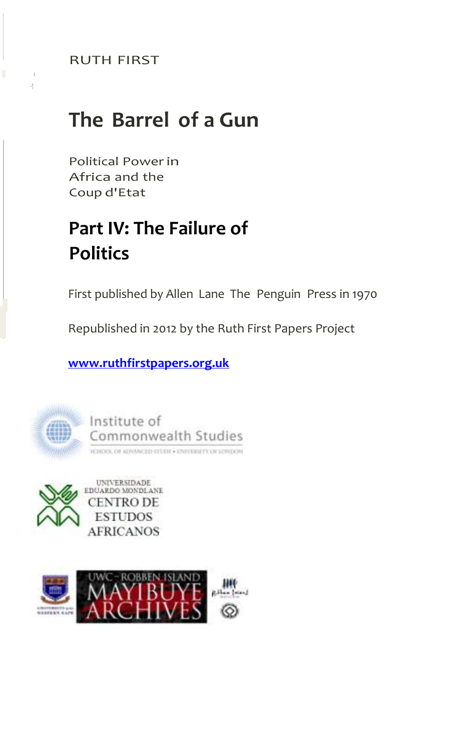RUTH FIRST

I -1

# **The Barrel of a Gun**

Political Powerin Africa and the Coup d'Etat

# **Part IV: The Failure of Politics**

First published by Allen Lane The Penguin Press in 1970

Republished in 2012 by the Ruth First Papers Project

**[www.ruthfirstpapers.org.uk](http://www.ruthfirstpapers.org.uk/)**





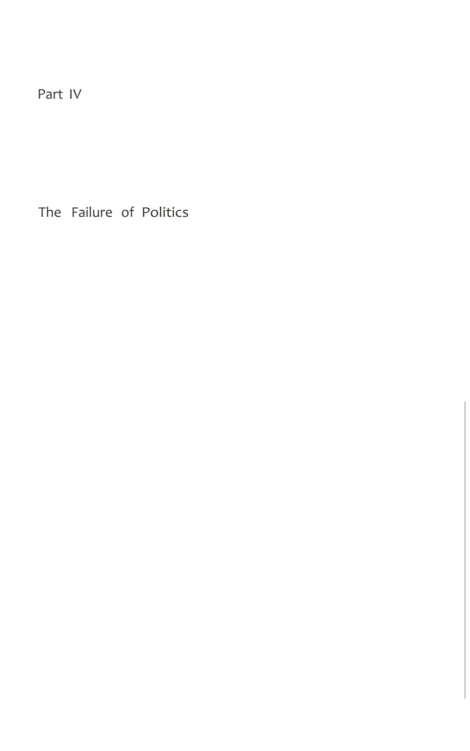Part IV

The Failure of Politics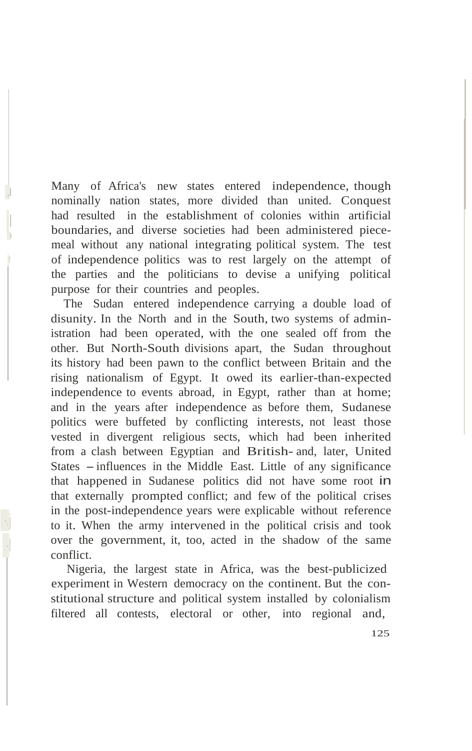Many of Africa's new states entered independence, though nominally nation states, more divided than united. Conquest had resulted in the establishment of colonies within artificial boundaries, and diverse societies had been administered piecemeal without any national integrating political system. The test of independence politics was to rest largely on the attempt of the parties and the politicians to devise a unifying political purpose for their countries and peoples.

 $,$ 

I I

·I

The Sudan entered independence carrying a double load of disunity. In the North and in the South, two systems of administration had been operated, with the one sealed off from the other. But North-South divisions apart, the Sudan throughout its history had been pawn to the conflict between Britain and the rising nationalism of Egypt. It owed its earlier-than-expected independence to events abroad, in Egypt, rather than at home; and in the years after independence as before them, Sudanese politics were buffeted by conflicting interests, not least those vested in divergent religious sects, which had been inherited from a clash between Egyptian and British- and, later, United States – influences in the Middle East. Little of any significance that happened in Sudanese politics did not have some root in that externally prompted conflict; and few of the political crises in the post-independence years were explicable without reference to it. When the army intervened in the political crisis and took over the government, it, too, acted in the shadow of the same conflict.

Nigeria, the largest state in Africa, was the best-publicized experiment in Western democracy on the continent. But the constitutional structure and political system installed by colonialism filtered all contests, electoral or other, into regional and,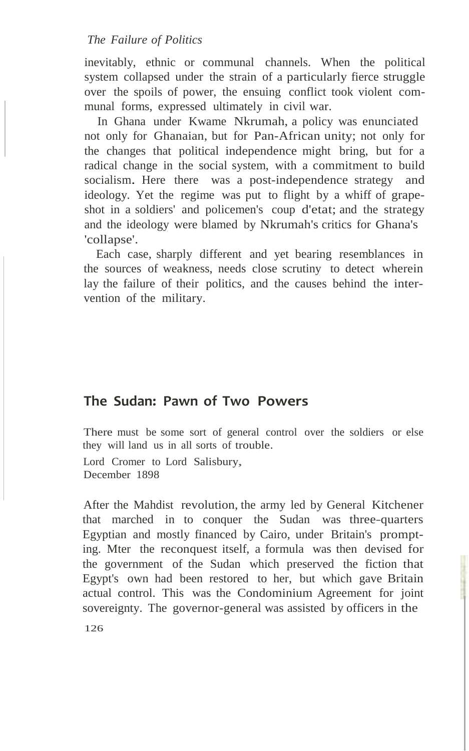inevitably, ethnic or communal channels. When the political system collapsed under the strain of a particularly fierce struggle over the spoils of power, the ensuing conflict took violent communal forms, expressed ultimately in civil war.

In Ghana under Kwame Nkrumah, a policy was enunciated not only for Ghanaian, but for Pan-African unity; not only for the changes that political independence might bring, but for a radical change in the social system, with a commitment to build socialism. Here there was a post-independence strategy and ideology. Yet the regime was put to flight by a whiff of grapeshot in a soldiers' and policemen's coup d'etat; and the strategy and the ideology were blamed by Nkrumah's critics for Ghana's 'collapse'.

Each case, sharply different and yet bearing resemblances in the sources of weakness, needs close scrutiny to detect wherein lay the failure of their politics, and the causes behind the intervention of the military.

## **The Sudan: Pawn of Two Powers**

There must be some sort of general control over the soldiers or else they will land us in all sorts of trouble.

Lord Cromer to Lord Salisbury, December 1898

After the Mahdist revolution, the army led by General Kitchener that marched in to conquer the Sudan was three-quarters Egyptian and mostly financed by Cairo, under Britain's prompting. Mter the reconquest itself, a formula was then devised for the government of the Sudan which preserved the fiction that Egypt's own had been restored to her, but which gave Britain actual control. This was the Condominium Agreement for joint sovereignty. The governor-general was assisted by officers in the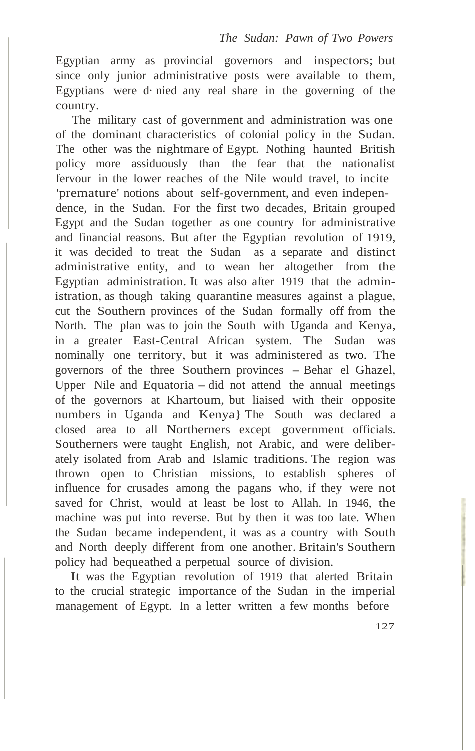Egyptian army as provincial governors and inspectors; but since only junior administrative posts were available to them, Egyptians were d· nied any real share in the governing of the country.

The military cast of government and administration was one of the dominant characteristics of colonial policy in the Sudan. The other was the nightmare of Egypt. Nothing haunted British policy more assiduously than the fear that the nationalist fervour in the lower reaches of the Nile would travel, to incite 'premature' notions about self-government, and even independence, in the Sudan. For the first two decades, Britain grouped Egypt and the Sudan together as one country for administrative and financial reasons. But after the Egyptian revolution of 1919, it was decided to treat the Sudan as a separate and distinct administrative entity, and to wean her altogether from the Egyptian administration. It was also after 1919 that the administration, as though taking quarantine measures against a plague, cut the Southern provinces of the Sudan formally off from the North. The plan was to join the South with Uganda and Kenya, in a greater East-Central African system. The Sudan was nominally one territory, but it was administered as two. The governors of the three Southern provinces - Behar el Ghazel, Upper Nile and Equatoria – did not attend the annual meetings of the governors at Khartoum, but liaised with their opposite numbers in Uganda and Kenya} The South was declared a closed area to all Northerners except government officials. Southerners were taught English, not Arabic, and were deliberately isolated from Arab and Islamic traditions. The region was thrown open to Christian missions, to establish spheres of influence for crusades among the pagans who, if they were not saved for Christ, would at least be lost to Allah. In 1946, the machine was put into reverse. But by then it was too late. When the Sudan became independent, it was as a country with South and North deeply different from one another. Britain's Southern policy had bequeathed a perpetual source of division.

It was the Egyptian revolution of 1919 that alerted Britain to the crucial strategic importance of the Sudan in the imperial management of Egypt. In a letter written a few months before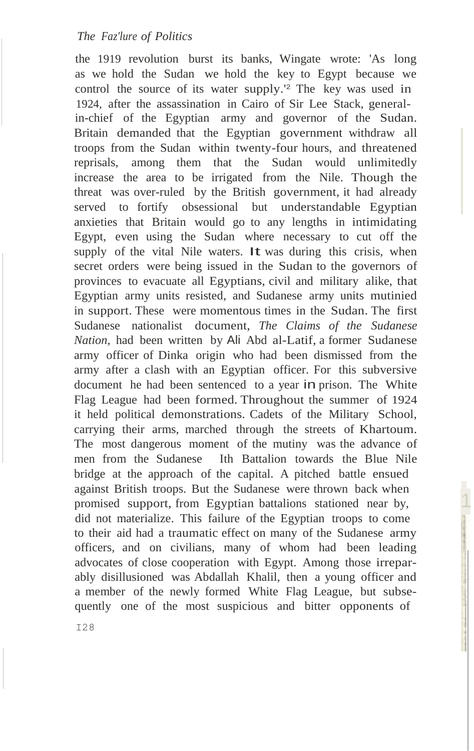the 1919 revolution burst its banks, Wingate wrote: 'As long as we hold the Sudan we hold the key to Egypt because we control the source of its water supply.'<sup>2</sup> The key was used in 1924, after the assassination in Cairo of Sir Lee Stack, generalin-chief of the Egyptian army and governor of the Sudan. Britain demanded that the Egyptian government withdraw all troops from the Sudan within twenty-four hours, and threatened reprisals, among them that the Sudan would unlimitedly increase the area to be irrigated from the Nile. Though the threat was over-ruled by the British government, it had already served to fortify obsessional but understandable Egyptian anxieties that Britain would go to any lengths in intimidating Egypt, even using the Sudan where necessary to cut off the supply of the vital Nile waters. It was during this crisis, when secret orders were being issued in the Sudan to the governors of provinces to evacuate all Egyptians, civil and military alike, that Egyptian army units resisted, and Sudanese army units mutinied in support. These were momentous times in the Sudan. The first Sudanese nationalist document, *The Claims of the Sudanese Nation,* had been written by Ali Abd al-Latif, a former Sudanese army officer of Dinka origin who had been dismissed from the army after a clash with an Egyptian officer. For this subversive document he had been sentenced to a year in prison. The White Flag League had been formed. Throughout the summer of 1924 it held political demonstrations. Cadets of the Military School, carrying their arms, marched through the streets of Khartoum. The most dangerous moment of the mutiny was the advance of men from the Sudanese Ith Battalion towards the Blue Nile bridge at the approach of the capital. A pitched battle ensued against British troops. But the Sudanese were thrown back when promised support, from Egyptian battalions stationed near by, 1 did not materialize. This failure of the Egyptian troops to come to their aid had a traumatic effect on many of the Sudanese army officers, and on civilians, many of whom had been leading advocates of close cooperation with Egypt. Among those irreparably disillusioned was Abdallah Khalil, then a young officer and a member of the newly formed White Flag League, but subsequently one of the most suspicious and bitter opponents of

I28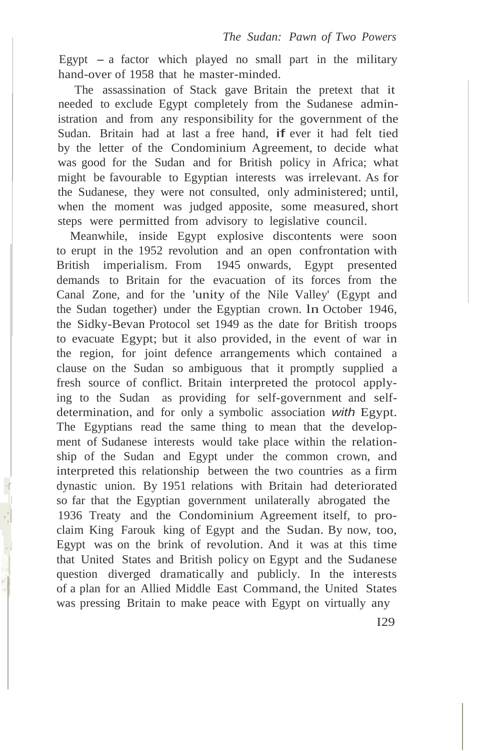Egypt  $-$  a factor which played no small part in the military hand-over of 1958 that he master-minded.

The assassination of Stack gave Britain the pretext that it needed to exclude Egypt completely from the Sudanese administration and from any responsibility for the government of the Sudan. Britain had at last <sup>a</sup> free hand, if ever it had felt tied by the letter of the Condominium Agreement, to decide what was good for the Sudan and for British policy in Africa; what might be favourable to Egyptian interests was irrelevant. As for the Sudanese, they were not consulted, only administered; until, when the moment was judged apposite, some measured, short steps were permitted from advisory to legislative council.

Meanwhile, inside Egypt explosive discontents were soon to erupt in the 1952 revolution and an open confrontation with British imperialism. From 1945 onwards, Egypt presented demands to Britain for the evacuation of its forces from the Canal Zone, and for the 'unity of the Nile Valley' (Egypt and the Sudan together) under the Egyptian crown. ln October 1946, the Sidky-Bevan Protocol set 1949 as the date for British troops to evacuate Egypt; but it also provided, in the event of war in the region, for joint defence arrangements which contained a clause on the Sudan so ambiguous that it promptly supplied a fresh source of conflict. Britain interpreted the protocol applying to the Sudan as providing for self-government and selfdetermination, and for only a symbolic association *with* Egypt. The Egyptians read the same thing to mean that the development of Sudanese interests would take place within the relationship of the Sudan and Egypt under the common crown, and interpreted this relationship between the two countries as a firm dynastic union. By 1951 relations with Britain had deteriorated so far that the Egyptian government unilaterally abrogated the 1936 Treaty and the Condominium Agreement itself, to proclaim King Farouk king of Egypt and the Sudan. By now, too, Egypt was on the brink of revolution. And it was at this time that United States and British policy on Egypt and the Sudanese question diverged dramatically and publicly. In the interests of a plan for an Allied Middle East Command, the United States was pressing Britain to make peace with Egypt on virtually any

·r

·: I

.,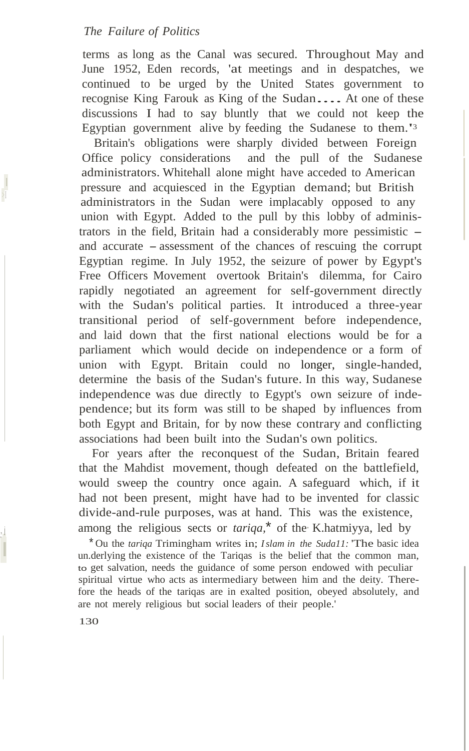terms as long as the Canal was secured. Throughout May and June 1952, Eden records, 'at meetings and in despatches, we continued to be urged by the United States government to recognise King Farouk as King of the Sudan.... At one of these discussions I had to say bluntly that we could not keep the Egyptian government alive by feeding the Sudanese to them.' 3

Britain's obligations were sharply divided between Foreign Office policy considerations and the pull of the Sudanese administrators. Whitehall alone might have acceded to American pressure and acquiesced in the Egyptian demand; but British administrators in the Sudan were implacably opposed to any union with Egypt. Added to the pull by this lobby of administrators in the field, Britain had <sup>a</sup> considerably more pessimistic and accurate - assessment of the chances of rescuing the corrupt Egyptian regime. In July 1952, the seizure of power by Egypt's Free Officers Movement overtook Britain's dilemma, for Cairo rapidly negotiated an agreement for self-government directly with the Sudan's political parties. It introduced a three-year transitional period of self-government before independence, and laid down that the first national elections would be for a parliament which would decide on independence or a form of union with Egypt. Britain could no longer, single-handed, determine the basis of the Sudan's future. In this way, Sudanese independence was due directly to Egypt's own seizure of independence; but its form was still to be shaped by influences from both Egypt and Britain, for by now these contrary and conflicting associations had been built into the Sudan's own politics.

For years after the reconquest of the Sudan, Britain feared that the Mahdist movement, though defeated on the battlefield, would sweep the country once again. A safeguard which, if it had not been present, might have had to be invented for classic divide-and-rule purposes, was at hand. This was the existence, among the religious sects or *tariqa*,<sup>\*</sup> of the K.hatmiyya, led by

\* Ou the *tariqa* Trimingham writes in; *Islam in the Suda11:* 'The basic idea un.derlying the existence of the Tariqas is the belief that the common man, to get salvation, needs the guidance of some person endowed with peculiar spiritual virtue who acts as intermediary between him and the deity. Therefore the heads of the tariqas are in exalted position, obeyed absolutely, and are not merely religious but social leaders of their people.'

130

I l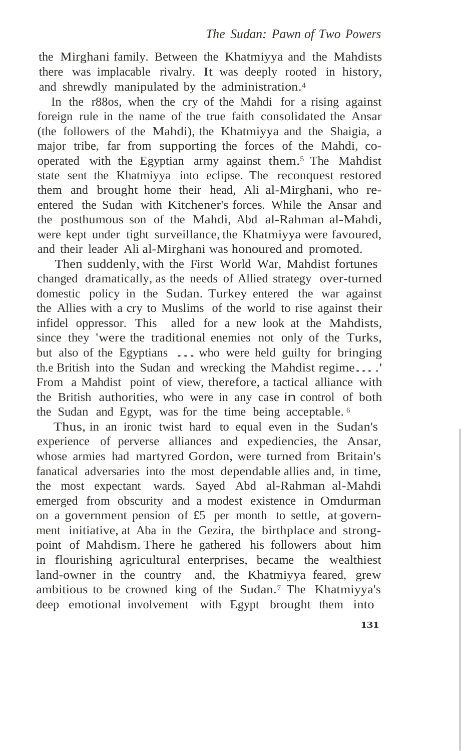the Mirghani family. Between the Khatmiyya and the Mahdists there was implacable rivalry. It was deeply rooted in history, and shrewdly manipulated by the administration. 4

In the r88os, when the cry of the Mahdi for a rising against foreign rule in the name of the true faith consolidated the Ansar (the followers of the Mahdi), the Khatmiyya and the Shaigia, a major tribe, far from supporting the forces of the Mahdi, cooperated with the Egyptian army against them. <sup>5</sup>The Mahdist state sent the Khatmiyya into eclipse. The reconquest restored them and brought home their head, Ali al-Mirghani, who reentered the Sudan with Kitchener's forces. While the Ansar and the posthumous son of the Mahdi, Abd al-Rahman al-Mahdi, were kept under tight surveillance, the Khatmiyya were favoured, and their leader Ali al-Mirghani was honoured and promoted.

Then suddenly, with the First World War, Mahdist fortunes changed dramatically, as the needs of Allied strategy over-turned domestic policy in the Sudan. Turkey entered the war against the Allies with a cry to Muslims of the world to rise against their infidel oppressor. This alled for a new look at the Mahdists, since they 'were the traditional enemies not only of the Turks, but also of the Egyptians ... who were held guilty for bringing th.e British into the Sudan and wrecking the Mahdist regime....' From a Mahdist point of view, therefore, a tactical alliance with the British authorities, who were in any case in control of both the Sudan and Egypt, was for the time being acceptable. <sup>6</sup>

Thus, in an ironic twist hard to equal even in the Sudan's experience of perverse alliances and expediencies, the Ansar, whose armies had martyred Gordon, were turned from Britain's fanatical adversaries into the most dependable allies and, in time, the most expectant wards. Sayed Abd al-Rahman al-Mahdi emerged from obscurity and a modest existence in Omdurman on a government pension of £5 per month to settle, at·government initiative, at Aba in the Gezira, the birthplace and strongpoint of Mahdism. There he gathered his followers about him in flourishing agricultural enterprises, became the wealthiest land-owner in the country and, the Khatmiyya feared, grew ambitious to be crowned king of the Sudan.<sup>7</sup> The Khatmiyya's deep emotional involvement with Egypt brought them into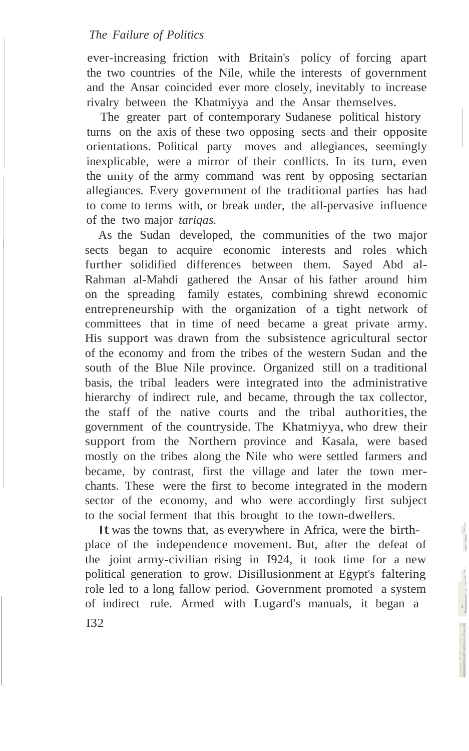ever-increasing friction with Britain's policy of forcing apart the two countries of the Nile, while the interests of government and the Ansar coincided ever more closely, inevitably to increase rivalry between the Khatmiyya and the Ansar themselves.

The greater part of contemporary Sudanese political history turns on the axis of these two opposing sects and their opposite orientations. Political party moves and allegiances, seemingly inexplicable, were a mirror of their conflicts. In its turn, even the unity of the army command was rent by opposing sectarian allegiances. Every government of the traditional parties has had to come to terms with, or break under, the all-pervasive influence of the two major *tariqas.*

As the Sudan developed, the communities of the two major sects began to acquire economic interests and roles which further solidified differences between them. Sayed Abd al-Rahman al-Mahdi gathered the Ansar of his father around him on the spreading family estates, combining shrewd economic entrepreneurship with the organization of a tight network of committees that in time of need became a great private army. His support was drawn from the subsistence agricultural sector of the economy and from the tribes of the western Sudan and the south of the Blue Nile province. Organized still on a traditional basis, the tribal leaders were integrated into the administrative hierarchy of indirect rule, and became, through the tax collector, the staff of the native courts and the tribal authorities, the government of the countryside. The Khatmiyya, who drew their support from the Northern province and Kasala, were based mostly on the tribes along the Nile who were settled farmers and became, by contrast, first the village and later the town merchants. These were the first to become integrated in the modern sector of the economy, and who were accordingly first subject to the social ferment that this brought to the town-dwellers.

It was the towns that, as everywhere in Africa, were the birthplace of the independence movement. But, after the defeat of the joint army-civilian rising in I924, it took time for a new political generation to grow. Disillusionment at Egypt's faltering role led to a long fallow period. Government promoted a system of indirect rule. Armed with Lugard's manuals, it began a

.J' I I

1 '

.j

I32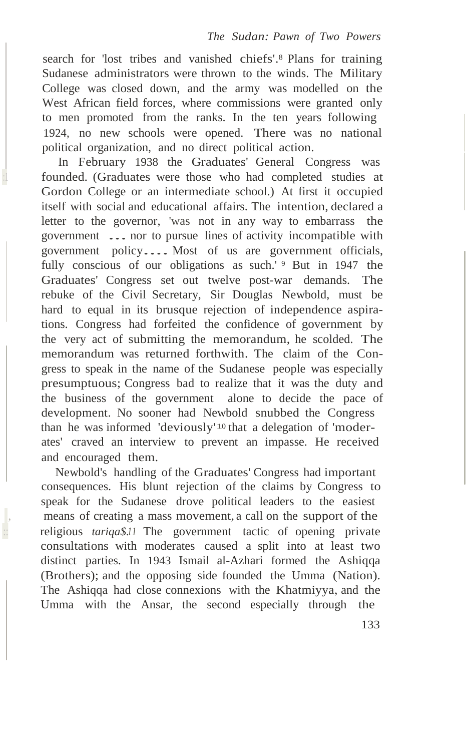search for 'lost tribes and vanished chiefs'.<sup>8</sup> Plans for training Sudanese administrators were thrown to the winds. The Military College was closed down, and the army was modelled on the West African field forces, where commissions were granted only to men promoted from the ranks. In the ten years following 1924, no new schools were opened. There was no national political organization, and no direct political action.

In February 1938 the Graduates' General Congress was founded. (Graduates were those who had completed studies at Gordon College or an intermediate school.) At first it occupied itself with social and educational affairs. The intention, declared a letter to the governor, 'was not in any way to embarrass the government ... nor to pursue lines of activity incompatible with government policy.... Most of us are government officials, fully conscious of our obligations as such.'  $9$  But in 1947 the Graduates' Congress set out twelve post-war demands. The rebuke of the Civil Secretary, Sir Douglas Newbold, must be hard to equal in its brusque rejection of independence aspirations. Congress had forfeited the confidence of government by the very act of submitting the memorandum, he scolded. The memorandum was returned forthwith. The claim of the Congress to speak in the name of the Sudanese people was especially presumptuous; Congress bad to realize that it was the duty and the business of the government alone to decide the pace of development. No sooner had Newbold snubbed the Congress than he was informed 'deviously' 10 that a delegation of 'moderates' craved an interview to prevent an impasse. He received and encouraged them.

Newbold's handling of the Graduates' Congress had important consequences. His blunt rejection of the claims by Congress to speak for the Sudanese drove political leaders to the easiest means of creating a mass movement, a call on the support of the :: religious *tariqa\$.11* The government tactic of opening private consultations with moderates caused a split into at least two distinct parties. In 1943 Ismail al-Azhari formed the Ashiqqa (Brothers); and the opposing side founded the Umma (Nation). The Ashiqqa had close connexions with the Khatmiyya, and the Umma with the Ansar, the second especially through the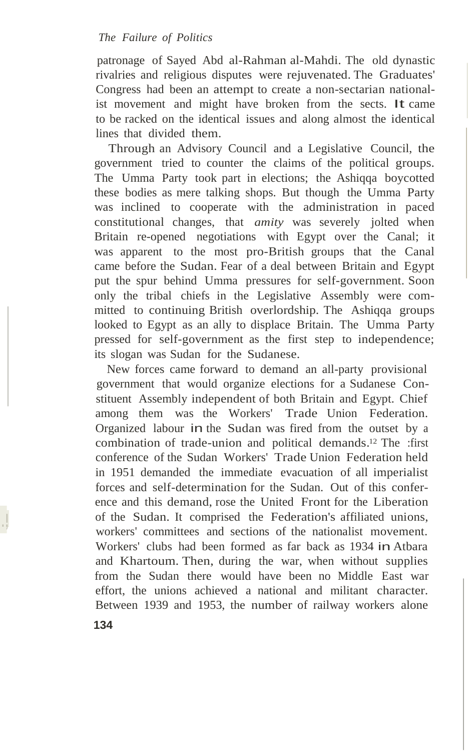patronage of Sayed Abd al-Rahman al-Mahdi. The old dynastic rivalries and religious disputes were rejuvenated. The Graduates' Congress had been an attempt to create a non-sectarian nationalist movement and might have broken from the sects. It came to be racked on the identical issues and along almost the identical lines that divided them.

Through an Advisory Council and a Legislative Council, the government tried to counter the claims of the political groups. The Umma Party took part in elections; the Ashiqqa boycotted these bodies as mere talking shops. But though the Umma Party was inclined to cooperate with the administration in paced constitutional changes, that *amity* was severely jolted when Britain re-opened negotiations with Egypt over the Canal; it was apparent to the most pro-British groups that the Canal came before the Sudan. Fear of a deal between Britain and Egypt put the spur behind Umma pressures for self-government. Soon only the tribal chiefs in the Legislative Assembly were committed to continuing British overlordship. The Ashiqqa groups looked to Egypt as an ally to displace Britain. The Umma Party pressed for self-government as the first step to independence; its slogan was Sudan for the Sudanese.

New forces came forward to demand an all-party provisional government that would organize elections for a Sudanese Constituent Assembly independent of both Britain and Egypt. Chief among them was the Workers' Trade Union Federation. Organized labour in the Sudan was fired from the outset by <sup>a</sup> combination of trade-union and political demands. <sup>12</sup>The :first conference of the Sudan Workers' Trade Union Federation held in 1951 demanded the immediate evacuation of all imperialist forces and self-determination for the Sudan. Out of this conference and this demand, rose the United Front for the Liberation of the Sudan. It comprised the Federation's affiliated unions, workers' committees and sections of the nationalist movement. Workers' clubs had been formed as far back as 1934 in Atbara and Khartoum. Then, during the war, when without supplies from the Sudan there would have been no Middle East war effort, the unions achieved a national and militant character. Between 1939 and 1953, the number of railway workers alone

.,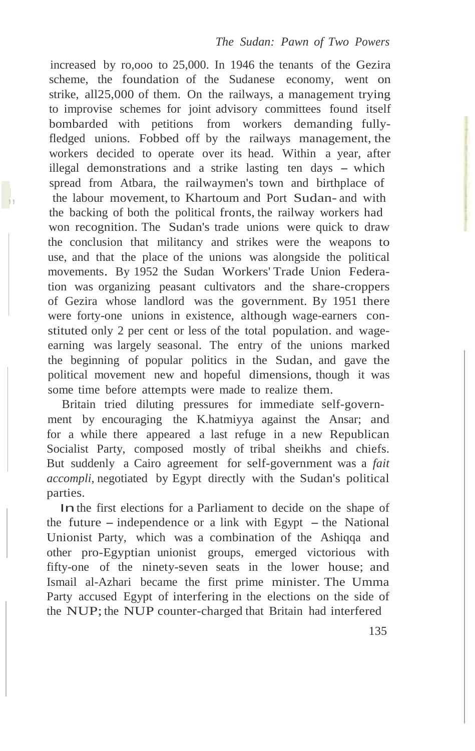increased by ro,ooo to 25,000. In 1946 the tenants of the Gezira scheme, the foundation of the Sudanese economy, went on strike, all25,000 of them. On the railways, a management trying to improvise schemes for joint advisory committees found itself bombarded with petitions from workers demanding fullyfledged unions. Fobbed off by the railways management, the workers decided to operate over its head. Within a year, after illegal demonstrations and a strike lasting ten days - which spread from Atbara, the railwaymen's town and birthplace of the labour movement, to Khartoum and Port Sudan- and with the backing of both the political fronts, the railway workers had won recognition. The Sudan's trade unions were quick to draw the conclusion that militancy and strikes were the weapons to use, and that the place of the unions was alongside the political movements. By 1952 the Sudan Workers' Trade Union Federation was organizing peasant cultivators and the share-croppers of Gezira whose landlord was the government. By 1951 there were forty-one unions in existence, although wage-earners constituted only 2 per cent or less of the total population. and wageearning was largely seasonal. The entry of the unions marked the beginning of popular politics in the Sudan, and gave the political movement new and hopeful dimensions, though it was some time before attempts were made to realize them.

Britain tried diluting pressures for immediate self-government by encouraging the K.hatmiyya against the Ansar; and for a while there appeared a last refuge in a new Republican Socialist Party, composed mostly of tribal sheikhs and chiefs. But suddenly a Cairo agreement for self-government was a *fait accompli,* negotiated by Egypt directly with the Sudan's political parties.

Inthe first elections for <sup>a</sup> Parliament to decide on the shape of the future – independence or a link with Egypt – the National Unionist Party, which was a combination of the Ashiqqa and other pro-Egyptian unionist groups, emerged victorious with fifty-one of the ninety-seven seats in the lower house; and Ismail al-Azhari became the first prime minister. The Umma Party accused Egypt of interfering in the elections on the side of the NUP; the NUP counter-charged that Britain had interfered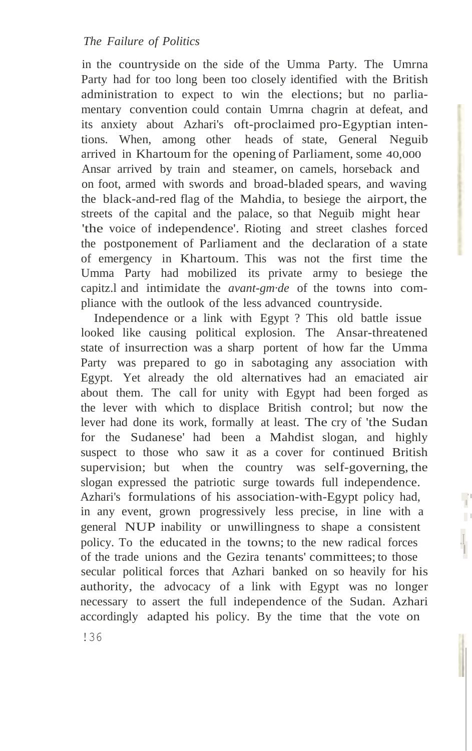in the countryside on the side of the Umma Party. The Umrna Party had for too long been too closely identified with the British administration to expect to win the elections; but no parliamentary convention could contain Umrna chagrin at defeat, and its anxiety about Azhari's oft-proclaimed pro-Egyptian intentions. When, among other heads of state, General Neguib arrived in Khartoum for the opening of Parliament, some 40,000 Ansar arrived by train and steamer, on camels, horseback and on foot, armed with swords and broad-bladed spears, and waving the black-and-red flag of the Mahdia, to besiege the airport, the streets of the capital and the palace, so that Neguib might hear 'the voice of independence'. Rioting and street clashes forced the postponement of Parliament and the declaration of a state of emergency in Khartoum. This was not the first time the Umma Party had mobilized its private army to besiege the capitz.l and intimidate the *avant-gm·de* of the towns into compliance with the outlook of the less advanced countryside.

Independence or a link with Egypt ? This old battle issue looked like causing political explosion. The Ansar-threatened state of insurrection was a sharp portent of how far the Umma Party was prepared to go in sabotaging any association with Egypt. Yet already the old alternatives had an emaciated air about them. The call for unity with Egypt had been forged as the lever with which to displace British control; but now the lever had done its work, formally at least. The cry of 'the Sudan for the Sudanese' had been a Mahdist slogan, and highly suspect to those who saw it as a cover for continued British supervision; but when the country was self-governing, the slogan expressed the patriotic surge towards full independence. Azhari's formulations of his association-with-Egypt policy had, in any event, grown progressively less precise, in line with a general NUP inability or unwillingness to shape a consistent policy. To the educated in the towns; to the new radical forces of the trade unions and the Gezira tenants' committees; to those I secular political forces that Azhari banked on so heavily for his authority, the advocacy of a link with Egypt was no longer necessary to assert the full independence of the Sudan. Azhari accordingly adapted his policy. By the time that the vote on

l

!36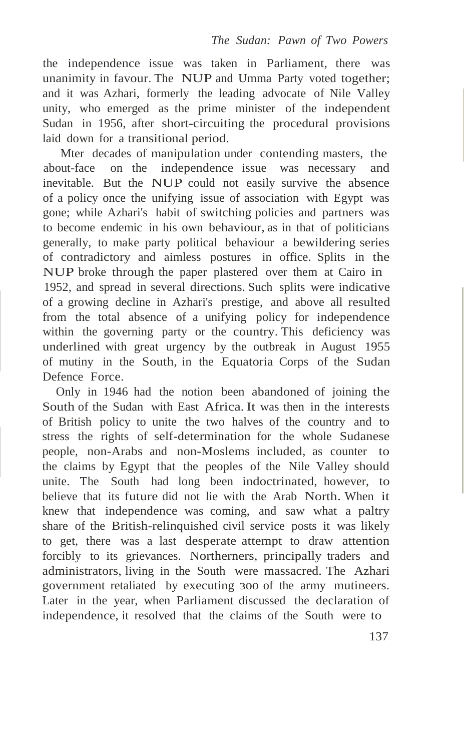the independence issue was taken in Parliament, there was unanimity in favour. The NUP and Umma Party voted together; and it was Azhari, formerly the leading advocate of Nile Valley unity, who emerged as the prime minister of the independent Sudan in 1956, after short-circuiting the procedural provisions laid down for a transitional period.

Mter decades of manipulation under contending masters, the about-face on the independence issue was necessary and inevitable. But the NUP could not easily survive the absence of a policy once the unifying issue of association with Egypt was gone; while Azhari's habit of switching policies and partners was to become endemic in his own behaviour, as in that of politicians generally, to make party political behaviour a bewildering series of contradictory and aimless postures in office. Splits in the NUP broke through the paper plastered over them at Cairo in 1952, and spread in several directions. Such splits were indicative of a growing decline in Azhari's prestige, and above all resulted from the total absence of a unifying policy for independence within the governing party or the country. This deficiency was underlined with great urgency by the outbreak in August 1955 of mutiny in the South, in the Equatoria Corps of the Sudan Defence Force.

Only in 1946 had the notion been abandoned of joining the South of the Sudan with East Africa. It was then in the interests of British policy to unite the two halves of the country and to stress the rights of self-determination for the whole Sudanese people, non-Arabs and non-Moslems included, as counter to the claims by Egypt that the peoples of the Nile Valley should unite. The South had long been indoctrinated, however, to believe that its future did not lie with the Arab North. When it knew that independence was coming, and saw what a paltry share of the British-relinquished civil service posts it was likely to get, there was a last desperate attempt to draw attention forcibly to its grievances. Northerners, principally traders and administrators, living in the South were massacred. The Azhari government retaliated by executing 300 of the army mutineers. Later in the year, when Parliament discussed the declaration of independence, it resolved that the claims of the South were to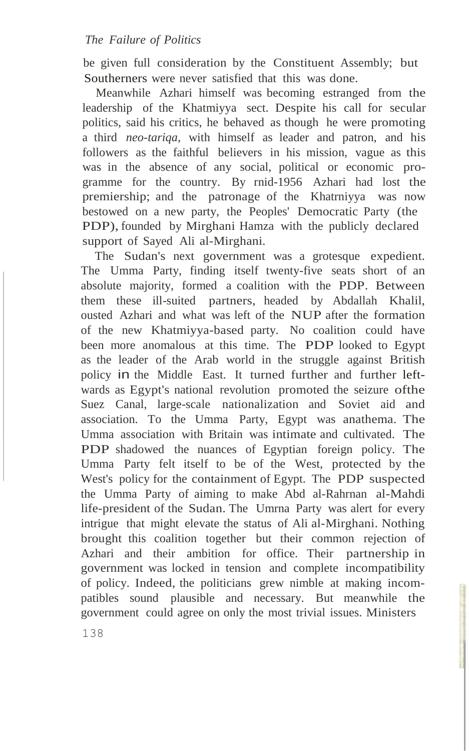be given full consideration by the Constituent Assembly; but Southerners were never satisfied that this was done.

Meanwhile Azhari himself was becoming estranged from the leadership of the Khatmiyya sect. Despite his call for secular politics, said his critics, he behaved as though he were promoting a third *neo-tariqa,* with himself as leader and patron, and his followers as the faithful believers in his mission, vague as this was in the absence of any social, political or economic programme for the country. By rnid-1956 Azhari had lost the premiership; and the patronage of the Khatrniyya was now bestowed on a new party, the Peoples' Democratic Party (the PDP), founded by Mirghani Hamza with the publicly declared support of Sayed Ali al-Mirghani.

The Sudan's next government was a grotesque expedient. The Umma Party, finding itself twenty-five seats short of an absolute majority, formed a coalition with the PDP. Between them these ill-suited partners, headed by Abdallah Khalil, ousted Azhari and what was left of the NUP after the formation of the new Khatmiyya-based party. No coalition could have been more anomalous at this time. The PDP looked to Egypt as the leader of the Arab world in the struggle against British policy in the Middle East. It turned further and further leftwards as Egypt's national revolution promoted the seizure ofthe Suez Canal, large-scale nationalization and Soviet aid and association. To the Umma Party, Egypt was anathema. The Umma association with Britain was intimate and cultivated. The PDP shadowed the nuances of Egyptian foreign policy. The Umma Party felt itself to be of the West, protected by the West's policy for the containment of Egypt. The PDP suspected the Umma Party of aiming to make Abd al-Rahrnan al-Mahdi life-president of the Sudan. The Umrna Party was alert for every intrigue that might elevate the status of Ali al-Mirghani. Nothing brought this coalition together but their common rejection of Azhari and their ambition for office. Their partnership in government was locked in tension and complete incompatibility of policy. Indeed, the politicians grew nimble at making incompatibles sound plausible and necessary. But meanwhile the government could agree on only the most trivial issues. Ministers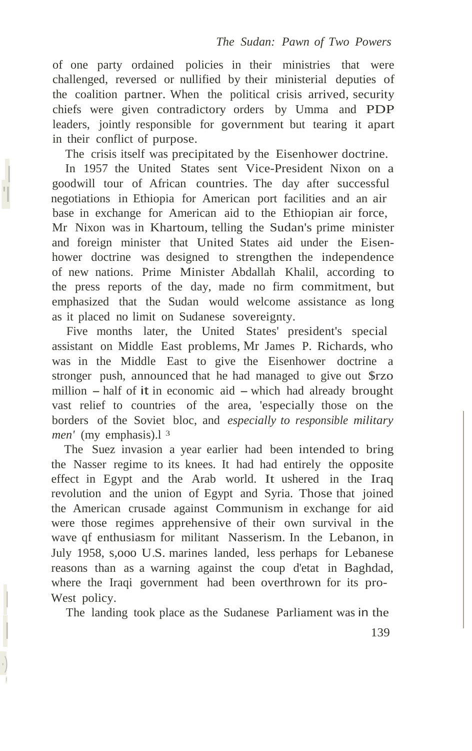of one party ordained policies in their ministries that were challenged, reversed or nullified by their ministerial deputies of the coalition partner. When the political crisis arrived, security chiefs were given contradictory orders by Umma and PDP leaders, jointly responsible for government but tearing it apart in their conflict of purpose.

The crisis itself was precipitated by the Eisenhower doctrine.

I

·)

In 1957 the United States sent Vice-President Nixon on a goodwill tour of African countries. The day after successful negotiations in Ethiopia for American port facilities and an air base in exchange for American aid to the Ethiopian air force, Mr Nixon was in Khartoum, telling the Sudan's prime minister and foreign minister that United States aid under the Eisenhower doctrine was designed to strengthen the independence of new nations. Prime Minister Abdallah Khalil, according to the press reports of the day, made no firm commitment, but emphasized that the Sudan would welcome assistance as long as it placed no limit on Sudanese sovereignty.

Five months later, the United States' president's special assistant on Middle East problems, Mr James P. Richards, who was in the Middle East to give the Eisenhower doctrine a stronger push, announced that he had managed to give out \$rzo million – half of it in economic aid – which had already brought vast relief to countries of the area, 'especially those on the borders of the Soviet bloc, and *especially to responsible military men'* (my emphasis).l 3

The Suez invasion a year earlier had been intended to bring the Nasser regime to its knees. It had had entirely the opposite effect in Egypt and the Arab world. It ushered in the Iraq revolution and the union of Egypt and Syria. Those that joined the American crusade against Communism in exchange for aid were those regimes apprehensive of their own survival in the wave qf enthusiasm for militant Nasserism. In the Lebanon, in July 1958, s,ooo U.S. marines landed, less perhaps for Lebanese reasons than as a warning against the coup d'etat in Baghdad, where the Iraqi government had been overthrown for its pro-West policy.

The landing took place as the Sudanese Parliament was in the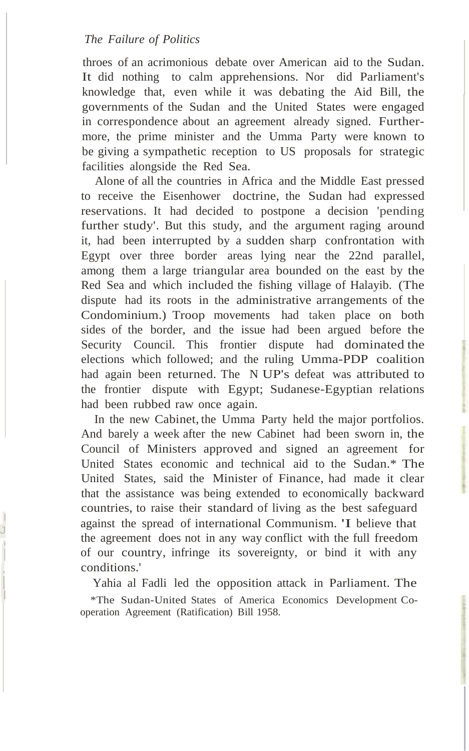I

I

I

throes of an acrimonious debate over American aid to the Sudan. It did nothing to calm apprehensions. Nor did Parliament's knowledge that, even while it was debating the Aid Bill, the governments of the Sudan and the United States were engaged in correspondence about an agreement already signed. Furthermore, the prime minister and the Umma Party were known to be giving a sympathetic reception to US proposals for strategic facilities alongside the Red Sea.

Alone of all the countries in Africa and the Middle East pressed to receive the Eisenhower doctrine, the Sudan had expressed reservations. It had decided to postpone a decision 'pending further study'. But this study, and the argument raging around it, had been interrupted by a sudden sharp confrontation with Egypt over three border areas lying near the 22nd parallel, among them a large triangular area bounded on the east by the Red Sea and which included the fishing village of Halayib. (The dispute had its roots in the administrative arrangements of the Condominium.) Troop movements had taken place on both sides of the border, and the issue had been argued before the Security Council. This frontier dispute had dominated the elections which followed; and the ruling Umma-PDP coalition had again been returned. The N UP's defeat was attributed to the frontier dispute with Egypt; Sudanese-Egyptian relations had been rubbed raw once again.

In the new Cabinet, the Umma Party held the major portfolios. And barely a week after the new Cabinet had been sworn in, the Council of Ministers approved and signed an agreement for United States economic and technical aid to the Sudan.\* The United States, said the Minister of Finance, had made it clear that the assistance was being extended to economically backward countries, to raise their standard of living as the best safeguard against the spread of international Communism. 'I believe that the agreement does not in any way conflict with the full freedom of our country, infringe its sovereignty, or bind it with any conditions.'

Yahia al Fadli led the opposition attack in Parliament. The \*The Sudan-United States of America Economics Development Cooperation Agreement (Ratification) Bill 1958.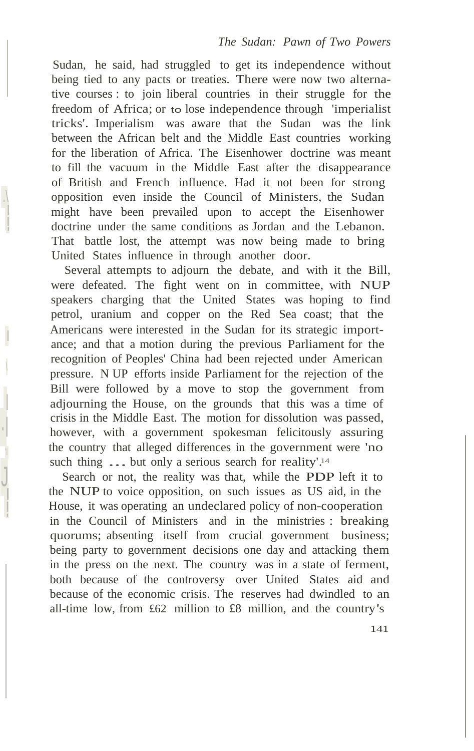Sudan, he said, had struggled to get its independence without being tied to any pacts or treaties. There were now two alternative courses : to join liberal countries in their struggle for the freedom of Africa; or to lose independence through 'imperialist tricks'. Imperialism was aware that the Sudan was the link between the African belt and the Middle East countries working for the liberation of Africa. The Eisenhower doctrine was meant to fill the vacuum in the Middle East after the disappearance of British and French influence. Had it not been for strong opposition even inside the Council of Ministers, the Sudan might have been prevailed upon to accept the Eisenhower doctrine under the same conditions as Jordan and the Lebanon. That battle lost, the attempt was now being made to bring United States influence in through another door.

I

I

·I

I

I

I

Several attempts to adjourn the debate, and with it the Bill, were defeated. The fight went on in committee, with NUP speakers charging that the United States was hoping to find petrol, uranium and copper on the Red Sea coast; that the Americans were interested in the Sudan for its strategic importance; and that a motion during the previous Parliament for the recognition of Peoples' China had been rejected under American pressure. N UP efforts inside Parliament for the rejection of the Bill were followed by a move to stop the government from adjourning the House, on the grounds that this was a time of crisis in the Middle East. The motion for dissolution was passed, however, with a government spokesman felicitously assuring the country that alleged differences in the government were 'no the country that alleged differences in the government<br>such thing ... but only a serious search for reality'.<sup>14</sup>

Search or not, the reality was that, while the PDP left it to the NUP to voice opposition, on such issues as US aid, in the I House, it was operating an undeclared policy of non-cooperation in the Council of Ministers and in the ministries : breaking quorums; absenting itself from crucial government business; being party to government decisions one day and attacking them in the press on the next. The country was in a state of ferment, both because of the controversy over United States aid and because of the economic crisis. The reserves had dwindled to an all-time low, from £62 million to £8 million, and the country's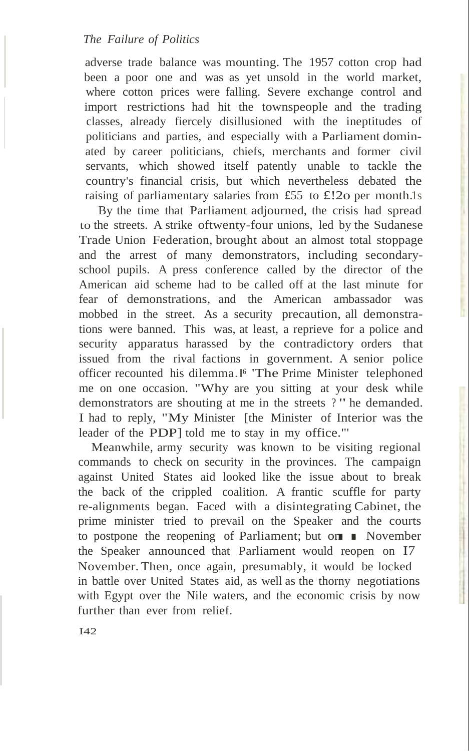adverse trade balance was mounting. The 1957 cotton crop had been a poor one and was as yet unsold in the world market, where cotton prices were falling. Severe exchange control and import restrictions had hit the townspeople and the trading classes, already fiercely disillusioned with the ineptitudes of politicians and parties, and especially with a Parliament dominated by career politicians, chiefs, merchants and former civil servants, which showed itself patently unable to tackle the country's financial crisis, but which nevertheless debated the raising of parliamentary salaries from £55 to £!2o per month.1s

By the time that Parliament adjourned, the crisis had spread to the streets. A strike oftwenty-four unions, led by the Sudanese Trade Union Federation, brought about an almost total stoppage and the arrest of many demonstrators, including secondaryschool pupils. A press conference called by the director of the American aid scheme had to be called off at the last minute for fear of demonstrations, and the American ambassador was mobbed in the street. As a security precaution, all demonstrations were banned. This was, at least, a reprieve for a police and security apparatus harassed by the contradictory orders that issued from the rival factions in government. A senior police officer recounted his dilemma.I 6 'The Prime Minister telephoned me on one occasion. "Why are you sitting at your desk while demonstrators are shouting at me in the streets ? " he demanded. I had to reply, "My Minister [the Minister of Interior was the leader of the PDP] told me to stay in my office."'

Meanwhile, army security was known to be visiting regional commands to check on security in the provinces. The campaign against United States aid looked like the issue about to break the back of the crippled coalition. A frantic scuffle for party re-alignments began. Faced with a disintegrating Cabinet, the prime minister tried to prevail on the Speaker and the courts to postpone the reopening of Parliament; but on I November the Speaker announced that Parliament would reopen on I7 November. Then, once again, presumably, it would be locked in battle over United States aid, as well as the thorny negotiations with Egypt over the Nile waters, and the economic crisis by now further than ever from relief.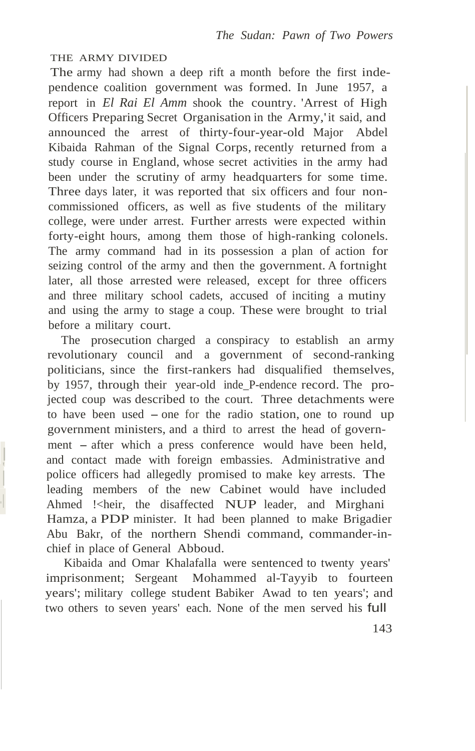#### THE ARMY DIVIDED

I

The army had shown a deep rift a month before the first independence coalition government was formed. In June 1957, a report in *El Rai El Amm* shook the country. 'Arrest of High Officers Preparing Secret Organisation in the Army,'it said, and announced the arrest of thirty-four-year-old Major Abdel Kibaida Rahman of the Signal Corps, recently returned from a study course in England, whose secret activities in the army had been under the scrutiny of army headquarters for some time. Three days later, it was reported that six officers and four noncommissioned officers, as well as five students of the military college, were under arrest. Further arrests were expected within forty-eight hours, among them those of high-ranking colonels. The army command had in its possession a plan of action for seizing control of the army and then the government. A fortnight later, all those arrested were released, except for three officers and three military school cadets, accused of inciting a mutiny and using the army to stage a coup. These were brought to trial before a military court.

The prosecution charged a conspiracy to establish an army revolutionary council and a government of second-ranking politicians, since the first-rankers had disqualified themselves, by 1957, through their year-old inde\_P-endence record. The projected coup was described to the court. Three detachments were to have been used - one for the radio station, one to round up government ministers, and a third to arrest the head of government – after which a press conference would have been held, and contact made with foreign embassies. Administrative and police officers had allegedly promised to make key arrests. The leading members of the new Cabinet would have included Ahmed !<heir, the disaffected NUP leader, and Mirghani Hamza, a PDP minister. It had been planned to make Brigadier Abu Bakr, of the northern Shendi command, commander-inchief in place of General Abboud.

Kibaida and Omar Khalafalla were sentenced to twenty years' imprisonment; Sergeant Mohammed al-Tayyib to fourteen years'; military college student Babiker Awad to ten years'; and two others to seven years' each. None of the men served his full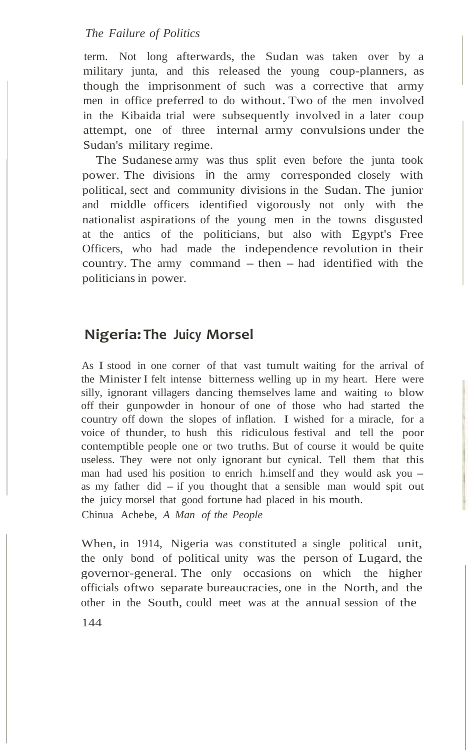term. Not long afterwards, the Sudan was taken over by a military junta, and this released the young coup-planners, as though the imprisonment of such was a corrective that army men in office preferred to do without. Two of the men involved in the Kibaida trial were subsequently involved in a later coup attempt, one of three internal army convulsions under the Sudan's military regime.

The Sudanese army was thus split even before the junta took power. The divisions in the army corresponded closely with political, sect and community divisions in the Sudan. The junior and middle officers identified vigorously not only with the nationalist aspirations of the young men in the towns disgusted at the antics of the politicians, but also with Egypt's Free Officers, who had made the independence revolution in their country. The army command  $-$  then  $-$  had identified with the politicians in power.

# **Nigeria: The Juicy Morsel**

As I stood in one corner of that vast tumult waiting for the arrival of the Minister I felt intense bitterness welling up in my heart. Here were silly, ignorant villagers dancing themselves lame and waiting to blow off their gunpowder in honour of one of those who had started the country off down the slopes of inflation. I wished for a miracle, for a voice of thunder, to hush this ridiculous festival and tell the poor contemptible people one or two truths. But of course it would be quite useless. They were not only ignorant but cynical. Tell them that this man had used his position to enrich h.imself and they would ask you  $$ as my father did -if you thought that a sensible man would spit out the juicy morsel that good fortune had placed in his mouth. Chinua Achebe, *A Man of the People*

When, in 1914, Nigeria was constituted a single political unit, the only bond of political unity was the person of Lugard, the governor-general. The only occasions on which the higher officials oftwo separate bureaucracies, one in the North, and the other in the South, could meet was at the annual session of the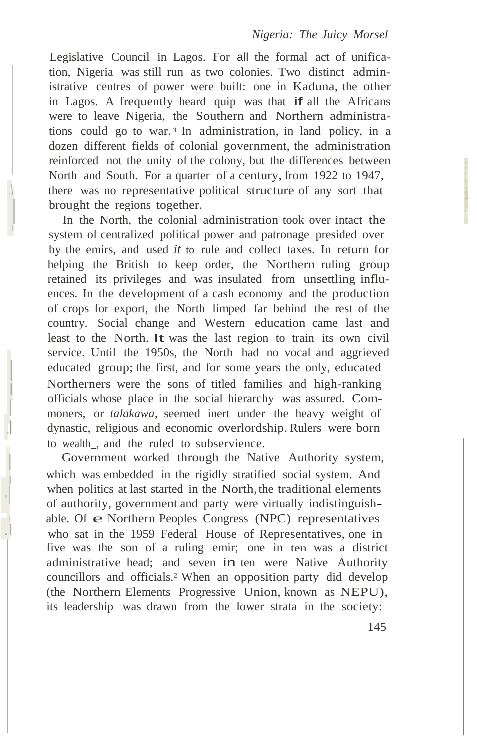Legislative Council in Lagos. For all the formal act of unification, Nigeria was still run as two colonies. Two distinct administrative centres of power were built: one in Kaduna, the other in Lagos. A frequently heard quip was that if all the Africans were to leave Nigeria, the Southern and Northern administrations could go to war. 1 In administration, in land policy, in a dozen different fields of colonial government, the administration reinforced not the unity of the colony, but the differences between North and South. For a quarter of a century, from 1922 to 1947, there was no representative political structure of any sort that brought the regions together.

I

I

I

I

I

I

·I

I

In the North, the colonial administration took over intact the system of centralized political power and patronage presided over by the emirs, and used *it* to rule and collect taxes. In return for helping the British to keep order, the Northern ruling group retained its privileges and was insulated from unsettling influences. In the development of a cash economy and the production of crops for export, the North limped far behind the rest of the country. Social change and Western education came last and least to the North. It was the last region to train its own civil service. Until the 1950s, the North had no vocal and aggrieved educated group; the first, and for some years the only, educated Northerners were the sons of titled families and high-ranking officials whose place in the social hierarchy was assured. Commoners, or *talakawa,* seemed inert under the heavy weight of dynastic, religious and economic overlordship. Rulers were born to wealth , and the ruled to subservience.

Government worked through the Native Authority system, which was embedded in the rigidly stratified social system. And when politics at last started in the North, the traditional elements of authority, government and party were virtually indistinguish able. Of e Northern Peoples Congress (NPC) representatives who sat in the 1959 Federal House of Representatives, one in five was the son of a ruling emir; one in ten was a district administrative head; and seven in ten were Native Authority councillors and officials. <sup>2</sup> When an opposition party did develop (the Northern Elements Progressive Union, known as NEPU), its leadership was drawn from the lower strata in the society: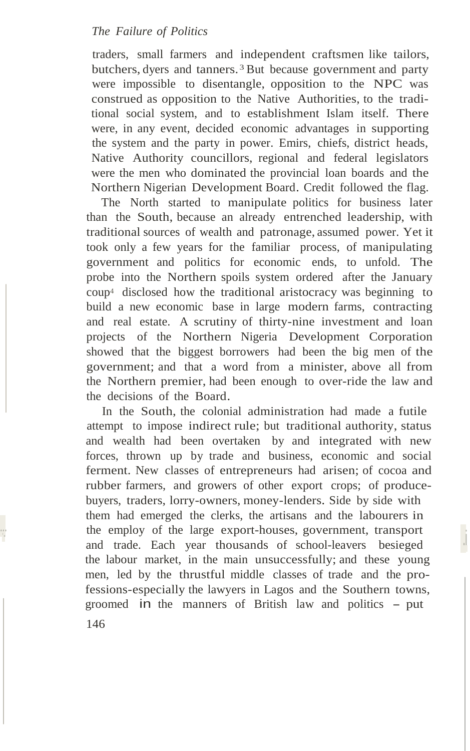traders, small farmers and independent craftsmen like tailors, butchers, dyers and tanners. <sup>3</sup> But because government and party were impossible to disentangle, opposition to the NPC was construed as opposition to the Native Authorities, to the traditional social system, and to establishment Islam itself. There were, in any event, decided economic advantages in supporting the system and the party in power. Emirs, chiefs, district heads, Native Authority councillors, regional and federal legislators were the men who dominated the provincial loan boards and the Northern Nigerian Development Board. Credit followed the flag.

The North started to manipulate politics for business later than the South, because an already entrenched leadership, with traditional sources of wealth and patronage, assumed power. Yet it took only a few years for the familiar process, of manipulating government and politics for economic ends, to unfold. The probe into the Northern spoils system ordered after the January coup4 disclosed how the traditional aristocracy was beginning to build a new economic base in large modern farms, contracting and real estate. A scrutiny of thirty-nine investment and loan projects of the Northern Nigeria Development Corporation showed that the biggest borrowers had been the big men of the government; and that a word from a minister, above all from the Northern premier, had been enough to over-ride the law and the decisions of the Board.

In the South, the colonial administration had made a futile attempt to impose indirect rule; but traditional authority, status and wealth had been overtaken by and integrated with new forces, thrown up by trade and business, economic and social ferment. New classes of entrepreneurs had arisen; of cocoa and rubber farmers, and growers of other export crops; of producebuyers, traders, lorry-owners, money-lenders. Side by side with them had emerged the clerks, the artisans and the labourers in the employ of the large export-houses, government, transport and trade. Each year thousands of school-leavers besieged the labour market, in the main unsuccessfully; and these young men, led by the thrustful middle classes of trade and the professions-especially the lawyers in Lagos and the Southern towns, groomed in the manners of British law and politics - put

.i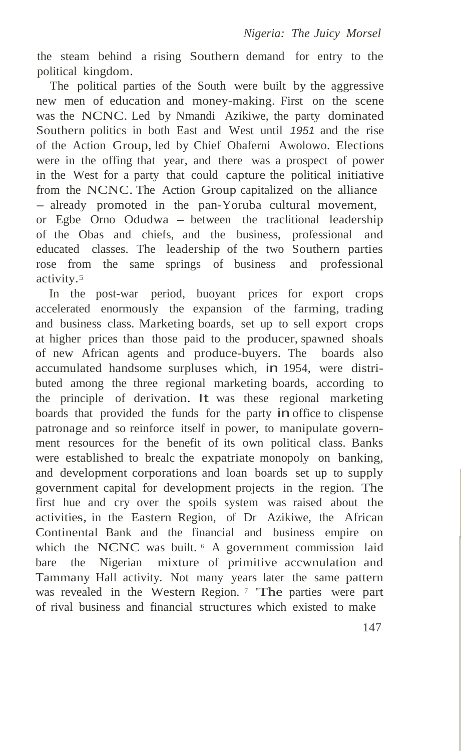the steam behind a rising Southern demand for entry to the political kingdom.

The political parties of the South were built by the aggressive new men of education and money-making. First on the scene was the NCNC. Led by Nmandi Azikiwe, the party dominated Southern politics in both East and West until *1951* and the rise of the Action Group, led by Chief Obaferni Awolowo. Elections were in the offing that year, and there was a prospect of power in the West for a party that could capture the political initiative from the NCNC. The Action Group capitalized on the alliance - already promoted in the pan-Yoruba cultural movement, or Egbe Orno Odudwa - between the traclitional leadership of the Obas and chiefs, and the business, professional and educated classes. The leadership of the two Southern parties rose from the same springs of business and professional activity. 5

In the post-war period, buoyant prices for export crops accelerated enormously the expansion of the farming, trading and business class. Marketing boards, set up to sell export crops at higher prices than those paid to the producer, spawned shoals of new African agents and produce-buyers. The boards also accumulated handsome surpluses which, in 1954, were distributed among the three regional marketing boards, according to the principle of derivation. It was these regional marketing boards that provided the funds for the party in office to clispense patronage and so reinforce itself in power, to manipulate government resources for the benefit of its own political class. Banks were established to brealc the expatriate monopoly on banking, and development corporations and loan boards set up to supply government capital for development projects in the region. The first hue and cry over the spoils system was raised about the activities, in the Eastern Region, of Dr Azikiwe, the African Continental Bank and the financial and business empire on which the NCNC was built. <sup>6</sup> A government commission laid bare the Nigerian mixture of primitive accwnulation and Tammany Hall activity. Not many years later the same pattern was revealed in the Western Region. 7 The parties were part of rival business and financial structures which existed to make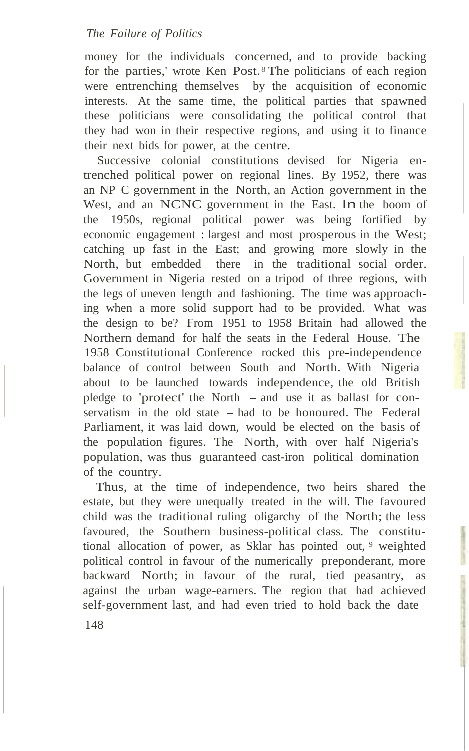money for the individuals concerned, and to provide backing for the parties,' wrote Ken Post. <sup>8</sup> The politicians of each region were entrenching themselves by the acquisition of economic interests. At the same time, the political parties that spawned these politicians were consolidating the political control that they had won in their respective regions, and using it to finance their next bids for power, at the centre.

Successive colonial constitutions devised for Nigeria entrenched political power on regional lines. By 1952, there was an NP C government in the North, an Action government in the West, and an NCNC government in the East. In the boom of the 1950s, regional political power was being fortified by economic engagement : largest and most prosperous in the West; catching up fast in the East; and growing more slowly in the North, but embedded there in the traditional social order. Government in Nigeria rested on a tripod of three regions, with the legs of uneven length and fashioning. The time was approaching when a more solid support had to be provided. What was the design to be? From 1951 to 1958 Britain had allowed the Northern demand for half the seats in the Federal House. The 1958 Constitutional Conference rocked this pre-independence balance of control between South and North. With Nigeria about to be launched towards independence, the old British pledge to 'protect' the North - and use it as ballast for conservatism in the old state – had to be honoured. The Federal Parliament, it was laid down, would be elected on the basis of the population figures. The North, with over half Nigeria's population, was thus guaranteed cast-iron political domination of the country.

Thus, at the time of independence, two heirs shared the estate, but they were unequally treated in the will. The favoured child was the traditional ruling oligarchy of the North; the less favoured, the Southern business-political class. The constitutional allocation of power, as Sklar has pointed out, <sup>9</sup> weighted political control in favour of the numerically preponderant, more backward North; in favour of the rural, tied peasantry, as against the urban wage-earners. The region that had achieved self-government last, and had even tried to hold back the date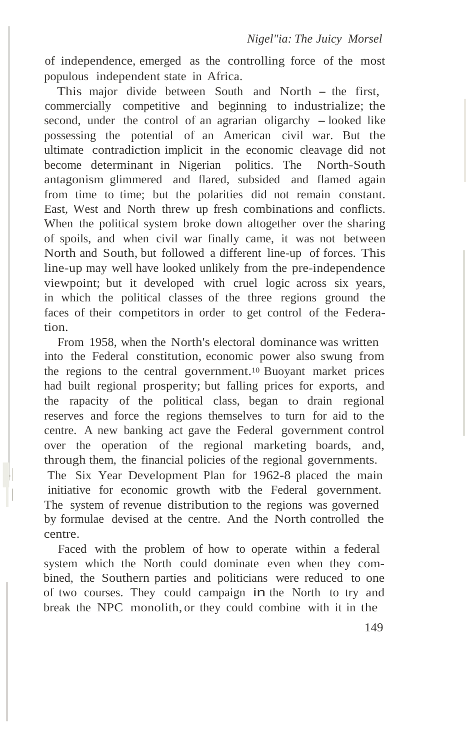of independence, emerged as the controlling force of the most populous independent state in Africa.

This major divide between South and North – the first, commercially competitive and beginning to industrialize; the second, under the control of an agrarian oligarchy - looked like possessing the potential of an American civil war. But the ultimate contradiction implicit in the economic cleavage did not become determinant in Nigerian politics. The North-South antagonism glimmered and flared, subsided and flamed again from time to time; but the polarities did not remain constant. East, West and North threw up fresh combinations and conflicts. When the political system broke down altogether over the sharing of spoils, and when civil war finally came, it was not between North and South, but followed a different line-up of forces. This line-up may well have looked unlikely from the pre-independence viewpoint; but it developed with cruel logic across six years, in which the political classes of the three regions ground the faces of their competitors in order to get control of the Federation.

From 1958, when the North's electoral dominance was written into the Federal constitution, economic power also swung from the regions to the central government. <sup>10</sup> Buoyant market prices had built regional prosperity; but falling prices for exports, and the rapacity of the political class, began to drain regional reserves and force the regions themselves to turn for aid to the centre. A new banking act gave the Federal government control over the operation of the regional marketing boards, and, through them, the financial policies of the regional governments.

The Six Year Development Plan for 1962-8 placed the main initiative for economic growth witb the Federal government. The system of revenue distribution to the regions was governed by formulae devised at the centre. And the North controlled the centre.

I

Faced with the problem of how to operate within a federal system which the North could dominate even when they combined, the Southern parties and politicians were reduced to one of two courses. They could campaign in the North to try and break the NPC monolith, or they could combine with it in the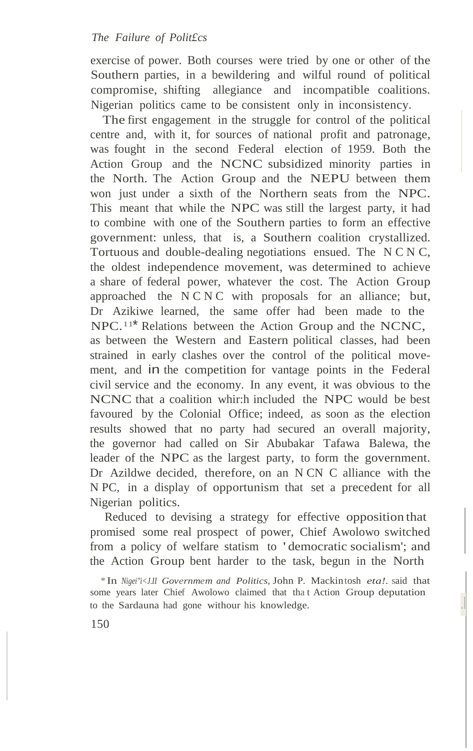exercise of power. Both courses were tried by one or other of the Southern parties, in a bewildering and wilful round of political compromise, shifting allegiance and incompatible coalitions. Nigerian politics came to be consistent only in inconsistency.

The first engagement in the struggle for control of the political centre and, with it, for sources of national profit and patronage, was fought in the second Federal election of 1959. Both the Action Group and the NCNC subsidized minority parties in the North. The Action Group and the NEPU between them won just under a sixth of the Northern seats from the NPC. This meant that while the NPC was still the largest party, it had to combine with one of the Southern parties to form an effective government: unless, that is, a Southern coalition crystallized. Tortuous and double-dealing negotiations ensued. The N C N C, the oldest independence movement, was determined to achieve a share of federal power, whatever the cost. The Action Group approached the  $N C N C$  with proposals for an alliance; but, Dr Azikiwe learned, the same offer had been made to the NPC.<sup>11\*</sup> Relations between the Action Group and the NCNC, as between the Western and Eastern political classes, had been strained in early clashes over the control of the political movement, and in the competition for vantage points in the Federal civil service and the economy. In any event, it was obvious to the NCNC that a coalition whir:h included the NPC would be best favoured by the Colonial Office; indeed, as soon as the election results showed that no party had secured an overall majority, the governor had called on Sir Abubakar Tafawa Balewa, the leader of the NPC as the largest party, to form the government. Dr Azildwe decided, therefore, on an N CN C alliance with the N PC, in a display of opportunism that set a precedent for all Nigerian politics.

Reduced to devising a strategy for effective opposition that promised some real prospect of power, Chief Awolowo switched from a policy of welfare statism to ' democratic socialism'; and the Action Group bent harder to the task, begun in the North

\* In *Nigei"i<J.II Governmem and Politics,* John P. Mackintosh *eta!.* said that some years later Chief Awolowo claimed that that Action Group deputation to the Sardauna had gone withour his knowledge.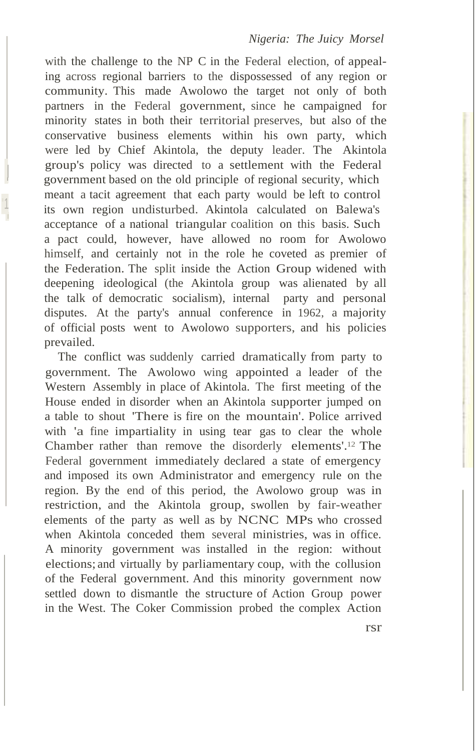#### *Nigeria: The Juicy Morsel*

with the challenge to the NP C in the Federal election, of appealing across regional barriers to the dispossessed of any region or community. This made Awolowo the target not only of both partners in the Federal government, since he campaigned for minority states in both their territorial preserves, but also of the conservative business elements within his own party, which were led by Chief Akintola, the deputy leader. The Akintola group's policy was directed to a settlement with the Federal government based on the old principle of regional security, which meant a tacit agreement that each party would be left to control its own region undisturbed. Akintola calculated on Balewa's acceptance of a national triangular coalition on this basis. Such a pact could, however, have allowed no room for Awolowo himself, and certainly not in the role he coveted as premier of the Federation. The split inside the Action Group widened with deepening ideological (the Akintola group was alienated by all the talk of democratic socialism), internal party and personal disputes. At the party's annual conference in 1962, a majority of official posts went to Awolowo supporters, and his policies prevailed.

I

I

The conflict was suddenly carried dramatically from party to government. The Awolowo wing appointed a leader of the Western Assembly in place of Akintola. The first meeting of the House ended in disorder when an Akintola supporter jumped on a table to shout 'There is fire on the mountain'. Police arrived with 'a fine impartiality in using tear gas to clear the whole Chamber rather than remove the disorderly elements'. <sup>12</sup> The Federal government immediately declared a state of emergency and imposed its own Administrator and emergency rule on the region. By the end of this period, the Awolowo group was in restriction, and the Akintola group, swollen by fair-weather elements of the party as well as by NCNC MPs who crossed when Akintola conceded them several ministries, was in office. A minority government was installed in the region: without elections; and virtually by parliamentary coup, with the collusion of the Federal government. And this minority government now settled down to dismantle the structure of Action Group power in the West. The Coker Commission probed the complex Action

rsr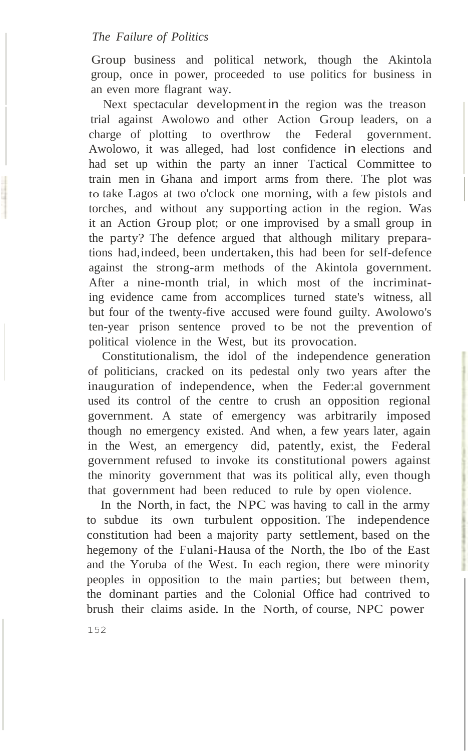Group business and political network, though the Akintola group, once in power, proceeded to use politics for business in an even more flagrant way.

Next spectacular development in the region was the treason trial against Awolowo and other Action Group leaders, on a charge of plotting to overthrow the Federal government. Awolowo, it was alleged, had lost confidence in elections and had set up within the party an inner Tactical Committee to train men in Ghana and import arms from there. The plot was to take Lagos at two o'clock one morning, with a few pistols and torches, and without any supporting action in the region. Was it an Action Group plot; or one improvised by a small group in the party? The defence argued that although military preparations had,indeed, been undertaken, this had been for self-defence against the strong-arm methods of the Akintola government. After a nine-month trial, in which most of the incriminating evidence came from accomplices turned state's witness, all but four of the twenty-five accused were found guilty. Awolowo's ten-year prison sentence proved to be not the prevention of political violence in the West, but its provocation.

Constitutionalism, the idol of the independence generation of politicians, cracked on its pedestal only two years after the inauguration of independence, when the Feder:al government used its control of the centre to crush an opposition regional government. A state of emergency was arbitrarily imposed though no emergency existed. And when, a few years later, again in the West, an emergency did, patently, exist, the Federal government refused to invoke its constitutional powers against the minority government that was its political ally, even though that government had been reduced to rule by open violence.

In the North, in fact, the NPC was having to call in the army to subdue its own turbulent opposition. The independence constitution had been a majority party settlement, based on the hegemony of the Fulani-Hausa of the North, the Ibo of the East and the Yoruba of the West. In each region, there were minority peoples in opposition to the main parties; but between them, the dominant parties and the Colonial Office had contrived to brush their claims aside. In the North, of course, NPC power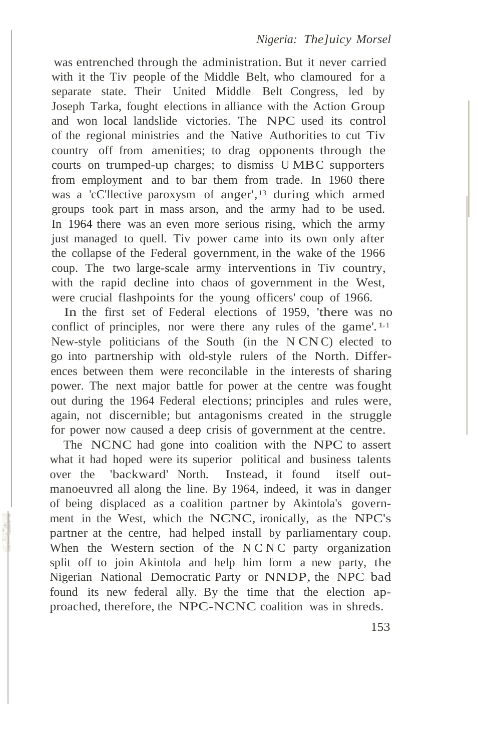was entrenched through the administration. But it never carried with it the Tiv people of the Middle Belt, who clamoured for a separate state. Their United Middle Belt Congress, led by Joseph Tarka, fought elections in alliance with the Action Group and won local landslide victories. The NPC used its control of the regional ministries and the Native Authorities to cut Tiv country off from amenities; to drag opponents through the courts on trumped-up charges; to dismiss U MBC supporters from employment and to bar them from trade. In 1960 there was a 'cC'llective paroxysm of anger',<sup>13</sup> during which armed groups took part in mass arson, and the army had to be used. In 1964 there was an even more serious rising, which the army just managed to quell. Tiv power came into its own only after the collapse of the Federal government, in the wake of the 1966 coup. The two large-scale army interventions in Tiv country, with the rapid decline into chaos of government in the West, were crucial flashpoints for the young officers' coup of 1966.

In the first set of Federal elections of 1959, 'there was no conflict of principles, nor were there any rules of the game'.<sup>1,1</sup> New-style politicians of the South (in the N CNC) elected to go into partnership with old-style rulers of the North. Differences between them were reconcilable in the interests of sharing power. The next major battle for power at the centre was fought out during the 1964 Federal elections; principles and rules were, again, not discernible; but antagonisms created in the struggle for power now caused a deep crisis of government at the centre.

The NCNC had gone into coalition with the NPC to assert what it had hoped were its superior political and business talents over the 'backward' North. Instead, it found itself outmanoeuvred all along the line. By 1964, indeed, it was in danger of being displaced as a coalition partner by Akintola's government in the West, which the NCNC, ironically, as the NPC's partner at the centre, had helped install by parliamentary coup. When the Western section of the  $N C N C$  party organization split off to join Akintola and help him form a new party, the Nigerian National Democratic Party or NNDP, the NPC bad found its new federal ally. By the time that the election approached, therefore, the NPC-NCNC coalition was in shreds.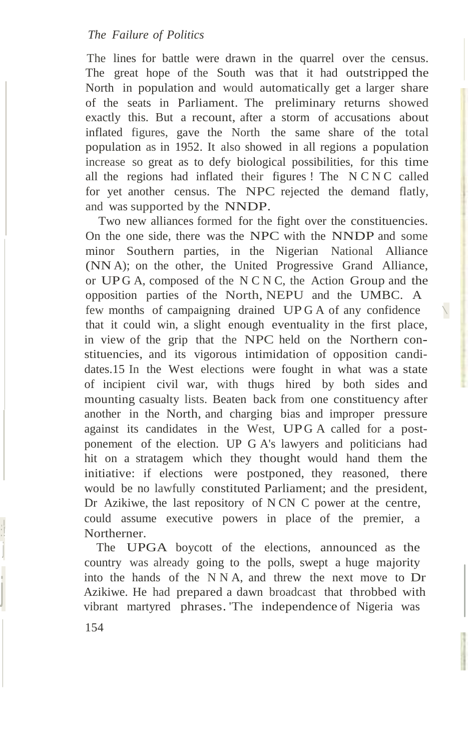The lines for battle were drawn in the quarrel over the census. The great hope of the South was that it had outstripped the North in population and would automatically get a larger share of the seats in Parliament. The preliminary returns showed exactly this. But a recount, after a storm of accusations about inflated figures, gave the North the same share of the total population as in 1952. It also showed in all regions a population increase so great as to defy biological possibilities, for this time all the regions had inflated their figures ! The  $N C N C$  called for yet another census. The NPC rejected the demand flatly, and was supported by the NNDP.

Two new alliances formed for the fight over the constituencies. On the one side, there was the NPC with the NNDP and some minor Southern parties, in the Nigerian National Alliance (NN A); on the other, the United Progressive Grand Alliance, or UPG A, composed of the N C N C, the Action Group and the opposition parties of the North, NEPU and the UMBC. A few months of campaigning drained UP <sup>G</sup> <sup>A</sup> of any confidence \ that it could win, a slight enough eventuality in the first place, in view of the grip that the NPC held on the Northern constituencies, and its vigorous intimidation of opposition candidates.15 In the West elections were fought in what was a state of incipient civil war, with thugs hired by both sides and mounting casualty lists. Beaten back from one constituency after another in the North, and charging bias and improper pressure against its candidates in the West, UPG A called for a postponement of the election. UP G A's lawyers and politicians had hit on a stratagem which they thought would hand them the initiative: if elections were postponed, they reasoned, there would be no lawfully constituted Parliament; and the president, Dr Azikiwe, the last repository of N CN C power at the centre, could assume executive powers in place of the premier, a Northerner.

The UPGA boycott of the elections, announced as the country was already going to the polls, swept a huge majority into the hands of the N N A, and threw the next move to Dr Azikiwe. He had prepared a dawn broadcast that throbbed with vibrant martyred phrases. 'The independence of Nigeria was

154

j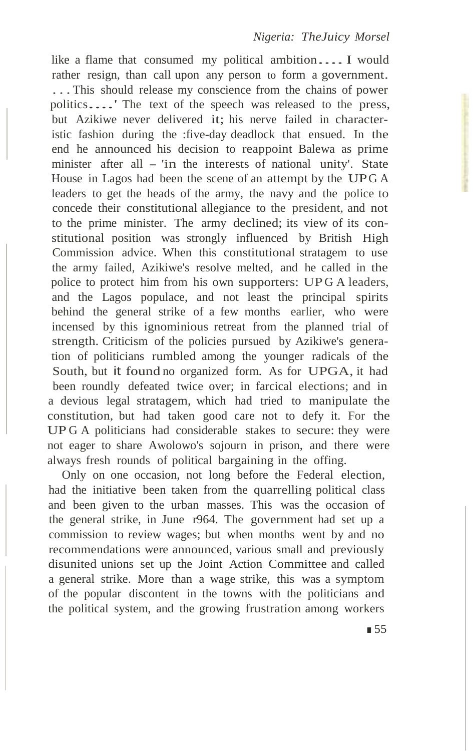like <sup>a</sup> flame that consumed my political ambition....I would rather resign, than call upon any person to form a government. . . . This should release my conscience from the chains of power politics....' The text of the speech was released to the press, but Azikiwe never delivered it; his nerve failed in characteristic fashion during the :five-day deadlock that ensued. In the end he announced his decision to reappoint Balewa as prime minister after all - 'in the interests of national unity'. State House in Lagos had been the scene of an attempt by the UPG A leaders to get the heads of the army, the navy and the police to concede their constitutional allegiance to the president, and not to the prime minister. The army declined; its view of its constitutional position was strongly influenced by British High Commission advice. When this constitutional stratagem to use the army failed, Azikiwe's resolve melted, and he called in the police to protect him from his own supporters: UPG A leaders, and the Lagos populace, and not least the principal spirits behind the general strike of a few months earlier, who were incensed by this ignominious retreat from the planned trial of strength. Criticism of the policies pursued by Azikiwe's generation of politicians rumbled among the younger radicals of the South, but it found no organized form. As for UPGA, it had been roundly defeated twice over; in farcical elections; and in a devious legal stratagem, which had tried to manipulate the constitution, but had taken good care not to defy it. For the UP G A politicians had considerable stakes to secure: they were not eager to share Awolowo's sojourn in prison, and there were always fresh rounds of political bargaining in the offing.

Only on one occasion, not long before the Federal election, had the initiative been taken from the quarrelling political class and been given to the urban masses. This was the occasion of the general strike, in June r964. The government had set up a commission to review wages; but when months went by and no recommendations were announced, various small and previously disunited unions set up the Joint Action Committee and called a general strike. More than a wage strike, this was a symptom of the popular discontent in the towns with the politicians and the political system, and the growing frustration among workers<br> **I** 55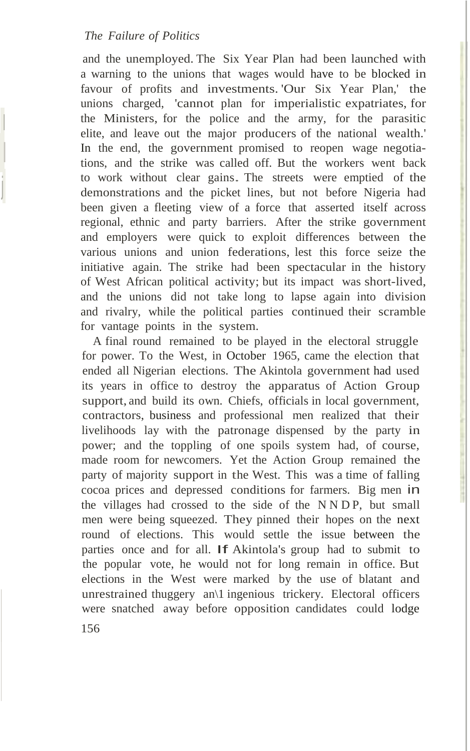I

I

j

and the unemployed. The Six Year Plan had been launched with a warning to the unions that wages would have to be blocked in favour of profits and investments. 'Our Six Year Plan,' the unions charged, 'cannot plan for imperialistic expatriates, for the Ministers, for the police and the army, for the parasitic elite, and leave out the major producers of the national wealth.' In the end, the government promised to reopen wage negotiations, and the strike was called off. But the workers went back to work without clear gains. The streets were emptied of the demonstrations and the picket lines, but not before Nigeria had been given a fleeting view of a force that asserted itself across regional, ethnic and party barriers. After the strike government and employers were quick to exploit differences between the various unions and union federations, lest this force seize the initiative again. The strike had been spectacular in the history of West African political activity; but its impact was short-lived, and the unions did not take long to lapse again into division and rivalry, while the political parties continued their scramble for vantage points in the system.

A final round remained to be played in the electoral struggle for power. To the West, in October 1965, came the election that ended all Nigerian elections. The Akintola government had used its years in office to destroy the apparatus of Action Group support, and build its own. Chiefs, officials in local government, contractors, business and professional men realized that their livelihoods lay with the patronage dispensed by the party in power; and the toppling of one spoils system had, of course, made room for newcomers. Yet the Action Group remained the party of majority support in the West. This was a time of falling cocoa prices and depressed conditions for farmers. Big men in the villages had crossed to the side of the N N D P, but small men were being squeezed. They pinned their hopes on the next round of elections. This would settle the issue between the parties once and for all. If Akintola's group had to submit to the popular vote, he would not for long remain in office. But elections in the West were marked by the use of blatant and unrestrained thuggery an\1 ingenious trickery. Electoral officers were snatched away before opposition candidates could lodge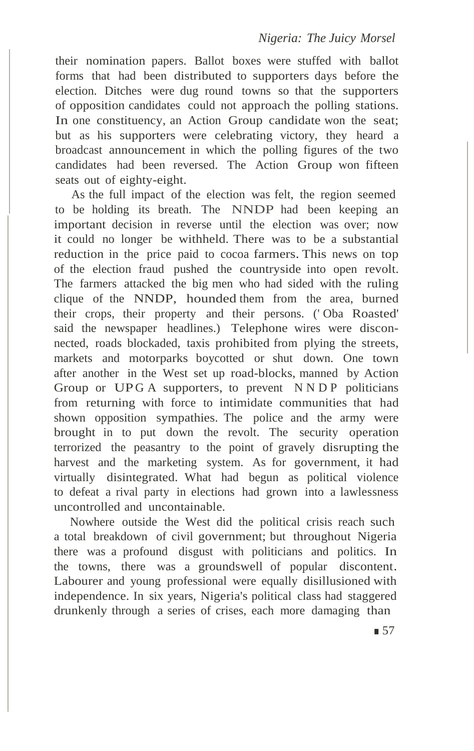their nomination papers. Ballot boxes were stuffed with ballot forms that had been distributed to supporters days before the election. Ditches were dug round towns so that the supporters of opposition candidates could not approach the polling stations. In one constituency, an Action Group candidate won the seat; but as his supporters were celebrating victory, they heard a broadcast announcement in which the polling figures of the two candidates had been reversed. The Action Group won fifteen seats out of eighty-eight.

As the full impact of the election was felt, the region seemed to be holding its breath. The NNDP had been keeping an important decision in reverse until the election was over; now it could no longer be withheld. There was to be a substantial reduction in the price paid to cocoa farmers. This news on top of the election fraud pushed the countryside into open revolt. The farmers attacked the big men who had sided with the ruling clique of the NNDP, hounded them from the area, burned their crops, their property and their persons. (' Oba Roasted' said the newspaper headlines.) Telephone wires were disconnected, roads blockaded, taxis prohibited from plying the streets, markets and motorparks boycotted or shut down. One town after another in the West set up road-blocks, manned by Action Group or UPG A supporters, to prevent N N D P politicians from returning with force to intimidate communities that had shown opposition sympathies. The police and the army were brought in to put down the revolt. The security operation terrorized the peasantry to the point of gravely disrupting the harvest and the marketing system. As for government, it had virtually disintegrated. What had begun as political violence to defeat a rival party in elections had grown into a lawlessness uncontrolled and uncontainable.

Nowhere outside the West did the political crisis reach such a total breakdown of civil government; but throughout Nigeria there was a profound disgust with politicians and politics. In the towns, there was a groundswell of popular discontent. Labourer and young professional were equally disillusioned with independence. In six years, Nigeria's political class had staggered drunkenly through a series of crises, each more damaging than I57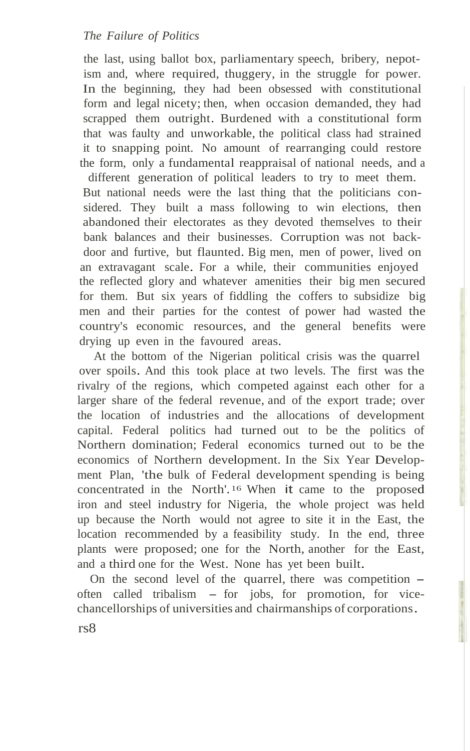the last, using ballot box, parliamentary speech, bribery, nepotism and, where required, thuggery, in the struggle for power. In the beginning, they had been obsessed with constitutional form and legal nicety; then, when occasion demanded, they had scrapped them outright. Burdened with a constitutional form that was faulty and unworkable, the political class had strained it to snapping point. No amount of rearranging could restore the form, only a fundamental reappraisal of national needs, and a

different generation of political leaders to try to meet them. But national needs were the last thing that the politicians considered. They built a mass following to win elections, then abandoned their electorates as they devoted themselves to their bank balances and their businesses. Corruption was not backdoor and furtive, but flaunted. Big men, men of power, lived on an extravagant scale. For a while, their communities enjoyed the reflected glory and whatever amenities their big men secured for them. But six years of fiddling the coffers to subsidize big men and their parties for the contest of power had wasted the country's economic resources, and the general benefits were drying up even in the favoured areas.

At the bottom of the Nigerian political crisis was the quarrel over spoils. And this took place at two levels. The first was the rivalry of the regions, which competed against each other for a larger share of the federal revenue, and of the export trade; over the location of industries and the allocations of development capital. Federal politics had turned out to be the politics of Northern domination; Federal economics turned out to be the economics of Northern development. In the Six Year Development Plan, 'the bulk of Federal development spending is being concentrated in the North'. <sup>16</sup> When it came to the proposed iron and steel industry for Nigeria, the whole project was held up because the North would not agree to site it in the East, the location recommended by a feasibility study. In the end, three plants were proposed; one for the North, another for the East, and a third one for the West. None has yet been built.

On the second level of the quarrel, there was competition often called tribalism – for jobs, for promotion, for vicechancellorships of universities and chairmanships of corporations.

rs8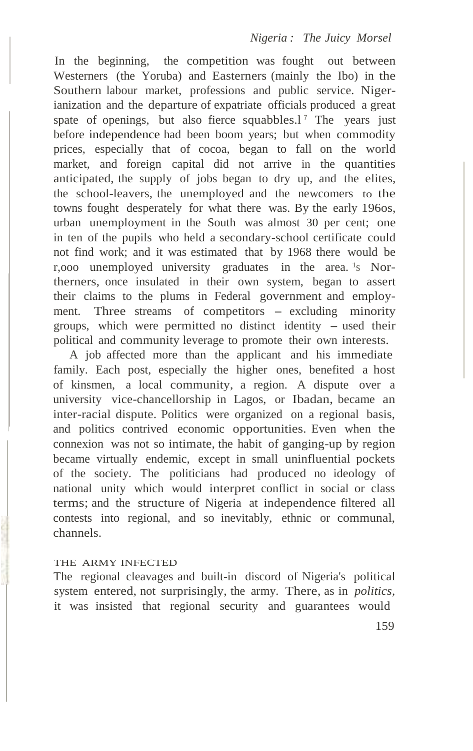#### *Nigeria : The Juicy Morsel*

In the beginning, the competition was fought out between Westerners (the Yoruba) and Easterners (mainly the Ibo) in the Southern labour market, professions and public service. Nigerianization and the departure of expatriate officials produced a great spate of openings, but also fierce squabbles.<sup>17</sup> The years just before independence had been boom years; but when commodity prices, especially that of cocoa, began to fall on the world market, and foreign capital did not arrive in the quantities anticipated, the supply of jobs began to dry up, and the elites, the school-leavers, the unemployed and the newcomers to the towns fought desperately for what there was. By the early 196os, urban unemployment in the South was almost 30 per cent; one in ten of the pupils who held a secondary-school certificate could not find work; and it was estimated that by 1968 there would be r,ooo unemployed university graduates in the area. 1s Northerners, once insulated in their own system, began to assert their claims to the plums in Federal government and employment. Three streams of competitors – excluding minority groups, which were permitted no distinct identity – used their political and community leverage to promote their own interests.

A job affected more than the applicant and his immediate family. Each post, especially the higher ones, benefited a host of kinsmen, a local community, a region. A dispute over a university vice-chancellorship in Lagos, or Ibadan, became an inter-racial dispute. Politics were organized on a regional basis, and politics contrived economic opportunities. Even when the connexion was not so intimate, the habit of ganging-up by region became virtually endemic, except in small uninfluential pockets of the society. The politicians had produced no ideology of national unity which would interpret conflict in social or class terms; and the structure of Nigeria at independence filtered all contests into regional, and so inevitably, ethnic or communal, channels.

## THE ARMY INFECTED

The regional cleavages and built-in discord of Nigeria's political system entered, not surprisingly, the army. There, as in *politics,*  it was insisted that regional security and guarantees would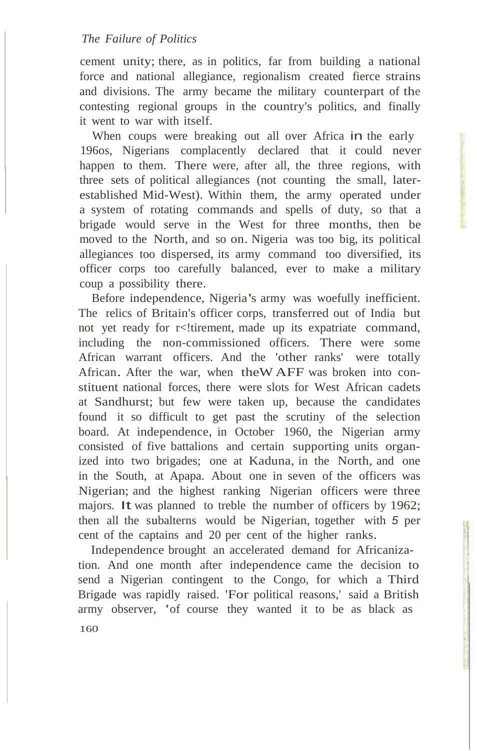cement unity; there, as in politics, far from building a national force and national allegiance, regionalism created fierce strains and divisions. The army became the military counterpart of the contesting regional groups in the country's politics, and finally it went to war with itself.

When coups were breaking out all over Africa in the early 196os, Nigerians complacently declared that it could never happen to them. There were, after all, the three regions, with three sets of political allegiances (not counting the small, laterestablished Mid-West). Within them, the army operated under a system of rotating commands and spells of duty, so that a brigade would serve in the West for three months, then be moved to the North, and so on. Nigeria was too big, its political allegiances too dispersed, its army command too diversified, its officer corps too carefully balanced, ever to make a military coup a possibility there.

Before independence, Nigeria's army was woefully inefficient. The relics of Britain's officer corps, transferred out of India but not yet ready for r<!tirement, made up its expatriate command, including the non-commissioned officers. There were some African warrant officers. And the 'other ranks' were totally African. After the war, when theW AFF was broken into constituent national forces, there were slots for West African cadets at Sandhurst; but few were taken up, because the candidates found it so difficult to get past the scrutiny of the selection board. At independence, in October 1960, the Nigerian army consisted of five battalions and certain supporting units organized into two brigades; one at Kaduna, in the North, and one in the South, at Apapa. About one in seven of the officers was Nigerian; and the highest ranking Nigerian officers were three majors. It was planned to treble the number of officers by 1962; then all the subalterns would be Nigerian, together with *5* per cent of the captains and 20 per cent of the higher ranks.

Independence brought an accelerated demand for Africanization. And one month after independence came the decision to send a Nigerian contingent to the Congo, for which a Third Brigade was rapidly raised. 'For political reasons,' said a British army observer, 'of course they wanted it to be as black as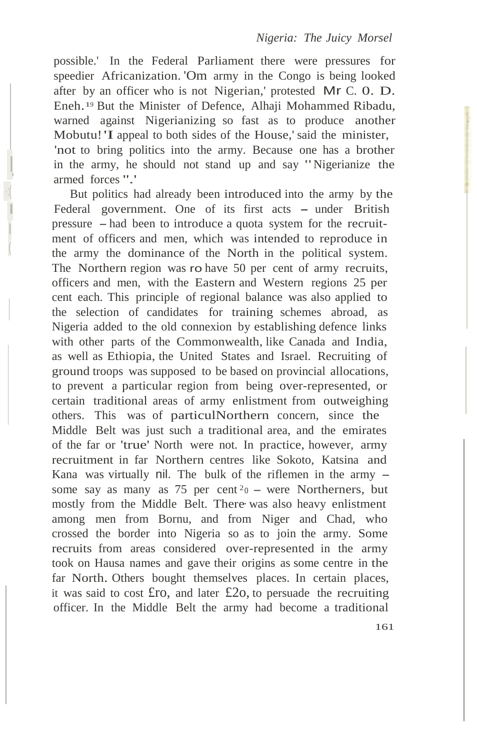possible.' In the Federal Parliament there were pressures for speedier Africanization. 'Om army in the Congo is being looked after by an officer who is not Nigerian,' protested Mr C. 0. D. Eneh. 19 But the Minister of Defence, Alhaji Mohammed Ribadu, warned against Nigerianizing so fast as to produce another Mobutu!'I appeal to both sides of the House,' said the minister, 'not to bring politics into the army. Because one has a brother in the army, he should not stand up and say "Nigerianize the armed forces ''.'

II

·:( I

I

But politics had already been introduced into the army by the Federal government. One of its first acts – under British pressure - had been to introduce <sup>a</sup> quota system for the recruitment of officers and men, which was intended to reproduce in the army the dominance of the North in the political system. The Northern region was ro have 50 per cent of army recruits, officers and men, with the Eastern and Western regions 25 per cent each. This principle of regional balance was also applied to the selection of candidates for training schemes abroad, as Nigeria added to the old connexion by establishing defence links with other parts of the Commonwealth, like Canada and India, as well as Ethiopia, the United States and Israel. Recruiting of ground troops was supposed to be based on provincial allocations, to prevent a particular region from being over-represented, or certain traditional areas of army enlistment from outweighing others. This was of particulNorthern concern, since the Middle Belt was just such a traditional area, and the emirates of the far or 'true' North were not. In practice, however, army recruitment in far Northern centres like Sokoto, Katsina and Kana was virtually nil. The bulk of the riflemen in the army  $$ some say as many as 75 per cent  $2<sub>0</sub>$  - were Northerners, but mostly from the Middle Belt. There· was also heavy enlistment among men from Bornu, and from Niger and Chad, who crossed the border into Nigeria so as to join the army. Some recruits from areas considered over-represented in the army took on Hausa names and gave their origins as some centre in the far North. Others bought themselves places. In certain places, it was said to cost £ro, and later £2o, to persuade the recruiting officer. In the Middle Belt the army had become a traditional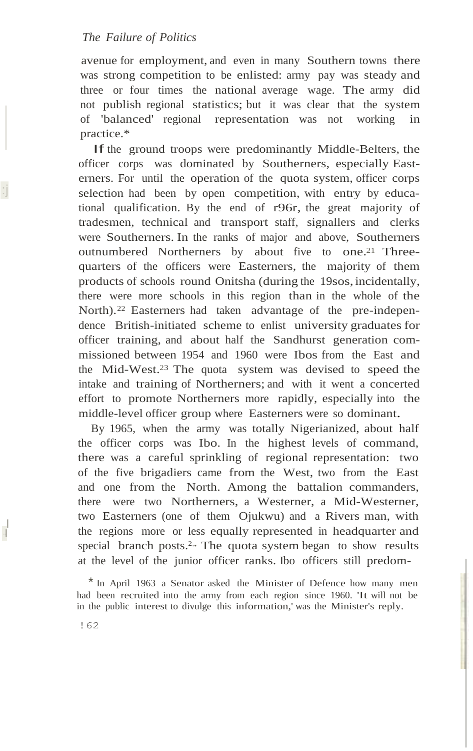avenue for employment, and even in many Southern towns there was strong competition to be enlisted: army pay was steady and three or four times the national average wage. The army did not publish regional statistics; but it was clear that the system of 'balanced' regional representation was not working in practice.\*

If the ground troops were predominantly Middle-Belters, the officer corps was dominated by Southerners, especially Easterners. For until the operation of the quota system, officer corps selection had been by open competition, with entry by educational qualification. By the end of r96r, the great majority of tradesmen, technical and transport staff, signallers and clerks were Southerners. In the ranks of major and above, Southerners outnumbered Northerners by about five to one. 21 Threequarters of the officers were Easterners, the majority of them products of schools round Onitsha (during the 19sos,incidentally, there were more schools in this region than in the whole of the North).<sup>22</sup> Easterners had taken advantage of the pre-independence British-initiated scheme to enlist university graduates for officer training, and about half the Sandhurst generation commissioned between 1954 and 1960 were Ibos from the East and the Mid-West. <sup>23</sup> The quota system was devised to speed the intake and training of Northerners; and with it went a concerted effort to promote Northerners more rapidly, especially into the middle-level officer group where Easterners were so dominant.

By 1965, when the army was totally Nigerianized, about half the officer corps was Ibo. In the highest levels of command, there was a careful sprinkling of regional representation: two of the five brigadiers came from the West, two from the East and one from the North. Among the battalion commanders, there were two Northerners, a Westerner, a Mid-Westerner, two Easterners (one of them Ojukwu) and a Rivers man, with the regions more or less equally represented in headquarter and special branch posts.<sup>2.</sup> The quota system began to show results at the level of the junior officer ranks. Ibo officers still predom-

!62

I ··l

<sup>\*</sup> In April 1963 a Senator asked the Minister of Defence how many men had been recruited into the army from each region since 1960. 'It will not be in the public interest to divulge this information,' was the Minister's reply.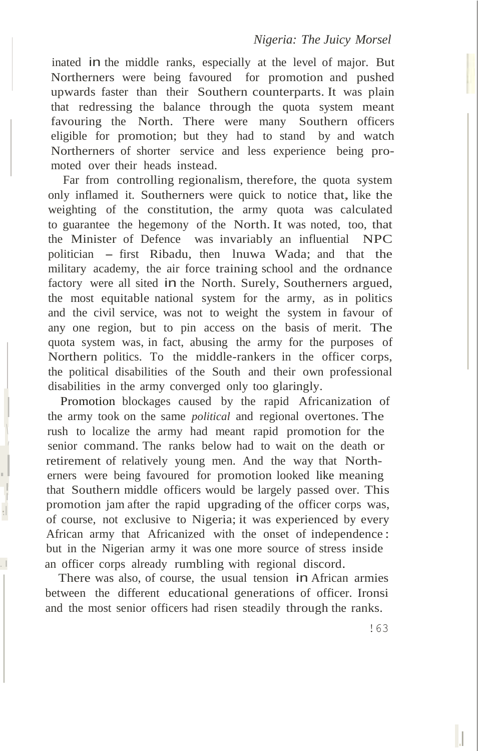#### *Nigeria: The Juicy Morsel*

inated in the middle ranks, especially at the level of major. But Northerners were being favoured for promotion and pushed upwards faster than their Southern counterparts. It was plain that redressing the balance through the quota system meant favouring the North. There were many Southern officers eligible for promotion; but they had to stand by and watch Northerners of shorter service and less experience being promoted over their heads instead.

Far from controlling regionalism, therefore, the quota system only inflamed it. Southerners were quick to notice that, like the weighting of the constitution, the army quota was calculated to guarantee the hegemony of the North. It was noted, too, that the Minister of Defence was invariably an influential NPC politician - first Ribadu, then lnuwa Wada; and that the military academy, the air force training school and the ordnance factory were all sited in the North. Surely, Southerners argued, the most equitable national system for the army, as in politics and the civil service, was not to weight the system in favour of any one region, but to pin access on the basis of merit. The quota system was, in fact, abusing the army for the purposes of Northern politics. To the middle-rankers in the officer corps, the political disabilities of the South and their own professional disabilities in the army converged only too glaringly.

Promotion blockages caused by the rapid Africanization of the army took on the same *political* and regional overtones. The rush to localize the army had meant rapid promotion for the senior command. The ranks below had to wait on the death or **Example 1** retirement of relatively young men. And the way that North-<br>erners were being favoured for promotion looked like meaning that Southern middle officers would be largely passed over. This promotion jam after the rapid upgrading of the officer corps was, of course, not exclusive to Nigeria; it was experienced by every African army that Africanized with the onset of independence : but in the Nigerian army it was one more source of stress inside an officer corps already rumbling with regional discord.

I

I I ·.I

> There was also, of course, the usual tension in African armies between the different educational generations of officer. Ironsi and the most senior officers had risen steadily through the ranks.

> > !63

.I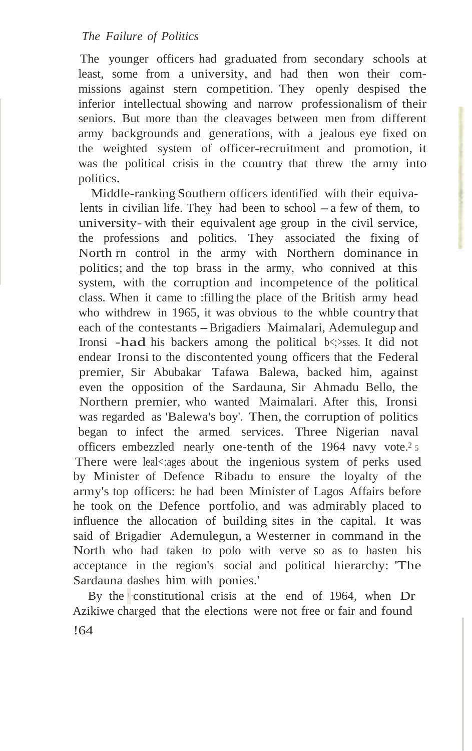The younger officers had graduated from secondary schools at least, some from a university, and had then won their commissions against stern competition. They openly despised the inferior intellectual showing and narrow professionalism of their seniors. But more than the cleavages between men from different army backgrounds and generations, with a jealous eye fixed on the weighted system of officer-recruitment and promotion, it was the political crisis in the country that threw the army into politics.

Middle-ranking Southern officers identified with their equivalents in civilian life. They had been to school  $-a$  few of them, to university- with their equivalent age group in the civil service, the professions and politics. They associated the fixing of North rn control in the army with Northern dominance in politics; and the top brass in the army, who connived at this system, with the corruption and incompetence of the political class. When it came to :filling the place of the British army head who withdrew in 1965, it was obvious to the whble country that each of the contestants-Brigadiers Maimalari, Ademulegup and Ironsi -had his backers among the political b<;>sses. It did not endear Ironsi to the discontented young officers that the Federal premier, Sir Abubakar Tafawa Balewa, backed him, against even the opposition of the Sardauna, Sir Ahmadu Bello, the Northern premier, who wanted Maimalari. After this, Ironsi was regarded as 'Balewa's boy'. Then, the corruption of politics began to infect the armed services. Three Nigerian naval officers embezzled nearly one-tenth of the 1964 navy vote.<sup>2</sup> 5 There were leal<aages about the ingenious system of perks used by Minister of Defence Ribadu to ensure the loyalty of the army's top officers: he had been Minister of Lagos Affairs before he took on the Defence portfolio, and was admirably placed to influence the allocation of building sites in the capital. It was said of Brigadier Ademulegun, a Westerner in command in the North who had taken to polo with verve so as to hasten his acceptance in the region's social and political hierarchy: 'The Sardauna dashes him with ponies.'

By the constitutional crisis at the end of 1964, when Dr Azikiwe charged that the elections were not free or fair and found !64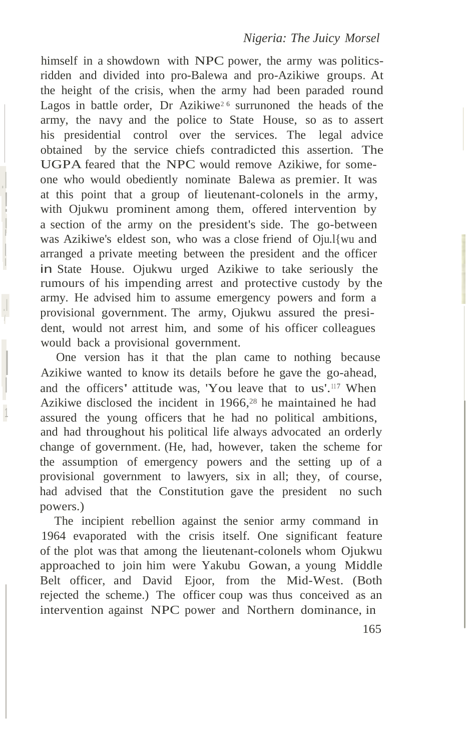himself in a showdown with NPC power, the army was politicsridden and divided into pro-Balewa and pro-Azikiwe groups. At the height of the crisis, when the army had been paraded round Lagos in battle order, Dr Azikiwe<sup>26</sup> surrunoned the heads of the army, the navy and the police to State House, so as to assert his presidential control over the services. The legal advice obtained by the service chiefs contradicted this assertion. The UGPA feared that the NPC would remove Azikiwe, for some one who would obediently nominate Balewa as premier. It was at this point that a group of lieutenant-colonels in the army, with Ojukwu prominent among them, offered intervention by a section of the army on the president's side. The go-between was Azikiwe's eldest son, who was a close friend of Oju.l{wu and arranged a private meeting between the president and the officer in State House. Ojukwu urged Azikiwe to take seriously the rumours of his impending arrest and protective custody by the army. He advised him to assume emergency powers and form a provisional government. The army, Ojukwu assured the president, would not arrest him, and some of his officer colleagues would back a provisional government.

!

I

.I

I

One version has it that the plan came to nothing because Azikiwe wanted to know its details before he gave the go-ahead, and the officers' attitude was, 'You leave that to us'.<sup>117</sup> When Azikiwe disclosed the incident in 1966,<sup>28</sup> he maintained he had assured the young officers that he had no political ambitions, and had throughout his political life always advocated an orderly change of government. (He, had, however, taken the scheme for the assumption of emergency powers and the setting up of a provisional government to lawyers, six in all; they, of course, had advised that the Constitution gave the president no such powers.)

The incipient rebellion against the senior army command in 1964 evaporated with the crisis itself. One significant feature of the plot was that among the lieutenant-colonels whom Ojukwu approached to join him were Yakubu Gowan, a young Middle Belt officer, and David Ejoor, from the Mid-West. (Both rejected the scheme.) The officer coup was thus conceived as an intervention against NPC power and Northern dominance, in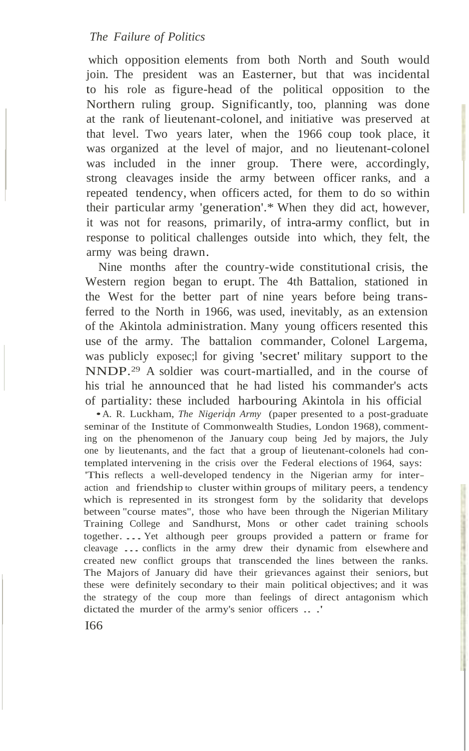which opposition elements from both North and South would join. The president was an Easterner, but that was incidental to his role as figure-head of the political opposition to the Northern ruling group. Significantly, too, planning was done at the rank of lieutenant-colonel, and initiative was preserved at that level. Two years later, when the 1966 coup took place, it was organized at the level of major, and no lieutenant-colonel was included in the inner group. There were, accordingly, strong cleavages inside the army between officer ranks, and a repeated tendency, when officers acted, for them to do so within their particular army 'generation'.\* When they did act, however, it was not for reasons, primarily, of intra-army conflict, but in response to political challenges outside into which, they felt, the army was being drawn.

Nine months after the country-wide constitutional crisis, the Western region began to erupt. The 4th Battalion, stationed in the West for the better part of nine years before being transferred to the North in 1966, was used, inevitably, as an extension of the Akintola administration. Many young officers resented this use of the army. The battalion commander, Colonel Largema, was publicly exposec;l for giving 'secret' military support to the NNDP. 29 A soldier was court-martialled, and in the course of his trial he announced that he had listed his commander's acts of partiality: these included harbouring Akintola in his official

• A. R. Luckham, *The Nigerian Army* (paper presented to a post-graduate seminar of the Institute of Commonwealth Studies, London 1968), commenting on the phenomenon of the January coup being Jed by majors, the July one by lieutenants, and the fact that a group of lieutenant-colonels had contemplated intervening in the crisis over the Federal elections of 1964, says: 'This reflects a well-developed tendency in the Nigerian army for interaction and friendship to cluster within groups of military peers, a tendency which is represented in its strongest form by the solidarity that develops between "course mates", those who have been through the Nigerian Military Training College and Sandhurst, Mons or other cadet training schools together. ...Yet although peer groups provided a pattern or frame for cleavage ... conflicts in the army drew their dynamic from elsewhere and created new conflict groups that transcended the lines between the ranks. The Majors of January did have their grievances against their seniors, but these were definitely secondary to their main political objectives; and it was the strategy of the coup more than feelings of direct antagonism which dictated the murder of the army's senior officers .. .'

I66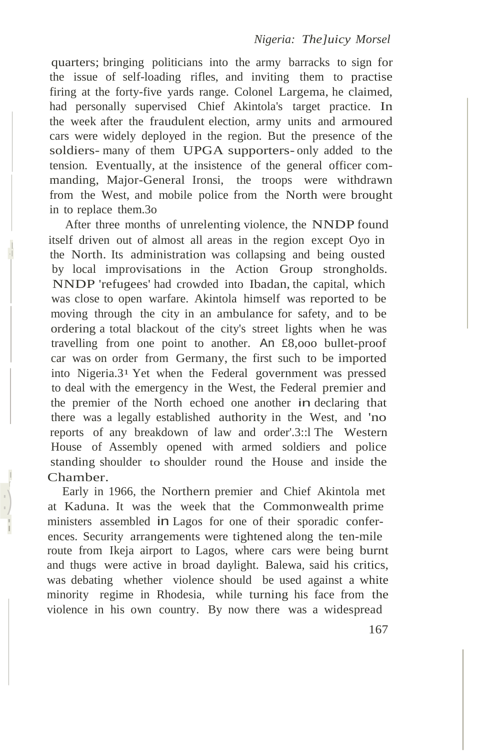#### *Nigeria: The]uicy Morsel*

quarters; bringing politicians into the army barracks to sign for the issue of self-loading rifles, and inviting them to practise firing at the forty-five yards range. Colonel Largema, he claimed, had personally supervised Chief Akintola's target practice. In the week after the fraudulent election, army units and armoured cars were widely deployed in the region. But the presence of the soldiers- many of them UPGA supporters- only added to the tension. Eventually, at the insistence of the general officer commanding, Major-General Ironsi, the troops were withdrawn from the West, and mobile police from the North were brought in to replace them.3o

After three months of unrelenting violence, the NNDP found itself driven out of almost all areas in the region except Oyo in the North. Its administration was collapsing and being ousted by local improvisations in the Action Group strongholds. NNDP 'refugees' had crowded into Ibadan, the capital, which was close to open warfare. Akintola himself was reported to be moving through the city in an ambulance for safety, and to be ordering a total blackout of the city's street lights when he was travelling from one point to another. An £8,ooo bullet-proof car was on order from Germany, the first such to be imported into Nigeria.31 Yet when the Federal government was pressed to deal with the emergency in the West, the Federal premier and the premier of the North echoed one another in declaring that there was a legally established authority in the West, and 'no reports of any breakdown of law and order'.3::l The Western House of Assembly opened with armed soldiers and police standing shoulder to shoulder round the House and inside the Chamber.

Early in 1966, the Northern premier and Chief Akintola met at Kaduna. It was the week that the Commonwealth prime ministers assembled in Lagos for one of their sporadic conferences. Security arrangements were tightened along the ten-mile route from Ikeja airport to Lagos, where cars were being burnt and thugs were active in broad daylight. Balewa, said his critics, was debating whether violence should be used against a white minority regime in Rhodesia, while turning his face from the violence in his own country. By now there was a widespread

:)

'I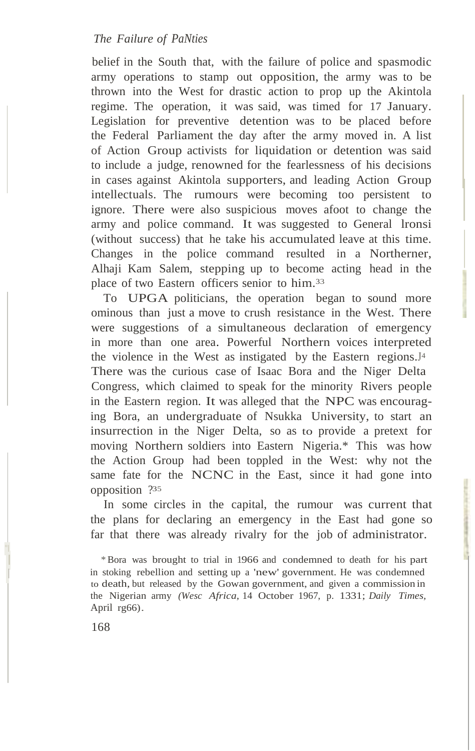# *The Failure of PaNties*

belief in the South that, with the failure of police and spasmodic army operations to stamp out opposition, the army was to be thrown into the West for drastic action to prop up the Akintola regime. The operation, it was said, was timed for 17 January. Legislation for preventive detention was to be placed before the Federal Parliament the day after the army moved in. A list of Action Group activists for liquidation or detention was said to include a judge, renowned for the fearlessness of his decisions in cases against Akintola supporters, and leading Action Group intellectuals. The rumours were becoming too persistent to ignore. There were also suspicious moves afoot to change the army and police command. It was suggested to General lronsi (without success) that he take his accumulated leave at this time. Changes in the police command resulted in a Northerner, Alhaji Kam Salem, stepping up to become acting head in the place of two Eastern officers senior to him. 33

To UPGA politicians, the operation began to sound more ominous than just a move to crush resistance in the West. There were suggestions of a simultaneous declaration of emergency in more than one area. Powerful Northern voices interpreted the violence in the West as instigated by the Eastern regions.J 4 There was the curious case of Isaac Bora and the Niger Delta Congress, which claimed to speak for the minority Rivers people in the Eastern region. It was alleged that the NPC was encouraging Bora, an undergraduate of Nsukka University, to start an insurrection in the Niger Delta, so as to provide a pretext for moving Northern soldiers into Eastern Nigeria.\* This was how the Action Group had been toppled in the West: why not the same fate for the NCNC in the East, since it had gone into opposition ?35

In some circles in the capital, the rumour was current that the plans for declaring an emergency in the East had gone so far that there was already rivalry for the job of administrator.

I \*Bora was brought to trial in 1966 and condemned to death for his part in stoking rebellion and setting up a 'new' government. He was condemned to death, but released by the Gowan government, and given a commission in the Nigerian army *(Wesc Africa,* 14 October 1967, p. 1331; *Daily Times,* April rg66).

168

I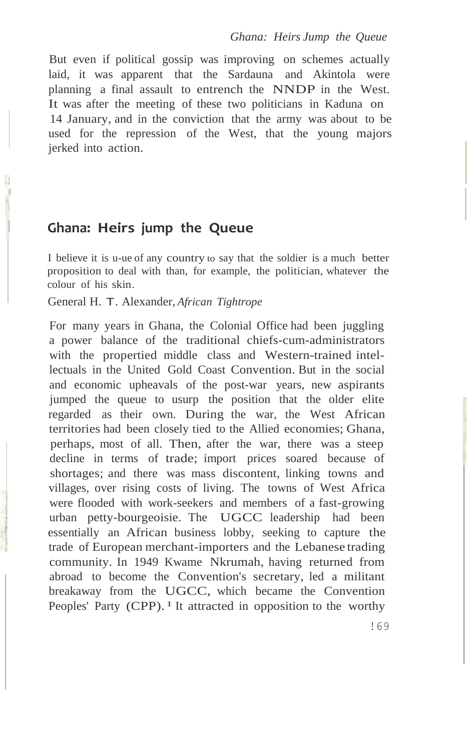But even if political gossip was improving on schemes actually laid, it was apparent that the Sardauna and Akintola were planning a final assault to entrench the NNDP in the West. It was after the meeting of these two politicians in Kaduna on 14 January, and in the conviction that the army was about to be used for the repression of the West, that the young majors jerked into action.

# I **Ghana: Heirs jump the Queue**

., I '\

> I believe it is u-ue of any country to say that the soldier is a much better proposition to deal with than, for example, the politician, whatever the colour of his skin.

General H. T. Alexander, *African Tightrope*

For many years in Ghana, the Colonial Office had been juggling a power balance of the traditional chiefs-cum-administrators with the propertied middle class and Western-trained intellectuals in the United Gold Coast Convention. But in the social and economic upheavals of the post-war years, new aspirants jumped the queue to usurp the position that the older elite regarded as their own. During the war, the West African territories had been closely tied to the Allied economies; Ghana, perhaps, most of all. Then, after the war, there was a steep decline in terms of trade; import prices soared because of shortages; and there was mass discontent, linking towns and villages, over rising costs of living. The towns of West Africa were flooded with work-seekers and members of a fast-growing urban petty-bourgeoisie. The UGCC leadership had been essentially an African business lobby, seeking to capture the trade of European merchant-importers and the Lebanese trading community. In 1949 Kwame Nkrumah, having returned from abroad to become the Convention's secretary, led a militant breakaway from the UGCC, which became the Convention Peoples' Party (CPP).<sup>1</sup> It attracted in opposition to the worthy

!69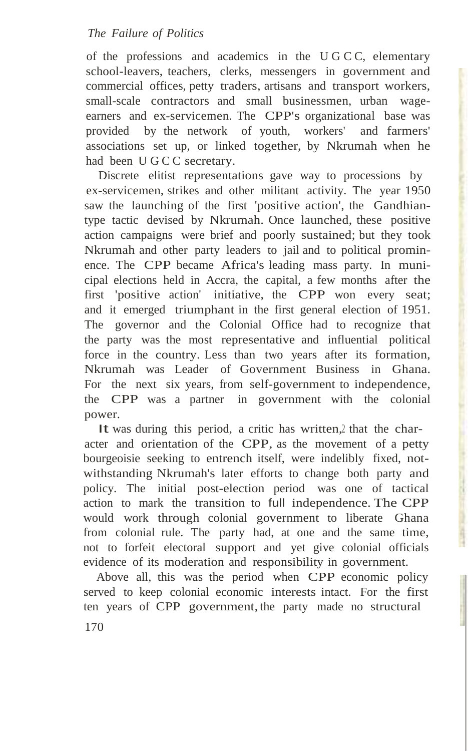of the professions and academics in the U G C C, elementary school-leavers, teachers, clerks, messengers in government and commercial offices, petty traders, artisans and transport workers, small-scale contractors and small businessmen, urban wageearners and ex-servicemen. The CPP's organizational base was provided by the network of youth, workers' and farmers' associations set up, or linked together, by Nkrumah when he had been U G C C secretary.

Discrete elitist representations gave way to processions by ex-servicemen, strikes and other militant activity. The year 1950 saw the launching of the first 'positive action', the Gandhiantype tactic devised by Nkrumah. Once launched, these positive action campaigns were brief and poorly sustained; but they took Nkrumah and other party leaders to jail and to political prominence. The CPP became Africa's leading mass party. In municipal elections held in Accra, the capital, a few months after the first 'positive action' initiative, the CPP won every seat; and it emerged triumphant in the first general election of 1951. The governor and the Colonial Office had to recognize that the party was the most representative and influential political force in the country. Less than two years after its formation, Nkrumah was Leader of Government Business in Ghana. For the next six years, from self-government to independence, the CPP was a partner in government with the colonial power.

It was during this period, a critic has written,2 that the character and orientation of the CPP, as the movement of a petty bourgeoisie seeking to entrench itself, were indelibly fixed, notwithstanding Nkrumah's later efforts to change both party and policy. The initial post-election period was one of tactical action to mark the transition to full independence. The CPP would work through colonial government to liberate Ghana from colonial rule. The party had, at one and the same time, not to forfeit electoral support and yet give colonial officials evidence of its moderation and responsibility in government.

Above all, this was the period when CPP economic policy served to keep colonial economic interests intact. For the first ten years of CPP government, the party made no structural 170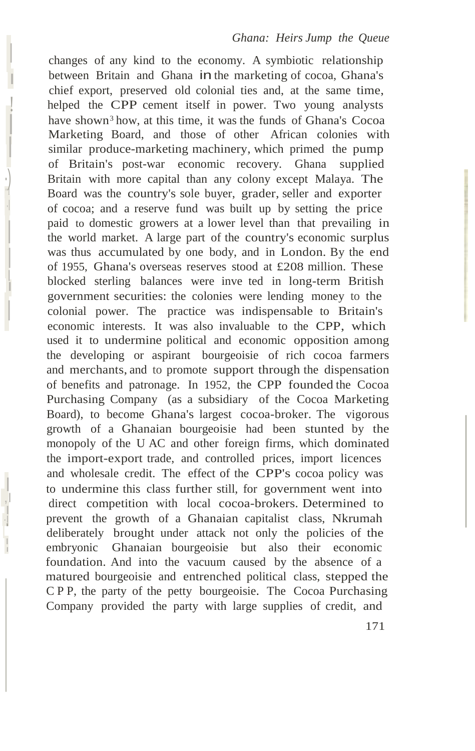changes of any kind to the economy. A symbiotic relationship between Britain and Ghana in the marketing of cocoa, Ghana's chief export, preserved old colonial ties and, at the same time, helped the CPP cement itself in power. Two young analysts have shown <sup>3</sup> how, at this time, it was the funds of Ghana's Cocoa Marketing Board, and those of other African colonies with similar produce-marketing machinery, which primed the pump of Britain's post-war economic recovery. Ghana supplied Britain with more capital than any colony except Malaya. The Board was the country's sole buyer, grader, seller and exporter of cocoa; and a reserve fund was built up by setting the price paid to domestic growers at a lower level than that prevailing in the world market. A large part of the country's economic surplus was thus accumulated by one body, and in London. By the end of 1955, Ghana's overseas reserves stood at £208 million. These blocked sterling balances were inve ted in long-term British government securities: the colonies were lending money to the colonial power. The practice was indispensable to Britain's economic interests. It was also invaluable to the CPP, which used it to undermine political and economic opposition among the developing or aspirant bourgeoisie of rich cocoa farmers and merchants, and to promote support through the dispensation of benefits and patronage. In 1952, the CPP founded the Cocoa Purchasing Company (as a subsidiary of the Cocoa Marketing Board), to become Ghana's largest cocoa-broker. The vigorous growth of a Ghanaian bourgeoisie had been stunted by the monopoly of the U AC and other foreign firms, which dominated the import-export trade, and controlled prices, import licences and wholesale credit. The effect of the CPP's cocoa policy was to undermine this class further still, for government went into direct competition with local cocoa-brokers. Determined to prevent the growth of a Ghanaian capitalist class, Nkrumah deliberately brought under attack not only the policies of the embryonic Ghanaian bourgeoisie but also their economic foundation. And into the vacuum caused by the absence of a matured bourgeoisie and entrenched political class, stepped the C P P, the party of the petty bourgeoisie. The Cocoa Purchasing Company provided the party with large supplies of credit, and

I l

I

l

I I

I

·l

I

I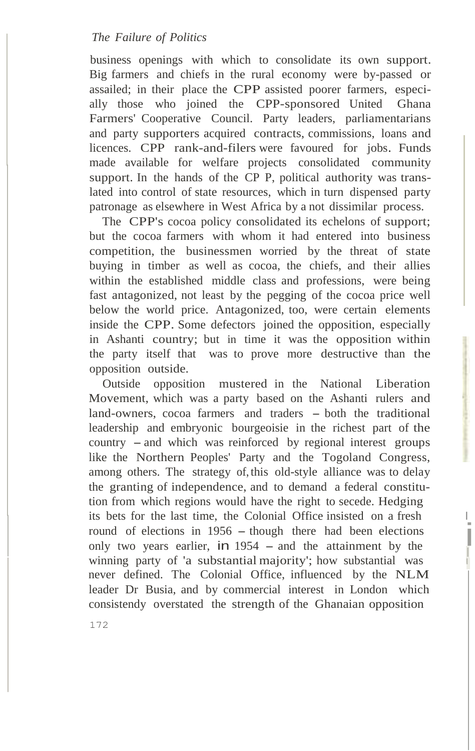business openings with which to consolidate its own support. Big farmers and chiefs in the rural economy were by-passed or assailed; in their place the CPP assisted poorer farmers, especially those who joined the CPP-sponsored United Ghana Farmers' Cooperative Council. Party leaders, parliamentarians and party supporters acquired contracts, commissions, loans and licences. CPP rank-and-filers were favoured for jobs. Funds made available for welfare projects consolidated community support. In the hands of the CP P, political authority was translated into control of state resources, which in turn dispensed party patronage as elsewhere in West Africa by a not dissimilar process.

The CPP's cocoa policy consolidated its echelons of support; but the cocoa farmers with whom it had entered into business competition, the businessmen worried by the threat of state buying in timber as well as cocoa, the chiefs, and their allies within the established middle class and professions, were being fast antagonized, not least by the pegging of the cocoa price well below the world price. Antagonized, too, were certain elements inside the CPP. Some defectors joined the opposition, especially in Ashanti country; but in time it was the opposition within the party itself that was to prove more destructive than the opposition outside.

Outside opposition mustered in the National Liberation Movement, which was a party based on the Ashanti rulers and land-owners, cocoa farmers and traders - both the traditional leadership and embryonic bourgeoisie in the richest part of the country - and which was reinforced by regional interest groups like the Northern Peoples' Party and the Togoland Congress, among others. The strategy of, this old-style alliance was to delay the granting of independence, and to demand a federal constitution from which regions would have the right to secede. Hedging its bets for the last time, the Colonial Office insisted on a fresh round of elections in  $1956$  – though there had been elections only two years earlier,  $\text{in } 1954$  – and the attainment by the winning party of 'a substantial majority'; how substantial was never defined. The Colonial Office, influenced by the NLM leader Dr Busia, and by commercial interest in London which consistendy overstated the strength of the Ghanaian opposition

i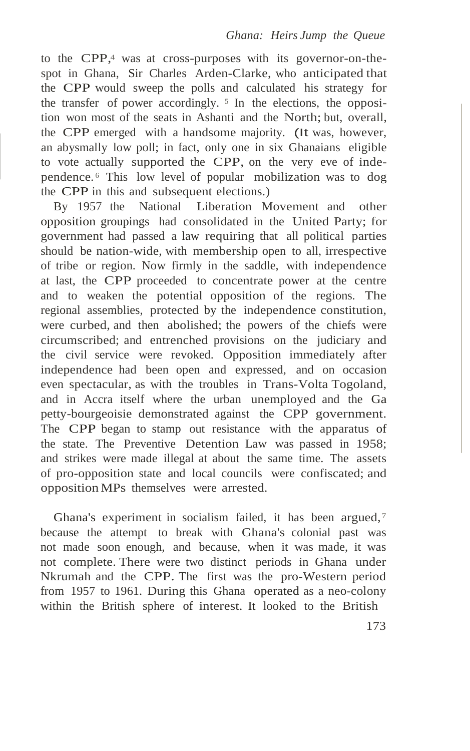to the CPP,4 was at cross-purposes with its governor-on-thespot in Ghana, Sir Charles Arden-Clarke, who anticipated that the CPP would sweep the polls and calculated his strategy for the transfer of power accordingly.  $5$  In the elections, the opposition won most of the seats in Ashanti and the North; but, overall, the CPP emerged with a handsome majority. (It was, however, an abysmally low poll; in fact, only one in six Ghanaians eligible to vote actually supported the CPP, on the very eve of independence. <sup>6</sup>This low level of popular mobilization was to dog the CPP in this and subsequent elections.)

By 1957 the National Liberation Movement and other opposition groupings had consolidated in the United Party; for government had passed a law requiring that all political parties should be nation-wide, with membership open to all, irrespective of tribe or region. Now firmly in the saddle, with independence at last, the CPP proceeded to concentrate power at the centre and to weaken the potential opposition of the regions. The regional assemblies, protected by the independence constitution, were curbed, and then abolished; the powers of the chiefs were circumscribed; and entrenched provisions on the judiciary and the civil service were revoked. Opposition immediately after independence had been open and expressed, and on occasion even spectacular, as with the troubles in Trans-Volta Togoland, and in Accra itself where the urban unemployed and the Ga petty-bourgeoisie demonstrated against the CPP government. The CPP began to stamp out resistance with the apparatus of the state. The Preventive Detention Law was passed in 1958; and strikes were made illegal at about the same time. The assets of pro-opposition state and local councils were confiscated; and opposition MPs themselves were arrested.

Ghana's experiment in socialism failed, it has been argued, 7 because the attempt to break with Ghana's colonial past was not made soon enough, and because, when it was made, it was not complete. There were two distinct periods in Ghana under Nkrumah and the CPP. The first was the pro-Western period from 1957 to 1961. During this Ghana operated as a neo-colony within the British sphere of interest. It looked to the British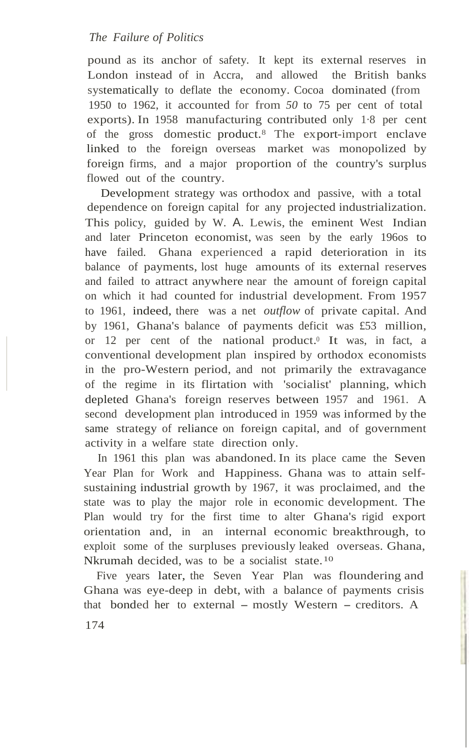pound as its anchor of safety. It kept its external reserves in London instead of in Accra, and allowed the British banks systematically to deflate the economy. Cocoa dominated (from 1950 to 1962, it accounted for from *50* to 75 per cent of total exports). In 1958 manufacturing contributed only 1·8 per cent of the gross domestic product.<sup>8</sup> The export-import enclave linked to the foreign overseas market was monopolized by foreign firms, and a major proportion of the country's surplus flowed out of the country.

Development strategy was orthodox and passive, with a total dependence on foreign capital for any projected industrialization. This policy, guided by W. A. Lewis, the eminent West Indian and later Princeton economist, was seen by the early 196os to have failed. Ghana experienced a rapid deterioration in its balance of payments, lost huge amounts of its external reserves and failed to attract anywhere near the amount of foreign capital on which it had counted for industrial development. From 1957 to 1961, indeed, there was a net *outflow* of private capital. And by 1961, Ghana's balance of payments deficit was £53 million, or 12 per cent of the national product.<sup>0</sup> It was, in fact, a conventional development plan inspired by orthodox economists in the pro-Western period, and not primarily the extravagance of the regime in its flirtation with 'socialist' planning, which depleted Ghana's foreign reserves between 1957 and 1961. A second development plan introduced in 1959 was informed by the same strategy of reliance on foreign capital, and of government activity in a welfare state direction only.

In 1961 this plan was abandoned. In its place came the Seven Year Plan for Work and Happiness. Ghana was to attain selfsustaining industrial growth by 1967, it was proclaimed, and the state was to play the major role in economic development. The Plan would try for the first time to alter Ghana's rigid export orientation and, in an internal economic breakthrough, to exploit some of the surpluses previously leaked overseas. Ghana, Nkrumah decided, was to be a socialist state.10

Five years later, the Seven Year Plan was floundering and Ghana was eye-deep in debt, with a balance of payments crisis that bonded her to external - mostly Western - creditors. A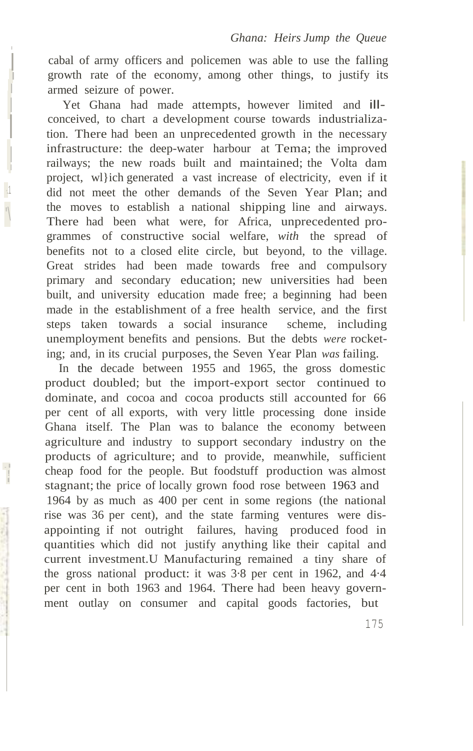cabal of army officers and policemen was able to use the falling growth rate of the economy, among other things, to justify its armed seizure of power.

I I I I I

I I ·.1

'\

.I !<br>! I

Yet Ghana had made attempts, however limited and illconceived, to chart a development course towards industrialization. There had been an unprecedented growth in the necessary infrastructure: the deep-water harbour at Tema; the improved railways; the new roads built and maintained; the Volta dam project, wl}ich generated a vast increase of electricity, even if it did not meet the other demands of the Seven Year Plan; and the moves to establish a national shipping line and airways. There had been what were, for Africa, unprecedented programmes of constructive social welfare, *with* the spread of benefits not to a closed elite circle, but beyond, to the village. Great strides had been made towards free and compulsory primary and secondary education; new universities had been built, and university education made free; a beginning had been made in the establishment of a free health service, and the first steps taken towards a social insurance scheme, including unemployment benefits and pensions. But the debts *were* rocketing; and, in its crucial purposes, the Seven Year Plan *was* failing.

In the decade between 1955 and 1965, the gross domestic product doubled; but the import-export sector continued to dominate, and cocoa and cocoa products still accounted for 66 per cent of all exports, with very little processing done inside Ghana itself. The Plan was to balance the economy between agriculture and industry to support secondary industry on the products of agriculture; and to provide, meanwhile, sufficient cheap food for the people. But foodstuff production was almost stagnant; the price of locally grown food rose between 1963 and

1964 by as much as 400 per cent in some regions (the national rise was 36 per cent), and the state farming ventures were disappointing if not outright failures, having produced food in quantities which did not justify anything like their capital and current investment.U Manufacturing remained a tiny share of the gross national product: it was 3·8 per cent in 1962, and 4·4 per cent in both 1963 and 1964. There had been heavy government outlay on consumer and capital goods factories, but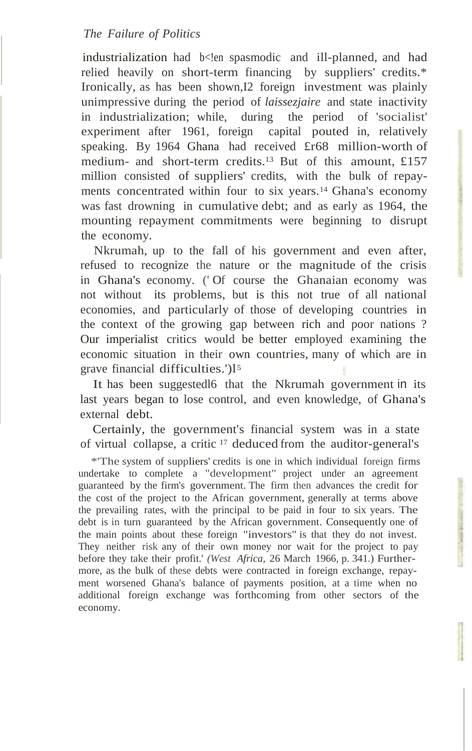industrialization had b<!en spasmodic and ill-planned, and had relied heavily on short-term financing by suppliers' credits.\* Ironically, as has been shown,I2 foreign investment was plainly unimpressive during the period of *laissezjaire* and state inactivity in industrialization; while, during the period of 'socialist' experiment after 1961, foreign capital pouted in, relatively speaking. By 1964 Ghana had received £r68 million-worth of medium- and short-term credits.<sup>13</sup> But of this amount, £157 million consisted of suppliers' credits, with the bulk of repayments concentrated within four to six years. <sup>14</sup> Ghana's economy was fast drowning in cumulative debt; and as early as 1964, the mounting repayment commitments were beginning to disrupt the economy.

Nkrumah, up to the fall of his government and even after, refused to recognize the nature or the magnitude of the crisis in Ghana's economy. (' Of course the Ghanaian economy was not without its problems, but is this not true of all national economies, and particularly of those of developing countries in the context of the growing gap between rich and poor nations ? Our imperialist critics would be better employed examining the economic situation in their own countries, many of which are in grave financial difficulties.')l 5

It has been suggestedl6 that the Nkrumah government in its last years began to lose control, and even knowledge, of Ghana's external debt.

Certainly, the government's financial system was in a state of virtual collapse, a critic <sup>17</sup> deduced from the auditor-general's

\*'The system of suppliers' credits is one in which individual foreign firms undertake to complete a "development" project under an agreement guaranteed by the firm's government. The firm then advances the credit for the cost of the project to the African government, generally at terms above the prevailing rates, with the principal to be paid in four to six years. The debt is in turn guaranteed by the African government. Consequently one of the main points about these foreign "investors" is that they do not invest. They neither risk any of their own money nor wait for the project to pay before they take their profit.' *(West Africa,* 26 March 1966, p. 341.) Furthermore, as the bulk of these debts were contracted in foreign exchange, repayment worsened Ghana's balance of payments position, at a time when no additional foreign exchange was forthcoming from other sectors of the economy.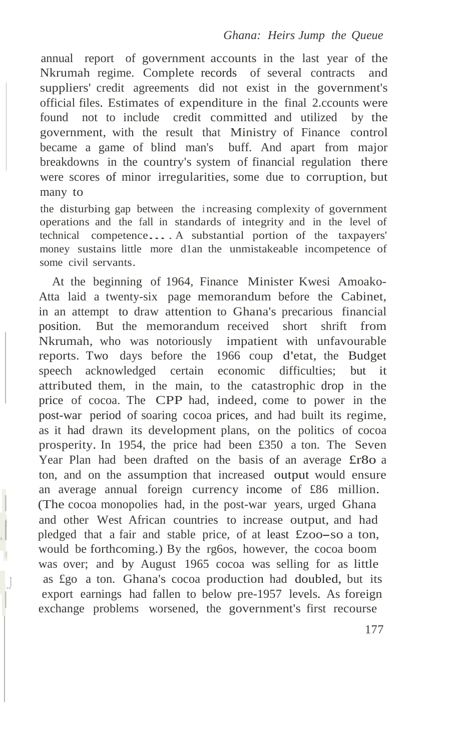#### *Ghana: Heirs Jump the Queue*

annual report of government accounts in the last year of the Nkrumah regime. Complete records of several contracts and suppliers' credit agreements did not exist in the government's official files. Estimates of expenditure in the final 2.ccounts were found not to include credit committed and utilized by the government, with the result that Ministry of Finance control became a game of blind man's buff. And apart from major breakdowns in the country's system of financial regulation there were scores of minor irregularities, some due to corruption, but many to

the disturbing gap between the increasing complexity of government operations and the fall in standards of integrity and in the level of technical competence.... A substantial portion of the taxpayers' money sustains little more d1an the unmistakeable incompetence of some civil servants.

At the beginning of 1964, Finance Minister Kwesi Amoako-Atta laid a twenty-six page memorandum before the Cabinet, in an attempt to draw attention to Ghana's precarious financial position. But the memorandum received short shrift from Nkrumah, who was notoriously impatient with unfavourable reports. Two days before the 1966 coup d'etat, the Budget speech acknowledged certain economic difficulties; but it attributed them, in the main, to the catastrophic drop in the price of cocoa. The CPP had, indeed, come to power in the post-war period of soaring cocoa prices, and had built its regime, as it had drawn its development plans, on the politics of cocoa prosperity. In 1954, the price had been £350 a ton. The Seven Year Plan had been drafted on the basis of an average £r8o a ton, and on the assumption that increased output would ensure an average annual foreign currency income of £86 million. (The cocoa monopolies had, in the post-war years, urged Ghana and other West African countries to increase output, and had pledged that a fair and stable price, of at least £zoo-so a ton, would be forthcoming.) By the rg6os, however, the cocoa boom was over; and by August 1965 cocoa was selling for as little as £go a ton. Ghana's cocoa production had doubled, but its export earnings had fallen to below pre-1957 levels. As foreign exchange problems worsened, the government's first recourse

.j

I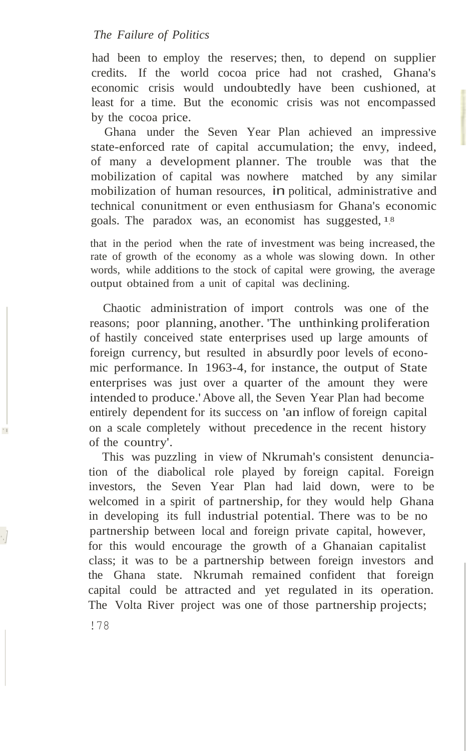had been to employ the reserves; then, to depend on supplier credits. If the world cocoa price had not crashed, Ghana's economic crisis would undoubtedly have been cushioned, at least for a time. But the economic crisis was not encompassed by the cocoa price.

Ghana under the Seven Year Plan achieved an impressive state-enforced rate of capital accumulation; the envy, indeed, of many a development planner. The trouble was that the mobilization of capital was nowhere matched by any similar mobilization of human resources, in political, administrative and technical conunitment or even enthusiasm for Ghana's economic goals. The paradox was, an economist has suggested, 1.8

that in the period when the rate of investment was being increased, the rate of growth of the economy as a whole was slowing down. In other words, while additions to the stock of capital were growing, the average output obtained from a unit of capital was declining.

Chaotic administration of import controls was one of the reasons; poor planning, another. 'The unthinking proliferation of hastily conceived state enterprises used up large amounts of foreign currency, but resulted in absurdly poor levels of economic performance. In 1963-4, for instance, the output of State enterprises was just over a quarter of the amount they were intended to produce.' Above all, the Seven Year Plan had become entirely dependent for its success on 'an inflow of foreign capital I on a scale completely without precedence in the recent history of the country'.

> This was puzzling in view of Nkrumah's consistent denunciation of the diabolical role played by foreign capital. Foreign investors, the Seven Year Plan had laid down, were to be welcomed in a spirit of partnership, for they would help Ghana in developing its full industrial potential. There was to be no partnership between local and foreign private capital, however, for this would encourage the growth of a Ghanaian capitalist class; it was to be a partnership between foreign investors and the Ghana state. Nkrumah remained confident that foreign capital could be attracted and yet regulated in its operation. The Volta River project was one of those partnership projects;

!78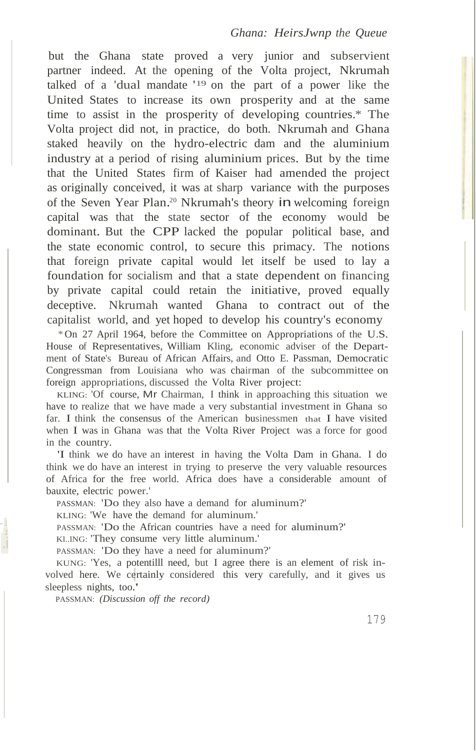### *Ghana: HeirsJwnp the Queue*

but the Ghana state proved a very junior and subservient partner indeed. At the opening of the Volta project, Nkrumah talked of a 'dual mandate ' 19 on the part of a power like the United States to increase its own prosperity and at the same time to assist in the prosperity of developing countries.\* The Volta project did not, in practice, do both. Nkrumah and Ghana staked heavily on the hydro-electric dam and the aluminium industry at a period of rising aluminium prices. But by the time that the United States firm of Kaiser had amended the project as originally conceived, it was at sharp variance with the purposes of the Seven Year Plan. <sup>20</sup> Nkrumah's theory in welcoming foreign capital was that the state sector of the economy would be dominant. But the CPP lacked the popular political base, and the state economic control, to secure this primacy. The notions that foreign private capital would let itself be used to lay a foundation for socialism and that a state dependent on financing by private capital could retain the initiative, proved equally deceptive. Nkrumah wanted Ghana to contract out of the capitalist world, and yet hoped to develop his country's economy

\* On 27 April 1964, before the Committee on Appropriations of the U.S. House of Representatives, William Kling, economic adviser of the Department of State's Bureau of African Affairs, and Otto E. Passman, Democratic Congressman from Louisiana who was chairman of the subcommittee on foreign appropriations, discussed the Volta River project:

KLING: 'Of course, Mr Chairman, I think in approaching this situation we have to realize that we have made a very substantial investment in Ghana so far. I think the consensus of the American businessmen that I have visited when I was in Ghana was that the Volta River Project was a force for good in the country.

'I think we do have an interest in having the Volta Dam in Ghana. I do think we do have an interest in trying to preserve the very valuable resources of Africa for the free world. Africa does have a considerable amount of bauxite, electric power.'

PASSMAN: 'Do they also have a demand for aluminum?'

KLING: 'We have the demand for aluminum.'

PASSMAN: 'Do the African countries have a need for aluminum?'

Kl..lNG: 'They consume very little aluminum.'

PASSMAN: 'Do they have a need for aluminum?'

KUNG: 'Yes, a potentilll need, but I agree there is an element of risk involved here. We certainly considered this very carefully, and it gives us sleepless nights, too.'

PASSMAN: *(Discussion off the record)*

.i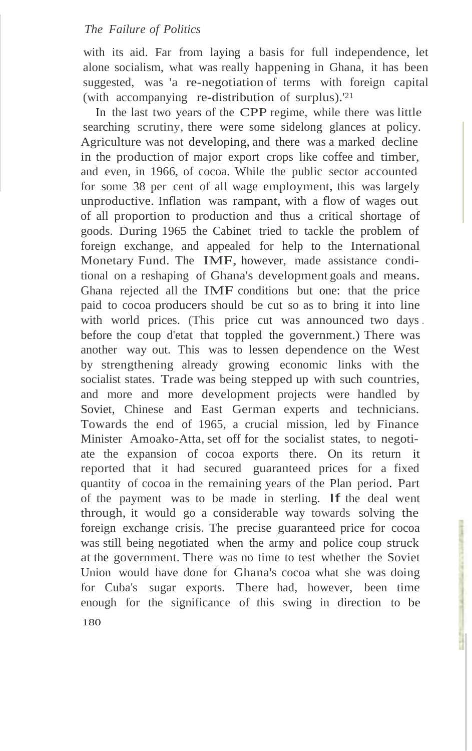with its aid. Far from laying a basis for full independence, let alone socialism, what was really happening in Ghana, it has been suggested, was 'a re-negotiation of terms with foreign capital (with accompanying re-distribution of surplus).<sup>'21</sup>

In the last two years of the CPP regime, while there was little searching scrutiny, there were some sidelong glances at policy. Agriculture was not developing, and there was a marked decline in the production of major export crops like coffee and timber, and even, in 1966, of cocoa. While the public sector accounted for some 38 per cent of all wage employment, this was largely unproductive. Inflation was rampant, with a flow of wages out of all proportion to production and thus a critical shortage of goods. During 1965 the Cabinet tried to tackle the problem of foreign exchange, and appealed for help to the International Monetary Fund. The IMF, however, made assistance conditional on a reshaping of Ghana's development goals and means. Ghana rejected all the IMF conditions but one: that the price paid to cocoa producers should be cut so as to bring it into line with world prices. (This price cut was announced two days. before the coup d'etat that toppled the government.) There was another way out. This was to lessen dependence on the West by strengthening already growing economic links with the socialist states. Trade was being stepped up with such countries, and more and more development projects were handled by Soviet, Chinese and East German experts and technicians. Towards the end of 1965, a crucial mission, led by Finance Minister Amoako-Atta, set off for the socialist states, to negotiate the expansion of cocoa exports there. On its return it reported that it had secured guaranteed prices for a fixed quantity of cocoa in the remaining years of the Plan period. Part of the payment was to be made in sterling. If the deal went through, it would go a considerable way towards solving the foreign exchange crisis. The precise guaranteed price for cocoa was still being negotiated when the army and police coup struck at the government. There was no time to test whether the Soviet Union would have done for Ghana's cocoa what she was doing for Cuba's sugar exports. There had, however, been time enough for the significance of this swing in direction to be 180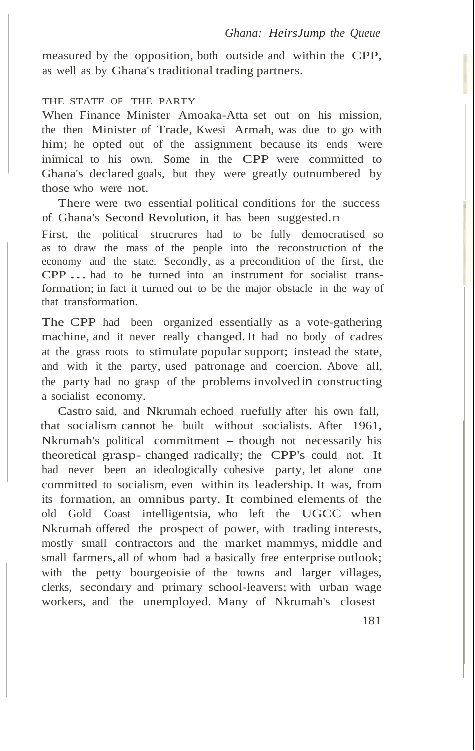measured by the opposition, both outside and within the CPP, as well as by Ghana's traditional trading partners.

#### THE STATE OF THE PARTY

When Finance Minister Amoaka-Atta set out on his mission, the then Minister of Trade, Kwesi Armah, was due to go with him; he opted out of the assignment because its ends were inimical to his own. Some in the CPP were committed to Ghana's declared goals, but they were greatly outnumbered by those who were not.

There were two essential political conditions for the success of Ghana's Second Revolution, it has been suggested.n

First, the political strucrures had to be fully democratised so as to draw the mass of the people into the reconstruction of the economy and the state. Secondly, as <sup>a</sup> precondition of the first, the CPP ... had to be turned into an instrument for socialist transformation; in fact it turned out to be the major obstacle in the way of that transformation.

The CPP had been organized essentially as a vote-gathering machine, and it never really changed. It had no body of cadres at the grass roots to stimulate popular support; instead the state, and with it the party, used patronage and coercion. Above all, the party had no grasp of the problems involved in constructing a socialist economy.

Castro said, and Nkrumah echoed ruefully after his own fall, that socialism cannot be built without socialists. After 1961, Nkrumah's political commitment – though not necessarily his theoretical grasp- changed radically; the CPP's could not. It had never been an ideologically cohesive party, let alone one committed to socialism, even within its leadership. It was, from its formation, an omnibus party. It combined elements of the old Gold Coast intelligentsia, who left the UGCC when Nkrumah offered the prospect of power, with trading interests, mostly small contractors and the market mammys, middle and small farmers, all of whom had a basically free enterprise outlook; with the petty bourgeoisie of the towns and larger villages, clerks, secondary and primary school-leavers; with urban wage workers, and the unemployed. Many of Nkrumah's closest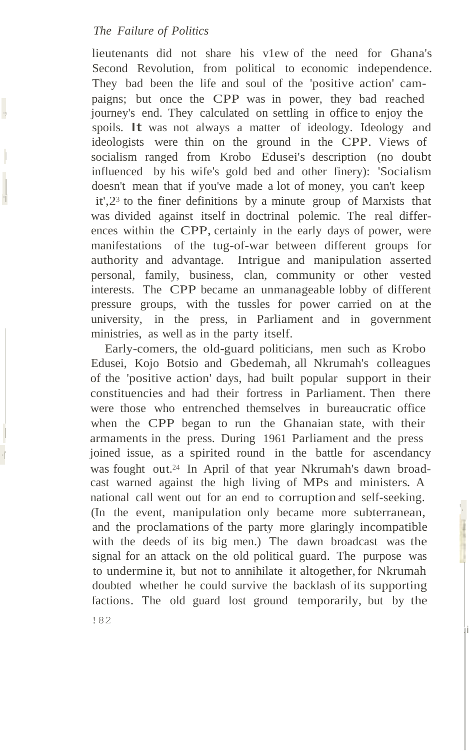I

.,

lieutenants did not share his v1ew of the need for Ghana's Second Revolution, from political to economic independence. They bad been the life and soul of the 'positive action' campaigns; but once the CPP was in power, they bad reached journey's end. They calculated on settling in office to enjoy the spoils. It was not always a matter of ideology. Ideology and ideologists were thin on the ground in the CPP. Views of socialism ranged from Krobo Edusei's description (no doubt influenced by his wife's gold bed and other finery): 'Socialism doesn't mean that if you've made a lot of money, you can't keep  $i$ <sup>1</sup> it',2<sup>3</sup> to the finer definitions by a minute group of Marxists that was divided against itself in doctrinal polemic. The real differences within the CPP, certainly in the early days of power, were manifestations of the tug-of-war between different groups for authority and advantage. Intrigue and manipulation asserted personal, family, business, clan, community or other vested interests. The CPP became an unmanageable lobby of different pressure groups, with the tussles for power carried on at the university, in the press, in Parliament and in government ministries, as well as in the party itself.

> Early-comers, the old-guard politicians, men such as Krobo Edusei, Kojo Botsio and Gbedemah, all Nkrumah's colleagues of the 'positive action' days, had built popular support in their constituencies and had their fortress in Parliament. Then there were those who entrenched themselves in bureaucratic office when the CPP began to run the Ghanaian state, with their armaments in the press. During 1961 Parliament and the press joined issue, as a spirited round in the battle for ascendancy was fought out.<sup>24</sup> In April of that year Nkrumah's dawn broadcast warned against the high living of MPs and ministers. A national call went out for an end to corruption and self-seeking. (In the event, manipulation only became more subterranean,<br>and the proclamations of the party more glaringly incompatible<br>with the deeds of its big men.) The dawn broadcast was the<br>signal for an attack on the old political and the proclamations of the party more glaringly incompatible with the deeds of its big men.) The dawn broadcast was the signal for an attack on the old political guard. The purpose was to undermine it, but not to annihilate it altogether,for Nkrumah doubted whether he could survive the backlash of its supporting factions. The old guard lost ground temporarily, but by the

> > .i

!82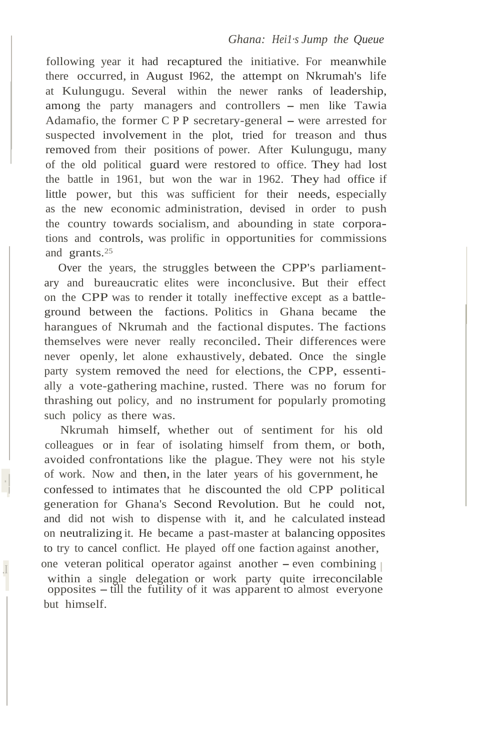following year it had recaptured the initiative. For meanwhile there occurred, in August I962, the attempt on Nkrumah's life at Kulungugu. Several within the newer ranks of leadership, among the party managers and controllers – men like Tawia Adamafio, the former  $\mathbb{C}$  P P secretary-general  $-$  were arrested for suspected involvement in the plot, tried for treason and thus removed from their positions of power. After Kulungugu, many of the old political guard were restored to office. They had lost the battle in 1961, but won the war in 1962. They had office if little power, but this was sufficient for their needs, especially as the new economic administration, devised in order to push the country towards socialism, and abounding in state corporations and controls, was prolific in opportunities for commissions and grants. 25

Over the years, the struggles between the CPP's parliamentary and bureaucratic elites were inconclusive. But their effect on the CPP was to render it totally ineffective except as a battleground between the factions. Politics in Ghana became the harangues of Nkrumah and the factional disputes. The factions themselves were never really reconciled. Their differences were never openly, let alone exhaustively, debated. Once the single party system removed the need for elections, the CPP, essentially a vote-gathering machine, rusted. There was no forum for thrashing out policy, and no instrument for popularly promoting such policy as there was.

Nkrumah himself, whether out of sentiment for his old colleagues or in fear of isolating himself from them, or both, avoided confrontations like the plague. They were not his style of work. Now and then, in the later years of his government, he confessed to intimates that he discounted the old CPP political generation for Ghana's Second Revolution. But he could not, and did not wish to dispense with it, and he calculated instead on neutralizing it. He became a past-master at balancing opposites to try to cancel conflict. He played off one faction against another,

·I

one veteran political operator against another - even combining  $|$ within a single delegation or work party quite irreconcilable  $opposites - till the futility of it was apparent to almost everyone$ but himself.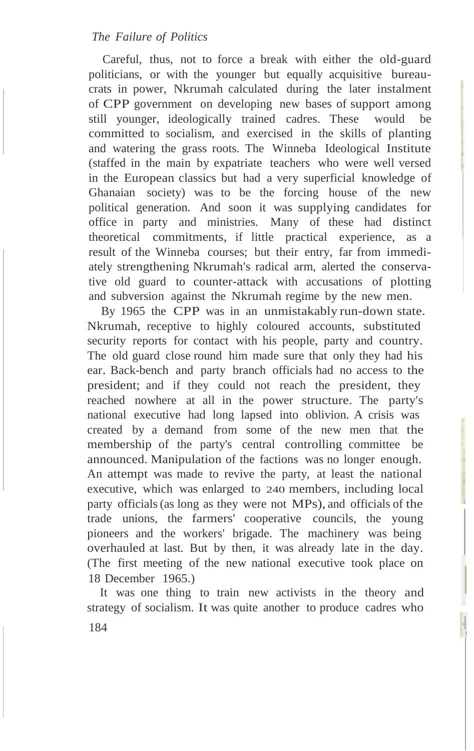Careful, thus, not to force a break with either the old-guard politicians, or with the younger but equally acquisitive bureaucrats in power, Nkrumah calculated during the later instalment of CPP government on developing new bases of support among still younger, ideologically trained cadres. These would be committed to socialism, and exercised in the skills of planting and watering the grass roots. The Winneba Ideological Institute (staffed in the main by expatriate teachers who were well versed in the European classics but had a very superficial knowledge of Ghanaian society) was to be the forcing house of the new political generation. And soon it was supplying candidates for office in party and ministries. Many of these had distinct theoretical commitments, if little practical experience, as a result of the Winneba courses; but their entry, far from immediately strengthening Nkrumah's radical arm, alerted the conservative old guard to counter-attack with accusations of plotting and subversion against the Nkrumah regime by the new men.

By 1965 the CPP was in an unmistakably run-down state. Nkrumah, receptive to highly coloured accounts, substituted security reports for contact with his people, party and country. The old guard close round him made sure that only they had his ear. Back-bench and party branch officials had no access to the president; and if they could not reach the president, they reached nowhere at all in the power structure. The party's national executive had long lapsed into oblivion. A crisis was created by a demand from some of the new men that the membership of the party's central controlling committee be announced. Manipulation of the factions was no longer enough. An attempt was made to revive the party, at least the national executive, which was enlarged to 240 members, including local party officials (as long as they were not MPs), and officials of the trade unions, the farmers' cooperative councils, the young pioneers and the workers' brigade. The machinery was being overhauled at last. But by then, it was already late in the day. (The first meeting of the new national executive took place on 18 December 1965.)

It was one thing to train new activists in the theory and strategy of socialism. It was quite another to produce cadres who

l

·I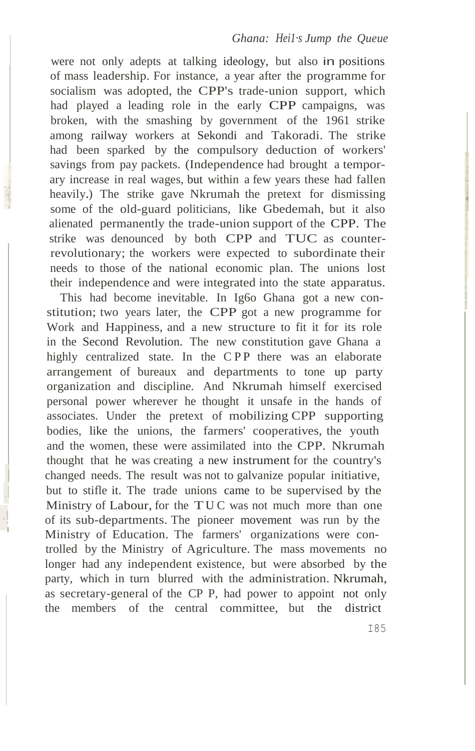were not only adepts at talking ideology, but also in positions of mass leadership. For instance, a year after the programme for socialism was adopted, the CPP's trade-union support, which had played a leading role in the early CPP campaigns, was broken, with the smashing by government of the 1961 strike among railway workers at Sekondi and Takoradi. The strike had been sparked by the compulsory deduction of workers' savings from pay packets. (Independence had brought a temporary increase in real wages, but within a few years these had fallen heavily.) The strike gave Nkrumah the pretext for dismissing some of the old-guard politicians, like Gbedemah, but it also alienated permanently the trade-union support of the CPP. The strike was denounced by both CPP and TUC as counterrevolutionary; the workers were expected to subordinate their needs to those of the national economic plan. The unions lost their independence and were integrated into the state apparatus.

This had become inevitable. In Ig6o Ghana got a new constitution; two years later, the CPP got a new programme for Work and Happiness, and a new structure to fit it for its role in the Second Revolution. The new constitution gave Ghana a highly centralized state. In the CPP there was an elaborate arrangement of bureaux and departments to tone up party organization and discipline. And Nkrumah himself exercised personal power wherever he thought it unsafe in the hands of associates. Under the pretext of mobilizing CPP supporting bodies, like the unions, the farmers' cooperatives, the youth and the women, these were assimilated into the CPP. Nkrumah thought that he was creating a new instrument for the country's changed needs. The result was not to galvanize popular initiative, but to stifle it. The trade unions came to be supervised by the Ministry of Labour, for the TU C was not much more than one of its sub-departments. The pioneer movement was run by the Ministry of Education. The farmers' organizations were controlled by the Ministry of Agriculture. The mass movements no longer had any independent existence, but were absorbed by the party, which in turn blurred with the administration. Nkrumah, as secretary-general of the CP P, had power to appoint not only the members of the central committee, but the district

I85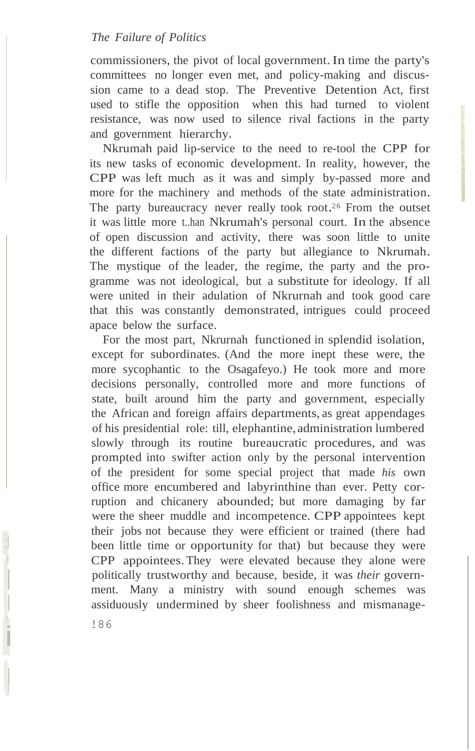commissioners, the pivot of local government. In time the party's committees no longer even met, and policy-making and discussion came to a dead stop. The Preventive Detention Act, first used to stifle the opposition when this had turned to violent resistance, was now used to silence rival factions in the party and government hierarchy.

Nkrumah paid lip-service to the need to re-tool the CPP for its new tasks of economic development. In reality, however, the CPP was left much as it was and simply by-passed more and more for the machinery and methods of the state administration. The party bureaucracy never really took root.<sup>26</sup> From the outset it was little more t..han Nkrumah's personal court. In the absence of open discussion and activity, there was soon little to unite the different factions of the party but allegiance to Nkrumah. The mystique of the leader, the regime, the party and the programme was not ideological, but a substitute for ideology. If all were united in their adulation of Nkrurnah and took good care that this was constantly demonstrated, intrigues could proceed apace below the surface.

For the most part, Nkrurnah functioned in splendid isolation, except for subordinates. (And the more inept these were, the more sycophantic to the Osagafeyo.) He took more and more decisions personally, controlled more and more functions of state, built around him the party and government, especially the African and foreign affairs departments, as great appendages of his presidential role: till, elephantine, administration lumbered slowly through its routine bureaucratic procedures, and was prompted into swifter action only by the personal intervention of the president for some special project that made *his* own office more encumbered and labyrinthine than ever. Petty corruption and chicanery abounded; but more damaging by far were the sheer muddle and incompetence. CPP appointees kept their jobs not because they were efficient or trained (there had been little time or opportunity for that) but because they were CPP appointees. They were elevated because they alone were politically trustworthy and because, beside, it was *their* government. Many a ministry with sound enough schemes was assiduously undermined by sheer foolishness and mismanage-

!86

:I I

> I I

i

I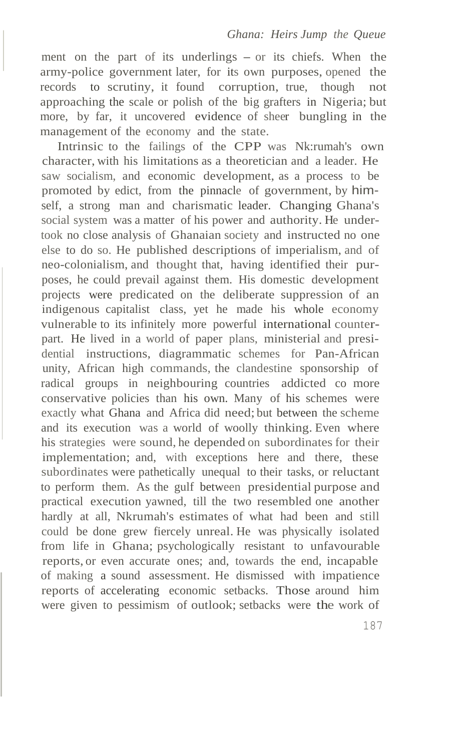ment on the part of its underlings – or its chiefs. When the army-police government later, for its own purposes, opened the records to scrutiny, it found corruption, true, though not approaching the scale or polish of the big grafters in Nigeria; but more, by far, it uncovered evidence of sheer bungling in the management of the economy and the state.

Intrinsic to the failings of the CPP was Nk:rumah's own character, with his limitations as a theoretician and a leader. He saw socialism, and economic development, as a process to be promoted by edict, from the pinnacle of government, by himself, a strong man and charismatic leader. Changing Ghana's social system was a matter of his power and authority. He undertook no close analysis of Ghanaian society and instructed no one else to do so. He published descriptions of imperialism, and of neo-colonialism, and thought that, having identified their purposes, he could prevail against them. His domestic development projects were predicated on the deliberate suppression of an indigenous capitalist class, yet he made his whole economy vulnerable to its infinitely more powerful international counterpart. He lived in a world of paper plans, ministerial and presidential instructions, diagrammatic schemes for Pan-African unity, African high commands, the clandestine sponsorship of radical groups in neighbouring countries addicted co more conservative policies than his own. Many of his schemes were exactly what Ghana and Africa did need; but between the scheme and its execution was a world of woolly thinking. Even where his strategies were sound, he depended on subordinates for their implementation; and, with exceptions here and there, these subordinates were pathetically unequal to their tasks, or reluctant to perform them. As the gulf between presidential purpose and practical execution yawned, till the two resembled one another hardly at all, Nkrumah's estimates of what had been and still could be done grew fiercely unreal. He was physically isolated from life in Ghana; psychologically resistant to unfavourable reports, or even accurate ones; and, towards the end, incapable of making a sound assessment. He dismissed with impatience reports of accelerating economic setbacks. Those around him were given to pessimism of outlook; setbacks were the work of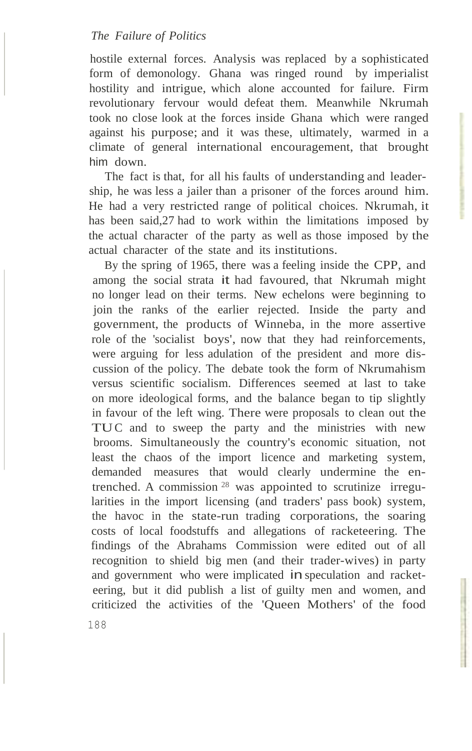hostile external forces. Analysis was replaced by a sophisticated form of demonology. Ghana was ringed round by imperialist hostility and intrigue, which alone accounted for failure. Firm revolutionary fervour would defeat them. Meanwhile Nkrumah took no close look at the forces inside Ghana which were ranged against his purpose; and it was these, ultimately, warmed in a climate of general international encouragement, that brought him down.

The fact is that, for all his faults of understanding and leadership, he was less a jailer than a prisoner of the forces around him. He had a very restricted range of political choices. Nkrumah, it has been said,27 had to work within the limitations imposed by the actual character of the party as well as those imposed by the actual character of the state and its institutions.

By the spring of 1965, there was a feeling inside the CPP, and among the social strata it had favoured, that Nkrumah might no longer lead on their terms. New echelons were beginning to join the ranks of the earlier rejected. Inside the party and government, the products of Winneba, in the more assertive role of the 'socialist boys', now that they had reinforcements, were arguing for less adulation of the president and more discussion of the policy. The debate took the form of Nkrumahism versus scientific socialism. Differences seemed at last to take on more ideological forms, and the balance began to tip slightly in favour of the left wing. There were proposals to clean out the TUC and to sweep the party and the ministries with new brooms. Simultaneously the country's economic situation, not least the chaos of the import licence and marketing system, demanded measures that would clearly undermine the entrenched. A commission <sup>28</sup> was appointed to scrutinize irregularities in the import licensing (and traders' pass book) system, the havoc in the state-run trading corporations, the soaring costs of local foodstuffs and allegations of racketeering. The findings of the Abrahams Commission were edited out of all recognition to shield big men (and their trader-wives) in party and government who were implicated in speculation and racketeering, but it did publish a list of guilty men and women, and criticized the activities of the 'Queen Mothers' of the food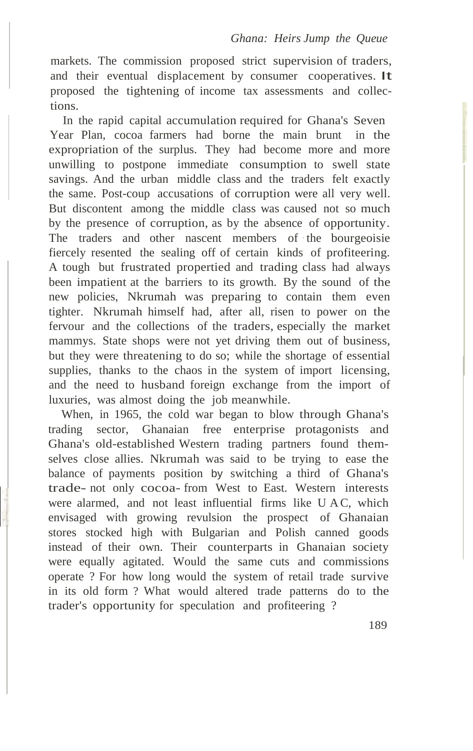markets. The commission proposed strict supervision of traders, and their eventual displacement by consumer cooperatives. It proposed the tightening of income tax assessments and collections.

In the rapid capital accumulation required for Ghana's Seven Year Plan, cocoa farmers had borne the main brunt in the expropriation of the surplus. They had become more and more unwilling to postpone immediate consumption to swell state savings. And the urban middle class and the traders felt exactly the same. Post-coup accusations of corruption were all very well. But discontent among the middle class was caused not so much by the presence of corruption, as by the absence of opportunity. The traders and other nascent members of the bourgeoisie fiercely resented the sealing off of certain kinds of profiteering. A tough but frustrated propertied and trading class had always been impatient at the barriers to its growth. By the sound of the new policies, Nkrumah was preparing to contain them even tighter. Nkrumah himself had, after all, risen to power on the fervour and the collections of the traders, especially the market mammys. State shops were not yet driving them out of business, but they were threatening to do so; while the shortage of essential supplies, thanks to the chaos in the system of import licensing, and the need to husband foreign exchange from the import of luxuries, was almost doing the job meanwhile.

When, in 1965, the cold war began to blow through Ghana's trading sector, Ghanaian free enterprise protagonists and Ghana's old-established Western trading partners found themselves close allies. Nkrumah was said to be trying to ease the balance of payments position by switching a third of Ghana's trade- not only cocoa- from West to East. Western interests were alarmed, and not least influential firms like U AC, which envisaged with growing revulsion the prospect of Ghanaian stores stocked high with Bulgarian and Polish canned goods instead of their own. Their counterparts in Ghanaian society were equally agitated. Would the same cuts and commissions operate ? For how long would the system of retail trade survive in its old form ? What would altered trade patterns do to the trader's opportunity for speculation and profiteering ?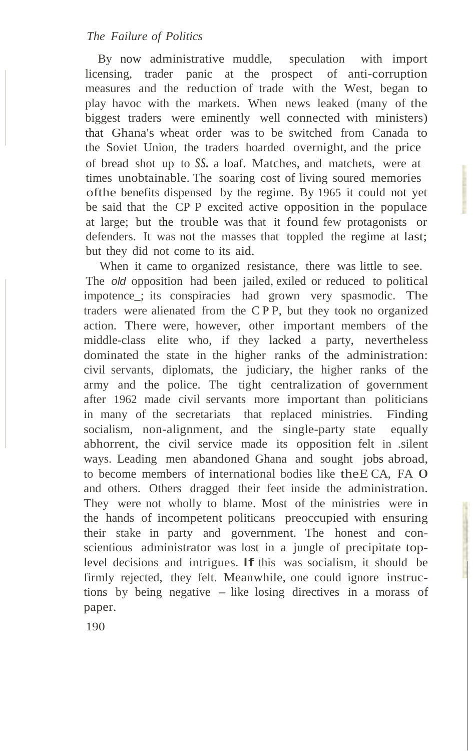By now administrative muddle, speculation with import licensing, trader panic at the prospect of anti-corruption measures and the reduction of trade with the West, began to play havoc with the markets. When news leaked (many of the biggest traders were eminently well connected with ministers) that Ghana's wheat order was to be switched from Canada to the Soviet Union, the traders hoarded overnight, and the price of bread shot up to *ss.* a loaf. Matches, and matchets, were at times unobtainable. The soaring cost of living soured memories ofthe benefits dispensed by the regime. By 1965 it could not yet be said that the CP P excited active opposition in the populace at large; but the trouble was that it found few protagonists or defenders. It was not the masses that toppled the regime at last; but they did not come to its aid.

When it came to organized resistance, there was little to see. The *old* opposition had been jailed, exiled or reduced to political impotence; its conspiracies had grown very spasmodic. The traders were alienated from the C P P, but they took no organized action. There were, however, other important members of the middle-class elite who, if they lacked a party, nevertheless dominated the state in the higher ranks of the administration: civil servants, diplomats, the judiciary, the higher ranks of the army and the police. The tight centralization of government after 1962 made civil servants more important than politicians in many of the secretariats that replaced ministries. Finding socialism, non-alignment, and the single-party state equally abhorrent, the civil service made its opposition felt in .silent ways. Leading men abandoned Ghana and sought jobs abroad, to become members of international bodies like theE CA, FA 0 and others. Others dragged their feet inside the administration. They were not wholly to blame. Most of the ministries were in the hands of incompetent politicans preoccupied with ensuring their stake in party and government. The honest and conscientious administrator was lost in a jungle of precipitate toplevel decisions and intrigues. If this was socialism, it should be firmly rejected, they felt. Meanwhile, one could ignore instructions by being negative - like losing directives in <sup>a</sup> morass of paper.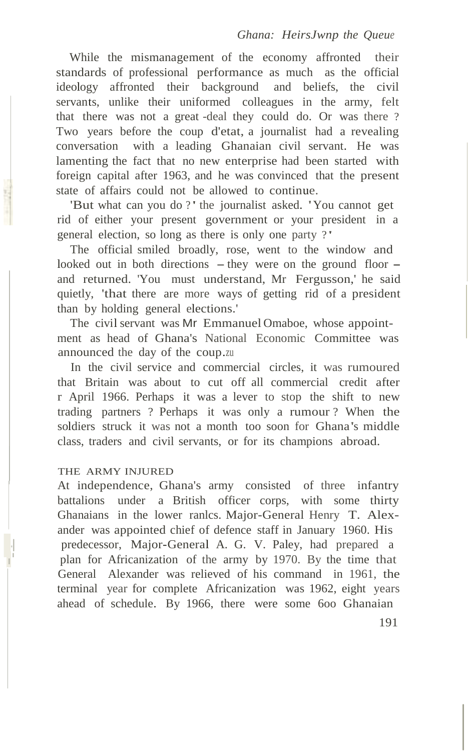While the mismanagement of the economy affronted their standards of professional performance as much as the official ideology affronted their background and beliefs, the civil servants, unlike their uniformed colleagues in the army, felt that there was not a great -deal they could do. Or was there ? Two years before the coup d'etat, a journalist had a revealing conversation with a leading Ghanaian civil servant. He was lamenting the fact that no new enterprise had been started with foreign capital after 1963, and he was convinced that the present state of affairs could not be allowed to continue.

'But what can you do ?' the journalist asked. 'You cannot get rid of either your present government or your president in a general election, so long as there is only one party ? '

The official smiled broadly, rose, went to the window and looked out in both directions  $-$  they were on the ground floor  $$ and returned. 'You must understand, Mr Fergusson,' he said quietly, 'that there are more ways of getting rid of a president than by holding general elections.'

The civil servant was Mr Emmanuel Omaboe, whose appointment as head of Ghana's National Economic Committee was announced the day of the coup.zu

In the civil service and commercial circles, it was rumoured that Britain was about to cut off all commercial credit after r April 1966. Perhaps it was a lever to stop the shift to new trading partners ? Perhaps it was only a rumour ? When the soldiers struck it was not a month too soon for Ghana's middle class, traders and civil servants, or for its champions abroad.

#### THE ARMY INJURED

I

I

At independence, Ghana's army consisted of three infantry battalions under a British officer corps, with some thirty Ghanaians in the lower ranlcs. Major-General Henry T. Alexander was appointed chief of defence staff in January 1960. His predecessor, Major-General A. G. V. Paley, had prepared a plan for Africanization of the army by 1970. By the time that General Alexander was relieved of his command in 1961, the terminal year for complete Africanization was 1962, eight years ahead of schedule. By 1966, there were some 6oo Ghanaian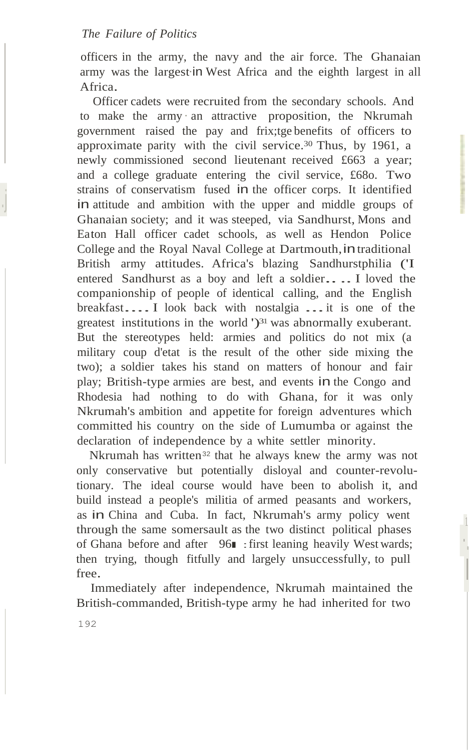·

l

# *The Failure of Politics*

officers in the army, the navy and the air force. The Ghanaian army was the largest·in West Africa and the eighth largest in all Africa.

Officer cadets were recruited from the secondary schools. And to make the army · an attractive proposition, the Nkrumah government raised the pay and frix;tge benefits of officers to approximate parity with the civil service.<sup>30</sup> Thus, by 1961, a newly commissioned second lieutenant received £663 a year; and a college graduate entering the civil service, £68o. Two strains of conservatism fused in the officer corps. It identified in attitude and ambition with the upper and middle groups of Ghanaian society; and it was steeped, via Sandhurst, Mons and Eaton Hall officer cadet schools, as well as Hendon Police College and the Royal Naval College at Dartmouth, in traditional British army attitudes. Africa's blazing Sandhurstphilia ('I entered Sandhurst as a boy and left a soldier.. .. <sup>I</sup> loved the companionship of people of identical calling, and the English breakfast....I look back with nostalgia ...it is one of the greatest institutions in the world ') 31 was abnormally exuberant. But the stereotypes held: armies and politics do not mix (a military coup d'etat is the result of the other side mixing the two); a soldier takes his stand on matters of honour and fair play; British-type armies are best, and events in the Congo and Rhodesia had nothing to do with Ghana, for it was only Nkrumah's ambition and appetite for foreign adventures which committed his country on the side of Lumumba or against the declaration of independence by a white settler minority.

Nkrumah has written <sup>32</sup> that he always knew the army was not only conservative but potentially disloyal and counter-revolutionary. The ideal course would have been to abolish it, and build instead a people's militia of armed peasants and workers, as in China and Cuba. In fact, Nkrumah's army policy went through the same somersault as the two distinct political phases<br>of Ghana before and after 96**I**: first leaning heavily West wards; then trying, though fitfully and largely unsuccessfully, to pull free.

Immediately after independence, Nkrumah maintained the British-commanded, British-type army he had inherited for two

192

.j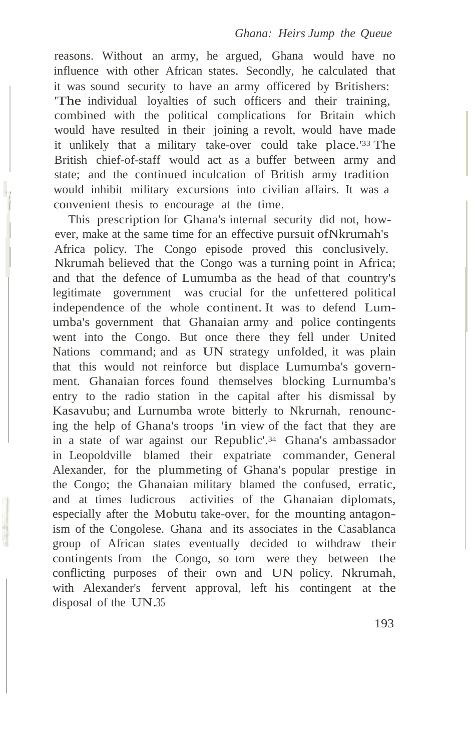reasons. Without an army, he argued, Ghana would have no influence with other African states. Secondly, he calculated that it was sound security to have an army officered by Britishers: 'The individual loyalties of such officers and their training, combined with the political complications for Britain which would have resulted in their joining a revolt, would have made it unlikely that a military take-over could take place.' <sup>33</sup> The British chief-of-staff would act as a buffer between army and state; and the continued inculcation of British army tradition would inhibit military excursions into civilian affairs. It was a convenient thesis to encourage at the time.

I

*I*

This prescription for Ghana's internal security did not, how ever, make at the same time for an effective pursuit ofNkrumah's Africa policy. The Congo episode proved this conclusively. Nkrumah believed that the Congo was a turning point in Africa; and that the defence of Lumumba as the head of that country's legitimate government was crucial for the unfettered political independence of the whole continent. It was to defend Lumumba's government that Ghanaian army and police contingents went into the Congo. But once there they fell under United Nations command; and as UN strategy unfolded, it was plain that this would not reinforce but displace Lumumba's government. Ghanaian forces found themselves blocking Lurnumba's entry to the radio station in the capital after his dismissal by Kasavubu; and Lurnumba wrote bitterly to Nkrurnah, renouncing the help of Ghana's troops 'in view of the fact that they are in a state of war against our Republic'.<sup>34</sup> Ghana's ambassador in Leopoldville blamed their expatriate commander, General Alexander, for the plummeting of Ghana's popular prestige in the Congo; the Ghanaian military blamed the confused, erratic, and at times ludicrous activities of the Ghanaian diplomats, especially after the Mobutu take-over, for the mounting antagonism of the Congolese. Ghana and its associates in the Casablanca group of African states eventually decided to withdraw their contingents from the Congo, so torn were they between the conflicting purposes of their own and UN policy. Nkrumah, with Alexander's fervent approval, left his contingent at the disposal of the UN.35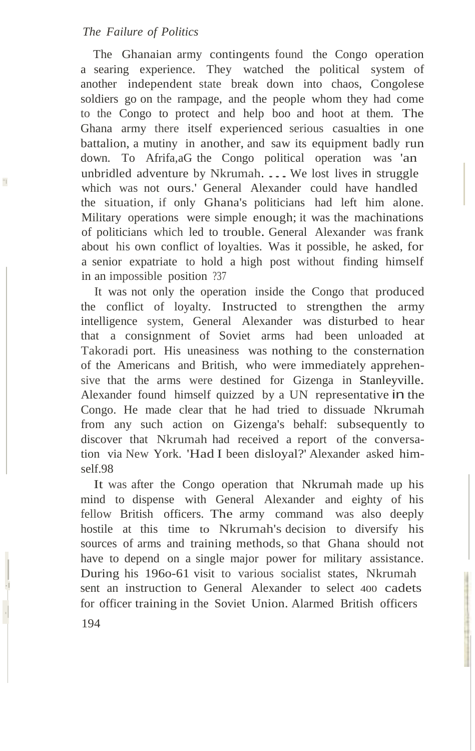The Ghanaian army contingents found the Congo operation a searing experience. They watched the political system of another independent state break down into chaos, Congolese soldiers go on the rampage, and the people whom they had come to the Congo to protect and help boo and hoot at them. The Ghana army there itself experienced serious casualties in one battalion, a mutiny in another, and saw its equipment badly run down. To Afrifa,aG the Congo political operation was 'an unbridled adventure by Nkrumah. ...We lost lives in struggle **T** which was not ours.' General Alexander could have handled the situation, if only Ghana's politicians had left him alone. Military operations were simple enough; it was the machinations of politicians which led to trouble. General Alexander was frank about his own conflict of loyalties. Was it possible, he asked, for a senior expatriate to hold a high post without finding himself in an impossible position ?37

> It was not only the operation inside the Congo that produced the conflict of loyalty. Instructed to strengthen the army intelligence system, General Alexander was disturbed to hear that a consignment of Soviet arms had been unloaded at Takoradi port. His uneasiness was nothing to the consternation of the Americans and British, who were immediately apprehensive that the arms were destined for Gizenga in Stanleyville. Alexander found himself quizzed by a UN representative in the Congo. He made clear that he had tried to dissuade Nkrumah from any such action on Gizenga's behalf: subsequently to discover that Nkrumah had received a report of the conversation via New York. 'Had I been disloyal?' Alexander asked himself.98

> It was after the Congo operation that Nkrumah made up his mind to dispense with General Alexander and eighty of his fellow British officers. The army command was also deeply hostile at this time to Nkrumah's decision to diversify his sources of arms and training methods, so that Ghana should not have to depend on a single major power for military assistance. During his 196o-61 visit to various socialist states, Nkrumah sent an instruction to General Alexander to select 400 cadets for officer training in the Soviet Union. Alarmed British officers

194

l

·I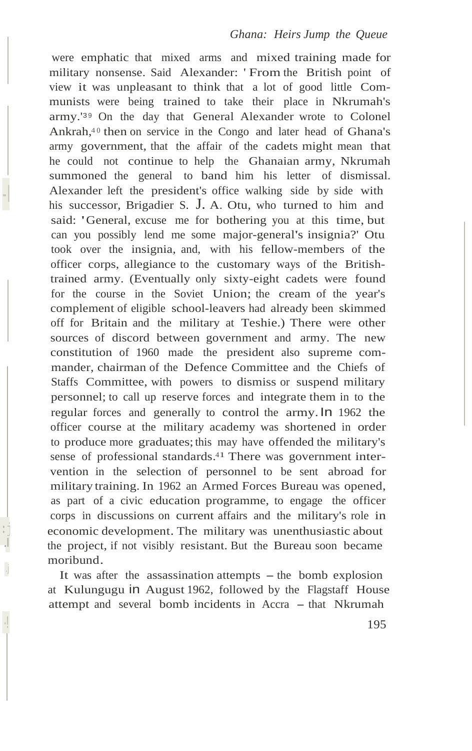were emphatic that mixed arms and mixed training made for military nonsense. Said Alexander: ' From the British point of view it was unpleasant to think that a lot of good little Communists were being trained to take their place in Nkrumah's army.'<sup>39</sup> On the day that General Alexander wrote to Colonel Ankrah,<sup>40</sup> then on service in the Congo and later head of Ghana's army government, that the affair of the cadets might mean that he could not continue to help the Ghanaian army, Nkrumah summoned the general to band him his letter of dismissal. Alexander left the president's office walking side by side with his successor, Brigadier S. J. A. Otu, who turned to him and said: 'General, excuse me for bothering you at this time, but can you possibly lend me some major-general's insignia?' Otu took over the insignia, and, with his fellow-members of the officer corps, allegiance to the customary ways of the Britishtrained army. (Eventually only sixty-eight cadets were found for the course in the Soviet Union; the cream of the year's complement of eligible school-leavers had already been skimmed off for Britain and the military at Teshie.) There were other sources of discord between government and army. The new constitution of 1960 made the president also supreme commander, chairman of the Defence Committee and the Chiefs of Staffs Committee, with powers to dismiss or suspend military personnel; to call up reserve forces and integrate them in to the regular forces and generally to control the army.In 1962 the officer course at the military academy was shortened in order to produce more graduates; this may have offended the military's sense of professional standards.<sup>41</sup> There was government intervention in the selection of personnel to be sent abroad for military training. In 1962 an Armed Forces Bureau was opened, as part of a civic education programme, to engage the officer corps in discussions on current affairs and the military's role in economic development. The military was unenthusiastic about the project, if not visibly resistant. But the Bureau soon became moribund.

-I

It was after the assassination attempts  $-$  the bomb explosion at Kulungugu in August 1962, followed by the Flagstaff House attempt and several bomb incidents in Accra - that Nkrumah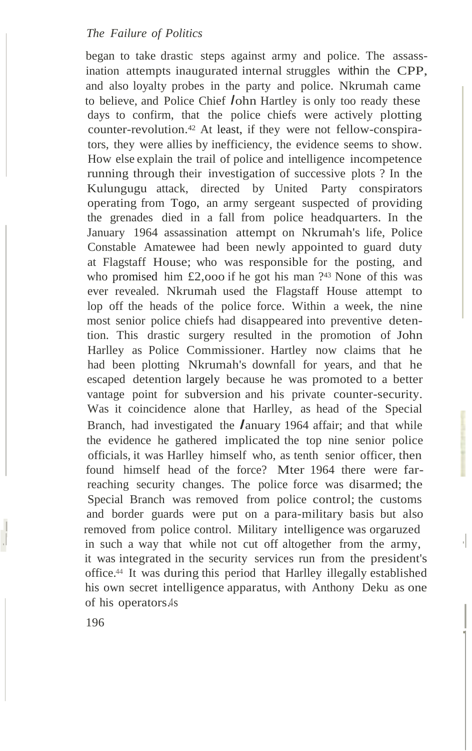## *The Failure of Politics*

began to take drastic steps against army and police. The assassination attempts inaugurated internal struggles within the CPP, and also loyalty probes in the party and police. Nkrumah came to believe, and Police Chief *I*ohn Hartley is only too ready these days to confirm, that the police chiefs were actively plotting counter-revolution.<sup>42</sup> At least, if they were not fellow-conspirators, they were allies by inefficiency, the evidence seems to show. How else explain the trail of police and intelligence incompetence running through their investigation of successive plots ? In the Kulungugu attack, directed by United Party conspirators operating from Togo, an army sergeant suspected of providing the grenades died in a fall from police headquarters. In the January 1964 assassination attempt on Nkrumah's life, Police Constable Amatewee had been newly appointed to guard duty at Flagstaff House; who was responsible for the posting, and who promised him  $£2,000$  if he got his man  $?43$  None of this was ever revealed. Nkrumah used the Flagstaff House attempt to lop off the heads of the police force. Within a week, the nine most senior police chiefs had disappeared into preventive detention. This drastic surgery resulted in the promotion of John Harlley as Police Commissioner. Hartley now claims that he had been plotting Nkrumah's downfall for years, and that he escaped detention largely because he was promoted to a better vantage point for subversion and his private counter-security. Was it coincidence alone that Harlley, as head of the Special Branch, had investigated the *I*anuary <sup>1964</sup> affair; and that while the evidence he gathered implicated the top nine senior police officials, it was Harlley himself who, as tenth senior officer, then found himself head of the force? Mter 1964 there were farreaching security changes. The police force was disarmed; the Special Branch was removed from police control; the customs and border guards were put on a para-military basis but also removed from police control. Military intelligence was orgaruzed in such a way that while not cut off altogether from the army, it was integrated in the security services run from the president's office.<sup>44</sup> It was during this period that Harlley illegally established his own secret intelligence apparatus, with Anthony Deku as one of his operators.4s

·l

.I.

196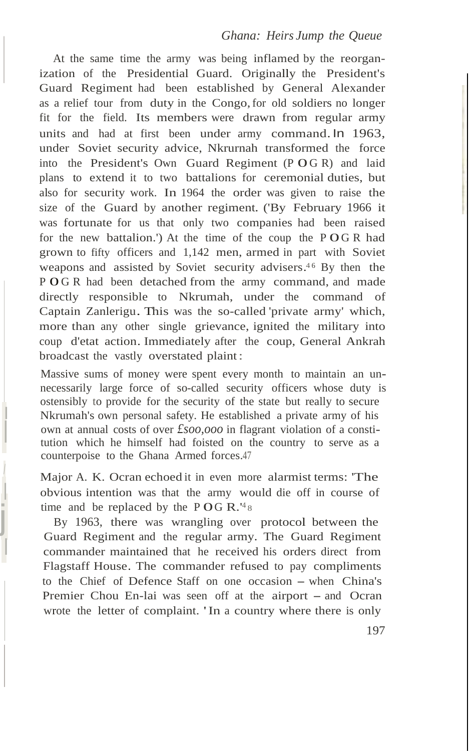## *Ghana: Heirs Jump the Queue*

At the same time the army was being inflamed by the reorganization of the Presidential Guard. Originally the President's Guard Regiment had been established by General Alexander as a relief tour from duty in the Congo,for old soldiers no longer fit for the field. Its members were drawn from regular army units and had at first been under army command. In 1963, under Soviet security advice, Nkrurnah transformed the force into the President's Own Guard Regiment (P 0G R) and laid plans to extend it to two battalions for ceremonial duties, but also for security work. In 1964 the order was given to raise the size of the Guard by another regiment. ('By February 1966 it was fortunate for us that only two companies had been raised for the new battalion.') At the time of the coup the  $POGR$  had grown to fifty officers and 1,142 men, armed in part with Soviet weapons and assisted by Soviet security advisers.<sup>46</sup> By then the <sup>P</sup> 0G <sup>R</sup> had been detached from the army command, and made directly responsible to Nkrumah, under the command of Captain Zanlerigu. This was the so-called 'private army' which, more than any other single grievance, ignited the military into coup d'etat action. Immediately after the coup, General Ankrah broadcast the vastly overstated plaint:

Massive sums of money were spent every month to maintain an unnecessarily large force of so-called security officers whose duty is ostensibly to provide for the security of the state but really to secure Nkrumah's own personal safety. He established a private army of his own at annual costs of over *£soo,ooo* in flagrant violation of a constitution which he himself had foisted on the country to serve as a counterpoise to the Ghana Armed forces.47

l

I

l

Major A. K. Ocran echoed it in even more alarmist terms: 'The obvious intention was that the army would die off in course of time and be replaced by the  $P O G R.^48$ 

By 1963, there was wrangling over protocol between the Guard Regiment and the regular army. The Guard Regiment commander maintained that he received his orders direct from Flagstaff House. The commander refused to pay compliments to the Chief of Defence Staff on one occasion - when China's Premier Chou En-lai was seen off at the airport – and Ocran wrote the letter of complaint. 'In a country where there is only

197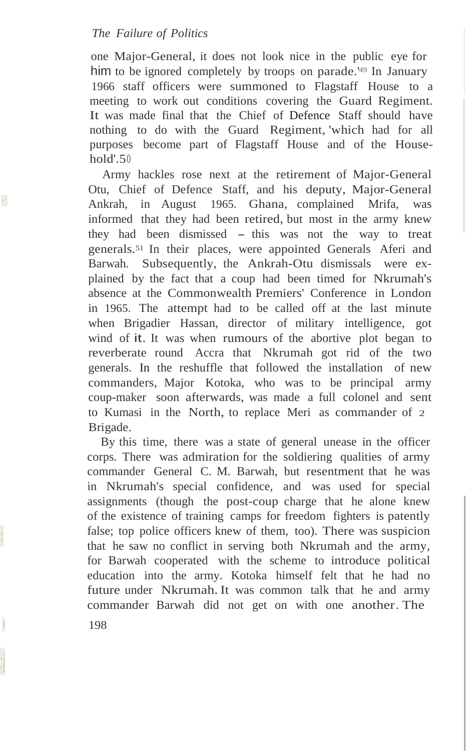#### *The Failure of Politics*

one Major-General, it does not look nice in the public eye for him to be ignored completely by troops on parade.<sup>49</sup> In January 1966 staff officers were summoned to Flagstaff House to a meeting to work out conditions covering the Guard Regiment. It was made final that the Chief of Defence Staff should have nothing to do with the Guard Regiment, 'which had for all purposes become part of Flagstaff House and of the Household'.50

Army hackles rose next at the retirement of Major-General Otu, Chief of Defence Staff, and his deputy, Major-General Ankrah, in August 1965. Ghana, complained Mrifa, was informed that they had been retired, but most in the army knew they had been dismissed - this was not the way to treat generals. <sup>51</sup> In their places, were appointed Generals Aferi and Barwah. Subsequently, the Ankrah-Otu dismissals were explained by the fact that a coup had been timed for Nkrumah's absence at the Commonwealth Premiers' Conference in London in 1965. The attempt had to be called off at the last minute when Brigadier Hassan, director of military intelligence, got wind of it. It was when rumours of the abortive plot began to reverberate round Accra that Nkrumah got rid of the two generals. In the reshuffle that followed the installation of new commanders, Major Kotoka, who was to be principal army coup-maker soon afterwards, was made a full colonel and sent to Kumasi in the North, to replace Meri as commander of 2 Brigade.

By this time, there was a state of general unease in the officer corps. There was admiration for the soldiering qualities of army commander General C. M. Barwah, but resentment that he was in Nkrumah's special confidence, and was used for special assignments (though the post-coup charge that he alone knew of the existence of training camps for freedom fighters is patently false; top police officers knew of them, too). There was suspicion that he saw no conflict in serving both Nkrumah and the army, for Barwah cooperated with the scheme to introduce political education into the army. Kotoka himself felt that he had no future under Nkrumah. It was common talk that he and army commander Barwah did not get on with one another. The

•·'

:

I

:j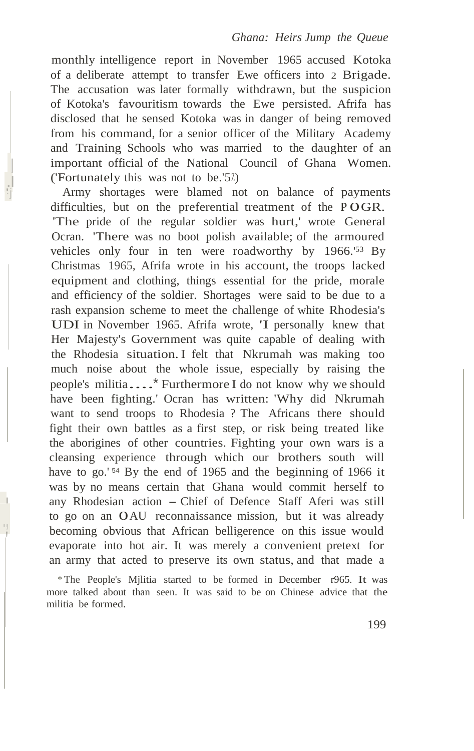monthly intelligence report in November 1965 accused Kotoka of a deliberate attempt to transfer Ewe officers into 2 Brigade. The accusation was later formally withdrawn, but the suspicion of Kotoka's favouritism towards the Ewe persisted. Afrifa has disclosed that he sensed Kotoka was in danger of being removed from his command, for a senior officer of the Military Academy and Training Schools who was married to the daughter of an important official of the National Council of Ghana Women. ('Fortunately this was not to be.'5Z)

Army shortages were blamed not on balance of payments difficulties, but on the preferential treatment of the POGR. 'The pride of the regular soldier was hurt,' wrote General Ocran. 'There was no boot polish available; of the armoured vehicles only four in ten were roadworthy by 1966.<sup>'53</sup> By Christmas 1965, Afrifa wrote in his account, the troops lacked equipment and clothing, things essential for the pride, morale and efficiency of the soldier. Shortages were said to be due to a rash expansion scheme to meet the challenge of white Rhodesia's UDI in November 1965. Afrifa wrote, 'I personally knew that Her Majesty's Government was quite capable of dealing with the Rhodesia situation. I felt that Nkrumah was making too much noise about the whole issue, especially by raising the people's militia....\* Furthermore <sup>I</sup> do not know why we should have been fighting.' Ocran has written: 'Why did Nkrumah want to send troops to Rhodesia ? The Africans there should fight their own battles as a first step, or risk being treated like the aborigines of other countries. Fighting your own wars is a cleansing experience through which our brothers south will have to go.'<sup>54</sup> By the end of 1965 and the beginning of 1966 it was by no means certain that Ghana would commit herself to any Rhodesian action - Chief of Defence Staff Aferi was still to go on an 0AU reconnaissance mission, but it was already becoming obvious that African belligerence on this issue would evaporate into hot air. It was merely a convenient pretext for an army that acted to preserve its own status, and that made a

\* The People's Mjlitia started to be formed in December r965. It was more talked about than seen. It was said to be on Chinese advice that the militia be formed.

.I

., '

I .l '·j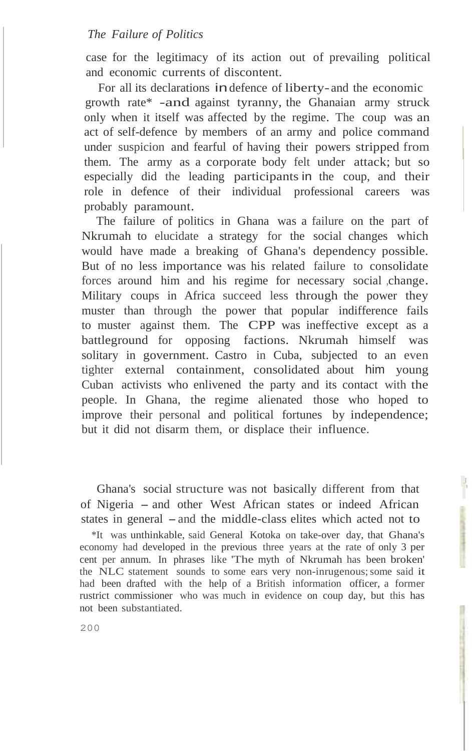### *The Failure of Politics*

case for the legitimacy of its action out of prevailing political and economic currents of discontent.

For all its declarations indefence of liberty-and the economic growth rate\* -and against tyranny, the Ghanaian army struck only when it itself was affected by the regime. The coup was an act of self-defence by members of an army and police command under suspicion and fearful of having their powers stripped from them. The army as a corporate body felt under attack; but so especially did the leading participants in the coup, and their role in defence of their individual professional careers was probably paramount.

The failure of politics in Ghana was a failure on the part of Nkrumah to elucidate a strategy for the social changes which would have made a breaking of Ghana's dependency possible. But of no less importance was his related failure to consolidate forces around him and his regime for necessary social ,change. Military coups in Africa succeed less through the power they muster than through the power that popular indifference fails to muster against them. The CPP was ineffective except as a battleground for opposing factions. Nkrumah himself was solitary in government. Castro in Cuba, subjected to an even tighter external containment, consolidated about him young Cuban activists who enlivened the party and its contact with the people. In Ghana, the regime alienated those who hoped to improve their personal and political fortunes by independence; but it did not disarm them, or displace their influence.

Ghana's social structure was not basically different from that ' of Nigeria - and other West African states or indeed African states in general – and the middle-class elites which acted not to **Julian Company** 

\*It was unthinkable, said General Kotoka on take-over day, that Ghana's economy had developed in the previous three years at the rate of only 3 per cent per annum. In phrases like 'The myth of Nkrumah has been broken' the NLC statement sounds to some ears very non-inrugenous; some said it had been drafted with the help of a British information officer, a former rustrict commissioner who was much in evidence on coup day, but this has not been substantiated.

200